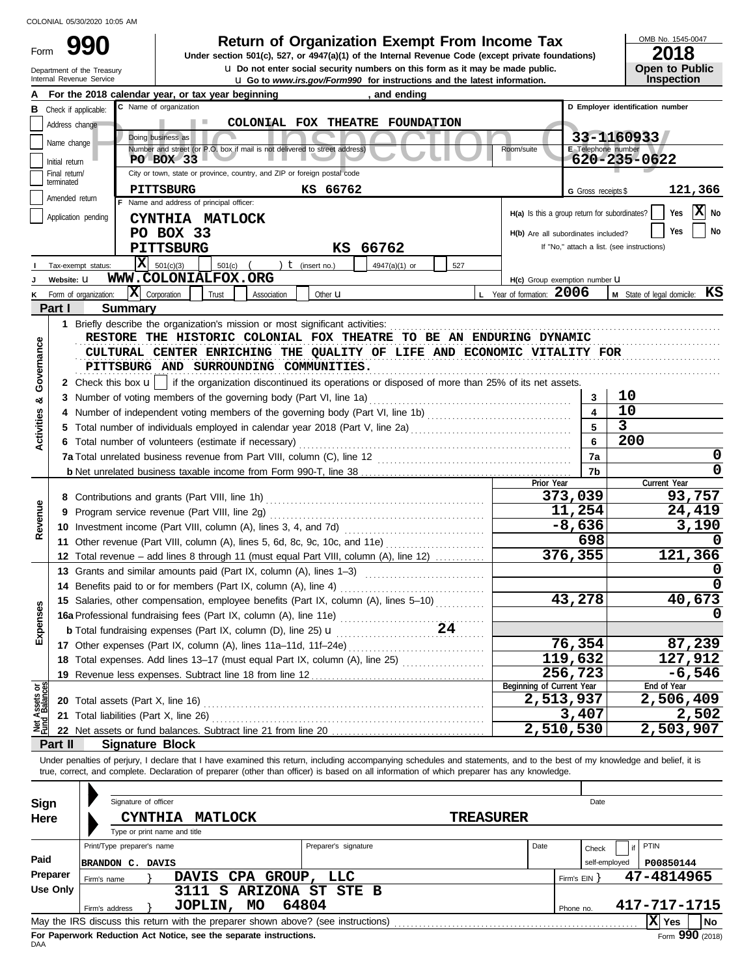Department of the Treasury<br>Internal Revenue Service

Form

**u** Go to *www.irs.gov/Form990* for instructions and the latest information. **u** Do not enter social security numbers on this form as it may be made public. **990 1990 2018 Depending Solution Solution Solution Script Script Script Script Script Prom Income Tax 1947(a)(1)** of the Internal Revenue Code (except private foundations)

OMB No. 1545-0047

| 2018                  |
|-----------------------|
| <b>Open to Public</b> |
| <b>Inspection</b>     |

|                                |                             |                       | For the 2018 calendar year, or tax year beginning<br>and ending                                                                                                            |                                               |                         |                                            |
|--------------------------------|-----------------------------|-----------------------|----------------------------------------------------------------------------------------------------------------------------------------------------------------------------|-----------------------------------------------|-------------------------|--------------------------------------------|
| в                              |                             | Check if applicable:  | C Name of organization                                                                                                                                                     |                                               |                         | D Employer identification number           |
|                                | Address change              |                       | COLONIAL FOX THEATRE FOUNDATION                                                                                                                                            |                                               |                         |                                            |
|                                | Name change                 |                       | Doing business as                                                                                                                                                          |                                               |                         | 33-1160933                                 |
|                                |                             |                       | Number and street (or P.O. box if mail is not delivered to street address)                                                                                                 | Room/suite                                    | E Telephone number      |                                            |
|                                | Initial return              |                       | PO BOX 33                                                                                                                                                                  |                                               |                         | 620-235-0622                               |
|                                | Final return/<br>terminated |                       | City or town, state or province, country, and ZIP or foreign postal code                                                                                                   |                                               |                         |                                            |
|                                | Amended return              |                       | <b>PITTSBURG</b><br>KS 66762                                                                                                                                               |                                               | G Gross receipts \$     | 121,366                                    |
|                                |                             |                       | F Name and address of principal officer:                                                                                                                                   | H(a) Is this a group return for subordinates? |                         | X No<br>Yes                                |
|                                |                             | Application pending   | CYNTHIA MATLOCK                                                                                                                                                            |                                               |                         |                                            |
|                                |                             |                       | PO BOX 33                                                                                                                                                                  | H(b) Are all subordinates included?           |                         | No<br>Yes                                  |
|                                |                             |                       | KS 66762<br><b>PITTSBURG</b>                                                                                                                                               |                                               |                         | If "No," attach a list. (see instructions) |
|                                |                             | Tax-exempt status:    | x<br>501(c)(3)<br>501(c)<br>) $t$ (insert no.)<br>4947(a)(1) or<br>527                                                                                                     |                                               |                         |                                            |
|                                | Website: U                  |                       | WWW.COLONIALFOX.ORG                                                                                                                                                        | H(c) Group exemption number U                 |                         |                                            |
|                                |                             | Form of organization: | $ \mathbf{X} $ Corporation<br>Trust<br>Association<br>Other <b>u</b>                                                                                                       | L Year of formation: 2006                     |                         | M State of legal domicile: KS              |
|                                | Part I                      |                       | <b>Summary</b>                                                                                                                                                             |                                               |                         |                                            |
|                                |                             |                       | 1 Briefly describe the organization's mission or most significant activities:                                                                                              |                                               |                         |                                            |
|                                |                             |                       | RESTORE THE HISTORIC COLONIAL FOX THEATRE TO BE AN ENDURING DYNAMIC                                                                                                        |                                               |                         |                                            |
|                                |                             |                       | CULTURAL CENTER ENRICHING THE QUALITY OF LIFE AND ECONOMIC VITALITY FOR                                                                                                    |                                               |                         |                                            |
| Governance                     |                             |                       | PITTSBURG AND SURROUNDING COMMUNITIES.                                                                                                                                     |                                               |                         |                                            |
|                                |                             |                       | 2 Check this box $\mathbf{u}$   if the organization discontinued its operations or disposed of more than 25% of its net assets.                                            |                                               |                         |                                            |
| య                              | 3                           |                       | Number of voting members of the governing body (Part VI, line 1a)                                                                                                          |                                               | 3                       | 10                                         |
|                                | 4                           |                       |                                                                                                                                                                            |                                               | $\overline{\mathbf{4}}$ | 10                                         |
| <b>Activities</b>              |                             |                       | Total number of individuals employed in calendar year 2018 (Part V, line 2a) [[[[[[[[[[[[[[[[[[[[[[[[[[[[[[[[                                                              |                                               | 5                       | $\overline{3}$                             |
|                                |                             |                       | 6 Total number of volunteers (estimate if necessary)                                                                                                                       |                                               | 6                       | 200                                        |
|                                |                             |                       |                                                                                                                                                                            |                                               | 7a                      | 0                                          |
|                                |                             |                       |                                                                                                                                                                            |                                               | 7b                      | 0                                          |
|                                |                             |                       |                                                                                                                                                                            | Prior Year                                    |                         | Current Year                               |
|                                | 8                           |                       |                                                                                                                                                                            |                                               | 373,039                 | 93,757                                     |
|                                | 9                           |                       | Program service revenue (Part VIII, line 2g)                                                                                                                               |                                               | 11,254                  | 24,419                                     |
| Revenue                        | 10                          |                       | Investment income (Part VIII, column (A), lines 3, 4, and 7d)                                                                                                              |                                               | $-8,636$                | 3,190                                      |
|                                | 11                          |                       | Other revenue (Part VIII, column (A), lines 5, 6d, 8c, 9c, 10c, and 11e)                                                                                                   |                                               | 698                     |                                            |
|                                |                             |                       | 12 Total revenue - add lines 8 through 11 (must equal Part VIII, column (A), line 12)                                                                                      |                                               | 376,355                 | 121,366                                    |
|                                |                             |                       | 13 Grants and similar amounts paid (Part IX, column (A), lines 1-3)                                                                                                        |                                               |                         |                                            |
|                                | 14                          |                       | Benefits paid to or for members (Part IX, column (A), line 4)                                                                                                              |                                               |                         |                                            |
|                                | 15                          |                       | Salaries, other compensation, employee benefits (Part IX, column (A), lines 5-10)                                                                                          |                                               | 43,278                  | 40,673                                     |
| Expenses                       |                             |                       | 16a Professional fundraising fees (Part IX, column (A), line 11e)                                                                                                          |                                               |                         | 0                                          |
|                                |                             |                       | $\overline{24}$<br><b>b</b> Total fundraising expenses (Part IX, column (D), line 25) $\mathbf{u}$                                                                         |                                               |                         |                                            |
|                                |                             |                       | 17 Other expenses (Part IX, column (A), lines 11a-11d, 11f-24e)                                                                                                            |                                               | 76,354                  | 87,239                                     |
|                                |                             |                       | 18 Total expenses. Add lines 13-17 (must equal Part IX, column (A), line 25) [                                                                                             |                                               | 119,632                 | 127,912                                    |
|                                |                             |                       | 19 Revenue less expenses. Subtract line 18 from line 12                                                                                                                    |                                               | 256,723                 | $-6,546$                                   |
| Net Assets or<br>Fund Balances |                             |                       |                                                                                                                                                                            | Beginning of Current Year                     |                         | End of Year                                |
|                                |                             |                       | 20 Total assets (Part X, line 16)                                                                                                                                          | 2,513,937                                     |                         | 2,506,409                                  |
|                                |                             |                       | 21 Total liabilities (Part X, line 26)                                                                                                                                     |                                               | 3,407                   | 2,502                                      |
|                                |                             |                       | 22 Net assets or fund balances. Subtract line 21 from line 20                                                                                                              | 2,510,530                                     |                         | 2,503,907                                  |
|                                | Part II                     |                       | <b>Signature Block</b>                                                                                                                                                     |                                               |                         |                                            |
|                                |                             |                       | Under penalties of perjury, I declare that I have examined this return, including accompanying schedules and statements, and to the best of my knowledge and belief, it is |                                               |                         |                                            |
|                                |                             |                       | true, correct, and complete. Declaration of preparer (other than officer) is based on all information of which preparer has any knowledge.                                 |                                               |                         |                                            |
|                                |                             |                       |                                                                                                                                                                            |                                               |                         |                                            |
| Sign                           |                             |                       | Signature of officer                                                                                                                                                       |                                               | Date                    |                                            |
| Here                           |                             |                       | <b>TREASURER</b><br><b>CYNTHIA</b><br><b>MATLOCK</b>                                                                                                                       |                                               |                         |                                            |
|                                |                             |                       | Type or print name and title                                                                                                                                               |                                               |                         |                                            |
|                                |                             |                       | Print/Type preparer's name<br>Preparer's signature                                                                                                                         | Date                                          | Check                   | PTIN                                       |
| Paid                           |                             |                       | BRANDON C. DAVIS                                                                                                                                                           |                                               | self-employed           | P00850144                                  |
|                                | Preparer                    | Firm's name           | DAVIS CPA GROUP, LLC                                                                                                                                                       |                                               | Firm's $EIN$ }          | 47-4814965                                 |
|                                | <b>Use Only</b>             |                       | 3111 S ARIZONA ST STE B                                                                                                                                                    |                                               |                         |                                            |
|                                |                             | Firm's address        | 64804<br>JOPLIN, MO                                                                                                                                                        |                                               | Phone no.               | 417-717-1715                               |
|                                |                             |                       | May the IRS discuss this return with the preparer shown above? (see instructions)                                                                                          |                                               |                         | $ X $ Yes<br>No                            |

| Sign     |                                                                                                             |            | Signature of officer                           |                                                                                   |                      |                  |      | Date          |            |                                   |
|----------|-------------------------------------------------------------------------------------------------------------|------------|------------------------------------------------|-----------------------------------------------------------------------------------|----------------------|------------------|------|---------------|------------|-----------------------------------|
| Here     |                                                                                                             |            | <b>CYNTHIA</b><br>Type or print name and title | <b>MATLOCK</b>                                                                    |                      | <b>TREASURER</b> |      |               |            |                                   |
|          |                                                                                                             |            | Print/Type preparer's name                     |                                                                                   | Preparer's signature |                  | Date | Check         | PTIN       |                                   |
| Paid     |                                                                                                             | BRANDON C. | <b>DAVIS</b>                                   |                                                                                   |                      |                  |      | self-employed | P00850144  |                                   |
| Preparer | Firm's name                                                                                                 |            |                                                | DAVIS CPA GROUP,                                                                  | LLC                  |                  |      | Firm's EIN Y  | 47-4814965 |                                   |
| Use Only | ARIZONA ST STE B<br>3111 S<br>417-717-1715<br>64804<br>MO.<br><b>JOPLIN,</b><br>Firm's address<br>Phone no. |            |                                                |                                                                                   |                      |                  |      |               |            |                                   |
|          |                                                                                                             |            |                                                | May the IRS discuss this return with the preparer shown above? (see instructions) |                      |                  |      |               | Yes        | <b>No</b>                         |
|          |                                                                                                             |            |                                                | For Donoruork Reduction Act Notice, can the conorate instructions                 |                      |                  |      |               |            | $\overline{a}$ 000 $\overline{a}$ |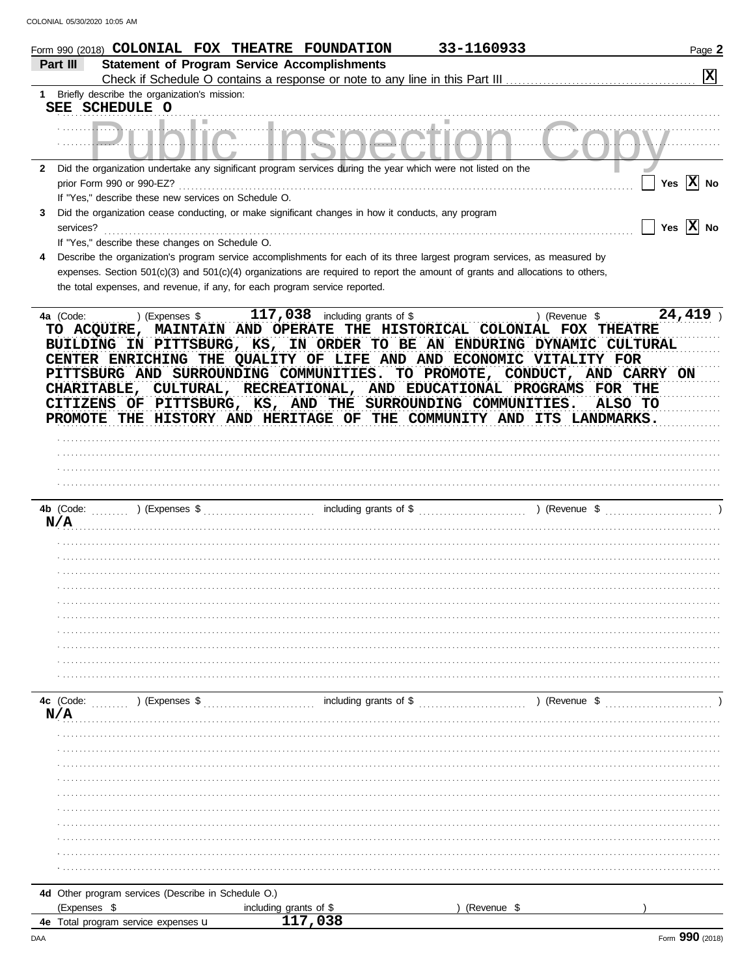|              | Form 990 (2018) <b>COLONIAL FOX THEATRE FOUNDATION</b>                                                                                                                                                                                                                                                                                                                                                                                                                                                                                         |                                                                                                                        | 33-1160933  | Page 2                             |
|--------------|------------------------------------------------------------------------------------------------------------------------------------------------------------------------------------------------------------------------------------------------------------------------------------------------------------------------------------------------------------------------------------------------------------------------------------------------------------------------------------------------------------------------------------------------|------------------------------------------------------------------------------------------------------------------------|-------------|------------------------------------|
|              | <b>Statement of Program Service Accomplishments</b><br>Part III                                                                                                                                                                                                                                                                                                                                                                                                                                                                                |                                                                                                                        |             |                                    |
|              |                                                                                                                                                                                                                                                                                                                                                                                                                                                                                                                                                |                                                                                                                        |             | $\mathbf{x}$                       |
| $\mathbf 1$  | Briefly describe the organization's mission:<br>SEE SCHEDULE O                                                                                                                                                                                                                                                                                                                                                                                                                                                                                 |                                                                                                                        |             |                                    |
|              | . <del>.</del> .                                                                                                                                                                                                                                                                                                                                                                                                                                                                                                                               | $\blacksquare$                                                                                                         |             |                                    |
| $\mathbf{2}$ | Did the organization undertake any significant program services during the year which were not listed on the                                                                                                                                                                                                                                                                                                                                                                                                                                   |                                                                                                                        |             |                                    |
|              | prior Form 990 or 990-EZ?<br>If "Yes," describe these new services on Schedule O.                                                                                                                                                                                                                                                                                                                                                                                                                                                              |                                                                                                                        |             | Yes $ X $ No                       |
| 3            | Did the organization cease conducting, or make significant changes in how it conducts, any program<br>services?                                                                                                                                                                                                                                                                                                                                                                                                                                |                                                                                                                        |             | Yes $\overline{X}$ No              |
|              | If "Yes," describe these changes on Schedule O.                                                                                                                                                                                                                                                                                                                                                                                                                                                                                                |                                                                                                                        |             |                                    |
| 4            | Describe the organization's program service accomplishments for each of its three largest program services, as measured by                                                                                                                                                                                                                                                                                                                                                                                                                     |                                                                                                                        |             |                                    |
|              | expenses. Section 501(c)(3) and 501(c)(4) organizations are required to report the amount of grants and allocations to others,<br>the total expenses, and revenue, if any, for each program service reported.                                                                                                                                                                                                                                                                                                                                  |                                                                                                                        |             |                                    |
|              | ) (Expenses \$<br>4a (Code:<br>TO ACQUIRE, MAINTAIN AND OPERATE THE HISTORICAL COLONIAL FOX THEATRE<br>BUILDING IN PITTSBURG, KS, IN ORDER TO BE AN ENDURING DYNAMIC CULTURAL<br>CENTER ENRICHING THE QUALITY OF LIFE AND AND ECONOMIC VITALITY FOR<br>PITTSBURG AND SURROUNDING COMMUNITIES. TO PROMOTE, CONDUCT, AND CARRY ON<br>CHARITABLE, CULTURAL, RECREATIONAL, AND EDUCATIONAL PROGRAMS FOR THE<br>CITIZENS OF PITTSBURG, KS, AND THE SURROUNDING COMMUNITIES.<br>PROMOTE THE HISTORY AND HERITAGE OF THE COMMUNITY AND ITS LANDMARKS. | 117,038 including grants of \$                                                                                         |             | 24,419<br>) (Revenue \$<br>ALSO TO |
|              |                                                                                                                                                                                                                                                                                                                                                                                                                                                                                                                                                |                                                                                                                        |             |                                    |
|              | N/A                                                                                                                                                                                                                                                                                                                                                                                                                                                                                                                                            |                                                                                                                        |             |                                    |
|              | 4c (Code:<br>N/A                                                                                                                                                                                                                                                                                                                                                                                                                                                                                                                               | $\ldots$ (Expenses \$ $\ldots$ ) (Expenses \$ $\ldots$ including grants of \$ $\ldots$ $\ldots$ $\ldots$ ) (Revenue \$ |             |                                    |
|              |                                                                                                                                                                                                                                                                                                                                                                                                                                                                                                                                                |                                                                                                                        |             |                                    |
|              |                                                                                                                                                                                                                                                                                                                                                                                                                                                                                                                                                |                                                                                                                        |             |                                    |
|              |                                                                                                                                                                                                                                                                                                                                                                                                                                                                                                                                                |                                                                                                                        |             |                                    |
|              |                                                                                                                                                                                                                                                                                                                                                                                                                                                                                                                                                |                                                                                                                        |             |                                    |
|              |                                                                                                                                                                                                                                                                                                                                                                                                                                                                                                                                                |                                                                                                                        |             |                                    |
|              |                                                                                                                                                                                                                                                                                                                                                                                                                                                                                                                                                |                                                                                                                        |             |                                    |
|              |                                                                                                                                                                                                                                                                                                                                                                                                                                                                                                                                                |                                                                                                                        |             |                                    |
|              |                                                                                                                                                                                                                                                                                                                                                                                                                                                                                                                                                |                                                                                                                        |             |                                    |
|              |                                                                                                                                                                                                                                                                                                                                                                                                                                                                                                                                                |                                                                                                                        |             |                                    |
|              |                                                                                                                                                                                                                                                                                                                                                                                                                                                                                                                                                |                                                                                                                        |             |                                    |
|              |                                                                                                                                                                                                                                                                                                                                                                                                                                                                                                                                                |                                                                                                                        |             |                                    |
|              | 4d Other program services (Describe in Schedule O.)                                                                                                                                                                                                                                                                                                                                                                                                                                                                                            |                                                                                                                        |             |                                    |
|              | (Expenses \$                                                                                                                                                                                                                                                                                                                                                                                                                                                                                                                                   | including grants of \$                                                                                                 | (Revenue \$ |                                    |
|              | 4e Total program service expenses u                                                                                                                                                                                                                                                                                                                                                                                                                                                                                                            | 117,038                                                                                                                |             |                                    |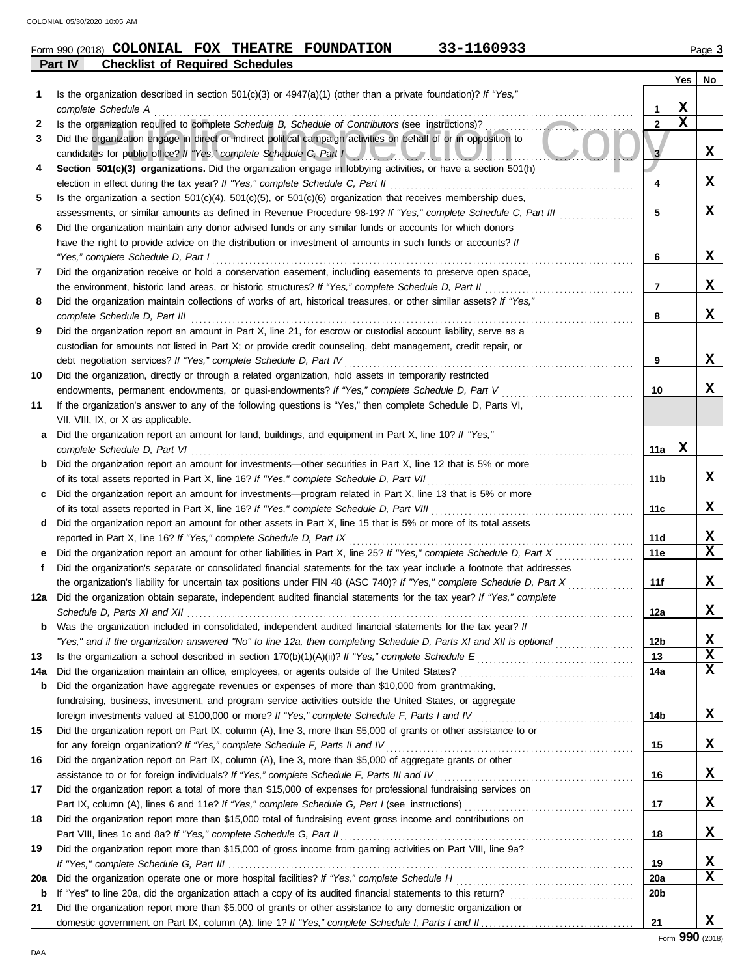### **Part IV Checklist of Required Schedules** Form 990 (2018) Page **3 COLONIAL FOX THEATRE FOUNDATION 33-1160933**

|     |                                                                                                                                                                                         |                 | Yes | No. |
|-----|-----------------------------------------------------------------------------------------------------------------------------------------------------------------------------------------|-----------------|-----|-----|
| 1   | Is the organization described in section $501(c)(3)$ or $4947(a)(1)$ (other than a private foundation)? If "Yes,"                                                                       |                 |     |     |
|     | complete Schedule A                                                                                                                                                                     | 1               | х   |     |
| 2   | Is the organization required to complete Schedule B, Schedule of Contributors (see instructions)?                                                                                       | $\mathbf{2}$    | X   |     |
| 3   | Did the organization engage in direct or indirect political campaign activities on behalf of or in opposition to<br>candidates for public office? If "Yes," complete Schedule C, Part I | 3               |     | x   |
| 4   | Section 501(c)(3) organizations. Did the organization engage in lobbying activities, or have a section 501(h)                                                                           |                 |     |     |
|     | election in effect during the tax year? If "Yes," complete Schedule C, Part II                                                                                                          | 4               |     | x   |
| 5   | Is the organization a section $501(c)(4)$ , $501(c)(5)$ , or $501(c)(6)$ organization that receives membership dues,                                                                    |                 |     |     |
|     | assessments, or similar amounts as defined in Revenue Procedure 98-19? If "Yes," complete Schedule C, Part III                                                                          | 5               |     | x   |
| 6   | Did the organization maintain any donor advised funds or any similar funds or accounts for which donors                                                                                 |                 |     |     |
|     | have the right to provide advice on the distribution or investment of amounts in such funds or accounts? If                                                                             |                 |     |     |
|     | "Yes," complete Schedule D, Part I                                                                                                                                                      | 6               |     | x   |
| 7   | Did the organization receive or hold a conservation easement, including easements to preserve open space,                                                                               |                 |     |     |
|     | the environment, historic land areas, or historic structures? If "Yes," complete Schedule D, Part II                                                                                    | 7               |     | x   |
| 8   | Did the organization maintain collections of works of art, historical treasures, or other similar assets? If "Yes,"<br>complete Schedule D, Part III                                    | 8               |     | x   |
| 9   | Did the organization report an amount in Part X, line 21, for escrow or custodial account liability, serve as a                                                                         |                 |     |     |
|     | custodian for amounts not listed in Part X; or provide credit counseling, debt management, credit repair, or                                                                            |                 |     |     |
|     | debt negotiation services? If "Yes," complete Schedule D, Part IV                                                                                                                       | 9               |     | x   |
| 10  | Did the organization, directly or through a related organization, hold assets in temporarily restricted                                                                                 |                 |     |     |
|     | endowments, permanent endowments, or quasi-endowments? If "Yes," complete Schedule D, Part V                                                                                            | 10              |     | x   |
| 11  | If the organization's answer to any of the following questions is "Yes," then complete Schedule D, Parts VI,                                                                            |                 |     |     |
|     | VII, VIII, IX, or X as applicable.<br>Did the organization report an amount for land, buildings, and equipment in Part X, line 10? If "Yes,"                                            |                 |     |     |
| a   | complete Schedule D, Part VI                                                                                                                                                            | 11a             | х   |     |
| b   | Did the organization report an amount for investments—other securities in Part X, line 12 that is 5% or more                                                                            |                 |     |     |
|     | of its total assets reported in Part X, line 16? If "Yes," complete Schedule D, Part VII                                                                                                | 11b             |     | x   |
| c   | Did the organization report an amount for investments—program related in Part X, line 13 that is 5% or more                                                                             |                 |     |     |
|     | of its total assets reported in Part X, line 16? If "Yes," complete Schedule D, Part VIII [[[[[[[[[[[[[[[[[[[[                                                                          | 11c             |     | x   |
| d   | Did the organization report an amount for other assets in Part X, line 15 that is 5% or more of its total assets                                                                        |                 |     |     |
|     | reported in Part X, line 16? If "Yes," complete Schedule D, Part IX                                                                                                                     | 11d             |     | x   |
| е   | Did the organization report an amount for other liabilities in Part X, line 25? If "Yes," complete Schedule D, Part X                                                                   | 11e             |     | X   |
| f   | Did the organization's separate or consolidated financial statements for the tax year include a footnote that addresses                                                                 |                 |     |     |
|     | the organization's liability for uncertain tax positions under FIN 48 (ASC 740)? If "Yes," complete Schedule D, Part X                                                                  | 11f             |     | x   |
| 12a | Did the organization obtain separate, independent audited financial statements for the tax year? If "Yes," complete                                                                     | 12a             |     | x   |
| b   | Was the organization included in consolidated, independent audited financial statements for the tax year? If                                                                            |                 |     |     |
|     | "Yes," and if the organization answered "No" to line 12a, then completing Schedule D, Parts XI and XII is optional                                                                      | 12 <sub>b</sub> |     | x   |
| 13  |                                                                                                                                                                                         | 13              |     | X   |
| 14a |                                                                                                                                                                                         | 14a             |     | x   |
| b   | Did the organization have aggregate revenues or expenses of more than \$10,000 from grantmaking,                                                                                        |                 |     |     |
|     | fundraising, business, investment, and program service activities outside the United States, or aggregate                                                                               | 14b             |     | x   |
| 15  | Did the organization report on Part IX, column (A), line 3, more than \$5,000 of grants or other assistance to or                                                                       |                 |     |     |
|     | for any foreign organization? If "Yes," complete Schedule F, Parts II and IV                                                                                                            | 15              |     | x   |
| 16  | Did the organization report on Part IX, column (A), line 3, more than \$5,000 of aggregate grants or other                                                                              |                 |     |     |
|     | assistance to or for foreign individuals? If "Yes," complete Schedule F, Parts III and IV [[[[[[[[[[[[[[[[[[[                                                                           | 16              |     | x   |
| 17  | Did the organization report a total of more than \$15,000 of expenses for professional fundraising services on                                                                          |                 |     |     |
|     |                                                                                                                                                                                         | 17              |     | x   |
| 18  | Did the organization report more than \$15,000 total of fundraising event gross income and contributions on                                                                             |                 |     |     |
|     | Part VIII, lines 1c and 8a? If "Yes," complete Schedule G, Part II                                                                                                                      | 18              |     | x   |
| 19  | Did the organization report more than \$15,000 of gross income from gaming activities on Part VIII, line 9a?                                                                            |                 |     |     |
|     |                                                                                                                                                                                         | 19              |     | x   |
| 20a |                                                                                                                                                                                         | <b>20a</b>      |     | X   |
| b   | Did the organization report more than \$5,000 of grants or other assistance to any domestic organization or                                                                             | 20 <sub>b</sub> |     |     |
| 21  |                                                                                                                                                                                         | 21              |     | x   |
|     |                                                                                                                                                                                         |                 |     |     |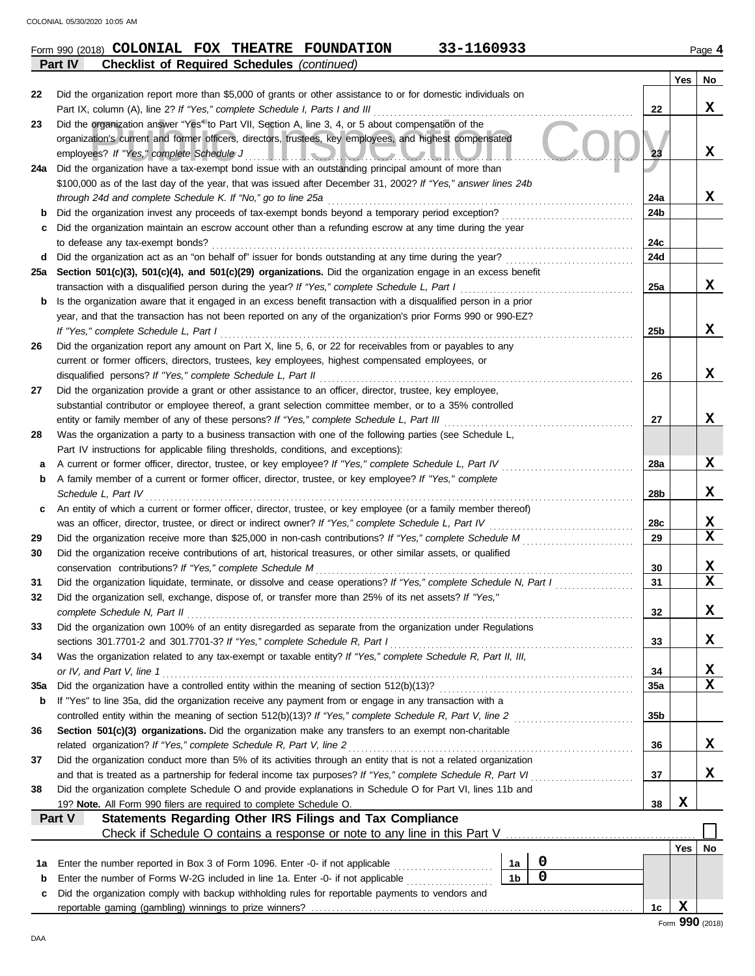|         | Form 990 (2018) COLONIAL FOX.                      | <b>THEATRE</b> | <b>FOUNDATION</b> | 33-1160933 |  | Page 4 |
|---------|----------------------------------------------------|----------------|-------------------|------------|--|--------|
| Part IV | <b>Checklist of Required Schedules (continued)</b> |                |                   |            |  |        |
|         |                                                    |                |                   |            |  |        |

|     |                                                                                                                                                                                                                   |                        | Yes        | No          |  |  |  |  |  |
|-----|-------------------------------------------------------------------------------------------------------------------------------------------------------------------------------------------------------------------|------------------------|------------|-------------|--|--|--|--|--|
| 22  | Did the organization report more than \$5,000 of grants or other assistance to or for domestic individuals on                                                                                                     |                        |            |             |  |  |  |  |  |
|     | Part IX, column (A), line 2? If "Yes," complete Schedule I, Parts I and III                                                                                                                                       | 22                     |            | x           |  |  |  |  |  |
| 23  | Did the organization answer "Yes" to Part VII, Section A, line 3, 4, or 5 about compensation of the                                                                                                               |                        |            |             |  |  |  |  |  |
|     | organization's current and former officers, directors, trustees, key employees, and highest compensated                                                                                                           |                        |            |             |  |  |  |  |  |
|     | employees? If "Yes," complete Schedule J                                                                                                                                                                          | 23                     |            | x           |  |  |  |  |  |
|     | 24a Did the organization have a tax-exempt bond issue with an outstanding principal amount of more than                                                                                                           |                        |            |             |  |  |  |  |  |
|     | \$100,000 as of the last day of the year, that was issued after December 31, 2002? If "Yes," answer lines 24b                                                                                                     |                        |            |             |  |  |  |  |  |
| b   | through 24d and complete Schedule K. If "No," go to line 25a<br>Did the organization invest any proceeds of tax-exempt bonds beyond a temporary period exception?                                                 | 24a<br>24 <sub>b</sub> |            | x           |  |  |  |  |  |
|     | Did the organization maintain an escrow account other than a refunding escrow at any time during the year                                                                                                         |                        |            |             |  |  |  |  |  |
|     | to defease any tax-exempt bonds?                                                                                                                                                                                  | 24c                    |            |             |  |  |  |  |  |
| d   | Did the organization act as an "on behalf of" issuer for bonds outstanding at any time during the year?                                                                                                           | 24d                    |            |             |  |  |  |  |  |
| 25а | Section 501(c)(3), 501(c)(4), and 501(c)(29) organizations. Did the organization engage in an excess benefit                                                                                                      |                        |            |             |  |  |  |  |  |
|     | transaction with a disqualified person during the year? If "Yes," complete Schedule L, Part I                                                                                                                     | 25a                    |            | x           |  |  |  |  |  |
| b   | Is the organization aware that it engaged in an excess benefit transaction with a disqualified person in a prior                                                                                                  |                        |            |             |  |  |  |  |  |
|     | year, and that the transaction has not been reported on any of the organization's prior Forms 990 or 990-EZ?                                                                                                      |                        |            |             |  |  |  |  |  |
|     | If "Yes," complete Schedule L, Part I                                                                                                                                                                             | 25b                    |            | x           |  |  |  |  |  |
| 26  | Did the organization report any amount on Part X, line 5, 6, or 22 for receivables from or payables to any                                                                                                        |                        |            |             |  |  |  |  |  |
|     | current or former officers, directors, trustees, key employees, highest compensated employees, or                                                                                                                 |                        |            |             |  |  |  |  |  |
|     | disqualified persons? If "Yes," complete Schedule L, Part II                                                                                                                                                      | 26                     |            | x           |  |  |  |  |  |
| 27  | Did the organization provide a grant or other assistance to an officer, director, trustee, key employee,                                                                                                          |                        |            |             |  |  |  |  |  |
|     | substantial contributor or employee thereof, a grant selection committee member, or to a 35% controlled                                                                                                           |                        |            |             |  |  |  |  |  |
|     | entity or family member of any of these persons? If "Yes," complete Schedule L, Part III                                                                                                                          | 27                     |            | x           |  |  |  |  |  |
| 28  | Was the organization a party to a business transaction with one of the following parties (see Schedule L,                                                                                                         |                        |            |             |  |  |  |  |  |
|     | Part IV instructions for applicable filing thresholds, conditions, and exceptions):                                                                                                                               |                        |            | x           |  |  |  |  |  |
| а   | A current or former officer, director, trustee, or key employee? If "Yes," complete Schedule L, Part IV<br>A family member of a current or former officer, director, trustee, or key employee? If "Yes," complete | 28a                    |            |             |  |  |  |  |  |
| b   | Schedule L, Part IV                                                                                                                                                                                               | 28b                    |            | x           |  |  |  |  |  |
| c   | An entity of which a current or former officer, director, trustee, or key employee (or a family member thereof)                                                                                                   |                        |            |             |  |  |  |  |  |
|     | was an officer, director, trustee, or direct or indirect owner? If "Yes," complete Schedule L, Part IV                                                                                                            | 28c                    |            | X           |  |  |  |  |  |
| 29  | Did the organization receive more than \$25,000 in non-cash contributions? If "Yes," complete Schedule M                                                                                                          | 29                     |            | x           |  |  |  |  |  |
| 30  | Did the organization receive contributions of art, historical treasures, or other similar assets, or qualified                                                                                                    |                        |            |             |  |  |  |  |  |
|     | conservation contributions? If "Yes," complete Schedule M                                                                                                                                                         | 30                     |            | X           |  |  |  |  |  |
| 31  | Did the organization liquidate, terminate, or dissolve and cease operations? If "Yes," complete Schedule N, Part I                                                                                                | 31                     |            | $\mathbf x$ |  |  |  |  |  |
| 32  | Did the organization sell, exchange, dispose of, or transfer more than 25% of its net assets? If "Yes,"                                                                                                           |                        |            |             |  |  |  |  |  |
|     | complete Schedule N, Part II                                                                                                                                                                                      | 32                     |            | x           |  |  |  |  |  |
| 33  | Did the organization own 100% of an entity disregarded as separate from the organization under Regulations                                                                                                        |                        |            |             |  |  |  |  |  |
|     | sections 301.7701-2 and 301.7701-3? If "Yes," complete Schedule R, Part I                                                                                                                                         | 33                     |            | x           |  |  |  |  |  |
| 34  | Was the organization related to any tax-exempt or taxable entity? If "Yes," complete Schedule R, Part II, III,                                                                                                    |                        |            |             |  |  |  |  |  |
|     | or IV, and Part V, line 1                                                                                                                                                                                         | 34                     |            | X           |  |  |  |  |  |
| 35a | Did the organization have a controlled entity within the meaning of section 512(b)(13)?                                                                                                                           | 35a                    |            | X           |  |  |  |  |  |
| b   | If "Yes" to line 35a, did the organization receive any payment from or engage in any transaction with a                                                                                                           |                        |            |             |  |  |  |  |  |
| 36  | controlled entity within the meaning of section 512(b)(13)? If "Yes," complete Schedule R, Part V, line 2<br>Section 501(c)(3) organizations. Did the organization make any transfers to an exempt non-charitable | 35 <sub>b</sub>        |            |             |  |  |  |  |  |
|     |                                                                                                                                                                                                                   | 36                     |            | x           |  |  |  |  |  |
| 37  | related organization? If "Yes," complete Schedule R, Part V, line 2<br>Did the organization conduct more than 5% of its activities through an entity that is not a related organization                           |                        |            |             |  |  |  |  |  |
|     | and that is treated as a partnership for federal income tax purposes? If "Yes," complete Schedule R, Part VI<br>37                                                                                                |                        |            |             |  |  |  |  |  |
| 38  | Did the organization complete Schedule O and provide explanations in Schedule O for Part VI, lines 11b and                                                                                                        |                        |            | x           |  |  |  |  |  |
|     | 19? Note. All Form 990 filers are required to complete Schedule O.                                                                                                                                                | 38                     | X          |             |  |  |  |  |  |
|     | Statements Regarding Other IRS Filings and Tax Compliance<br>Part V                                                                                                                                               |                        |            |             |  |  |  |  |  |
|     | Check if Schedule O contains a response or note to any line in this Part V                                                                                                                                        |                        |            |             |  |  |  |  |  |
|     |                                                                                                                                                                                                                   |                        | <b>Yes</b> | No          |  |  |  |  |  |
| 1a  | 0<br>Enter the number reported in Box 3 of Form 1096. Enter -0- if not applicable<br>1a                                                                                                                           |                        |            |             |  |  |  |  |  |
| b   | $\mathbf 0$<br>1 <sub>b</sub><br>Enter the number of Forms W-2G included in line 1a. Enter -0- if not applicable                                                                                                  |                        |            |             |  |  |  |  |  |
| c   | Did the organization comply with backup withholding rules for reportable payments to vendors and                                                                                                                  |                        |            |             |  |  |  |  |  |
|     |                                                                                                                                                                                                                   | 1c                     | X          |             |  |  |  |  |  |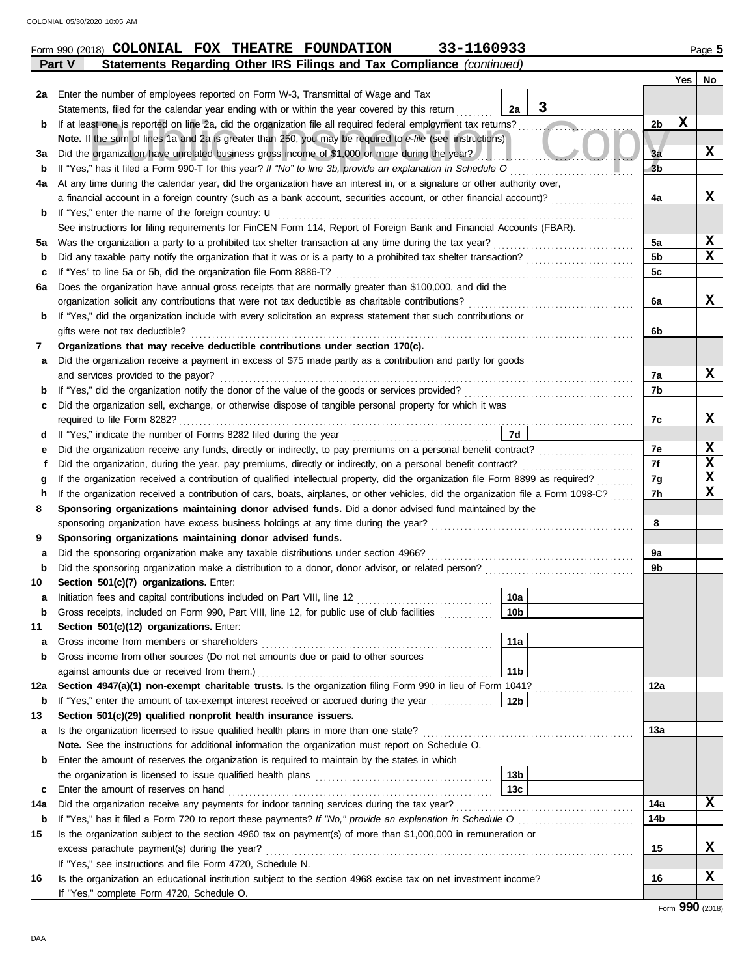|          |                                                                                                                                                                                              |                                    |   |                | Yes | No.         |  |  |  |  |
|----------|----------------------------------------------------------------------------------------------------------------------------------------------------------------------------------------------|------------------------------------|---|----------------|-----|-------------|--|--|--|--|
| 2a       | Enter the number of employees reported on Form W-3, Transmittal of Wage and Tax                                                                                                              |                                    |   |                |     |             |  |  |  |  |
|          | Statements, filed for the calendar year ending with or within the year covered by this return                                                                                                | 2a                                 | 3 |                |     |             |  |  |  |  |
| b        | If at least one is reported on line 2a, did the organization file all required federal employment tax returns?                                                                               |                                    |   | 2b             | х   |             |  |  |  |  |
|          | Note. If the sum of lines 1a and 2a is greater than 250, you may be required to e-file (see instructions)                                                                                    |                                    |   |                |     | x           |  |  |  |  |
| за       | Did the organization have unrelated business gross income of \$1,000 or more during the year?                                                                                                |                                    |   |                |     |             |  |  |  |  |
| b        | If "Yes," has it filed a Form 990-T for this year? If "No" to line 3b, provide an explanation in Schedule O                                                                                  |                                    |   |                |     |             |  |  |  |  |
| 4a       | At any time during the calendar year, did the organization have an interest in, or a signature or other authority over,                                                                      |                                    |   |                |     |             |  |  |  |  |
|          | a financial account in a foreign country (such as a bank account, securities account, or other financial account)?                                                                           |                                    |   | 4a             |     | X           |  |  |  |  |
| b        | If "Yes," enter the name of the foreign country: $\mathbf u$                                                                                                                                 |                                    |   |                |     |             |  |  |  |  |
|          | See instructions for filing requirements for FinCEN Form 114, Report of Foreign Bank and Financial Accounts (FBAR).                                                                          |                                    |   |                |     |             |  |  |  |  |
| 5а       | Was the organization a party to a prohibited tax shelter transaction at any time during the tax year?                                                                                        |                                    |   | 5a             |     | X           |  |  |  |  |
| b        |                                                                                                                                                                                              |                                    |   | 5 <sub>b</sub> |     | X           |  |  |  |  |
| c        | If "Yes" to line 5a or 5b, did the organization file Form 8886-T?                                                                                                                            |                                    |   | 5c             |     |             |  |  |  |  |
| 6а       | Does the organization have annual gross receipts that are normally greater than \$100,000, and did the                                                                                       |                                    |   |                |     |             |  |  |  |  |
|          | organization solicit any contributions that were not tax deductible as charitable contributions?                                                                                             |                                    |   | 6a             |     | x           |  |  |  |  |
| b        | If "Yes," did the organization include with every solicitation an express statement that such contributions or                                                                               |                                    |   |                |     |             |  |  |  |  |
|          | gifts were not tax deductible?                                                                                                                                                               |                                    |   | 6b             |     |             |  |  |  |  |
| 7        | Organizations that may receive deductible contributions under section 170(c).<br>Did the organization receive a payment in excess of \$75 made partly as a contribution and partly for goods |                                    |   |                |     |             |  |  |  |  |
| а        | and services provided to the payor?                                                                                                                                                          |                                    |   | 7a             |     | x           |  |  |  |  |
| b        |                                                                                                                                                                                              |                                    |   | 7b             |     |             |  |  |  |  |
| c        | Did the organization sell, exchange, or otherwise dispose of tangible personal property for which it was                                                                                     |                                    |   |                |     |             |  |  |  |  |
|          | required to file Form 8282?                                                                                                                                                                  |                                    |   | 7c             |     | x           |  |  |  |  |
| d        |                                                                                                                                                                                              | 7d                                 |   |                |     |             |  |  |  |  |
| е        | Did the organization receive any funds, directly or indirectly, to pay premiums on a personal benefit contract?                                                                              |                                    |   | 7e             |     | X           |  |  |  |  |
| f        | Did the organization, during the year, pay premiums, directly or indirectly, on a personal benefit contract?                                                                                 |                                    |   | 7f             |     | $\mathbf x$ |  |  |  |  |
| g        | If the organization received a contribution of qualified intellectual property, did the organization file Form 8899 as required?                                                             |                                    |   | 7g             |     | X           |  |  |  |  |
| h        | If the organization received a contribution of cars, boats, airplanes, or other vehicles, did the organization file a Form 1098-C?                                                           |                                    |   | 7h             |     | $\mathbf x$ |  |  |  |  |
| 8        | Sponsoring organizations maintaining donor advised funds. Did a donor advised fund maintained by the                                                                                         |                                    |   |                |     |             |  |  |  |  |
|          | sponsoring organization have excess business holdings at any time during the year?                                                                                                           |                                    |   | 8              |     |             |  |  |  |  |
| 9        | Sponsoring organizations maintaining donor advised funds.                                                                                                                                    |                                    |   |                |     |             |  |  |  |  |
| а        | Did the sponsoring organization make any taxable distributions under section 4966?                                                                                                           |                                    |   | 9a             |     |             |  |  |  |  |
| b        |                                                                                                                                                                                              |                                    |   | 9b             |     |             |  |  |  |  |
| 10       | Section 501(c)(7) organizations. Enter:                                                                                                                                                      |                                    |   |                |     |             |  |  |  |  |
| а        | Initiation fees and capital contributions included on Part VIII, line 12                                                                                                                     | 10a                                |   |                |     |             |  |  |  |  |
| b        | Gross receipts, included on Form 990, Part VIII, line 12, for public use of club facilities                                                                                                  | 10 <sub>b</sub>                    |   |                |     |             |  |  |  |  |
| 11       | Section 501(c)(12) organizations. Enter:                                                                                                                                                     |                                    |   |                |     |             |  |  |  |  |
| a        | Gross income from members or shareholders                                                                                                                                                    | 11a                                |   |                |     |             |  |  |  |  |
| b        | Gross income from other sources (Do not net amounts due or paid to other sources                                                                                                             |                                    |   |                |     |             |  |  |  |  |
|          |                                                                                                                                                                                              | 11 <sub>b</sub>                    |   |                |     |             |  |  |  |  |
| 12a      | Section 4947(a)(1) non-exempt charitable trusts. Is the organization filing Form 990 in lieu of Form 1041?                                                                                   |                                    |   | 12a            |     |             |  |  |  |  |
| b        | If "Yes," enter the amount of tax-exempt interest received or accrued during the year                                                                                                        | 12b                                |   |                |     |             |  |  |  |  |
| 13       | Section 501(c)(29) qualified nonprofit health insurance issuers.                                                                                                                             |                                    |   |                |     |             |  |  |  |  |
| a        | Is the organization licensed to issue qualified health plans in more than one state?                                                                                                         |                                    |   | 13а            |     |             |  |  |  |  |
|          | Note. See the instructions for additional information the organization must report on Schedule O.                                                                                            |                                    |   |                |     |             |  |  |  |  |
| b        | Enter the amount of reserves the organization is required to maintain by the states in which                                                                                                 |                                    |   |                |     |             |  |  |  |  |
|          | Enter the amount of reserves on hand                                                                                                                                                         | 13 <sub>b</sub><br>13 <sub>c</sub> |   |                |     |             |  |  |  |  |
| c<br>14a | Did the organization receive any payments for indoor tanning services during the tax year?                                                                                                   |                                    |   | 14a            |     | x           |  |  |  |  |
| b        | If "Yes," has it filed a Form 720 to report these payments? If "No," provide an explanation in Schedule O                                                                                    |                                    |   | 14b            |     |             |  |  |  |  |
| 15       | Is the organization subject to the section 4960 tax on payment(s) of more than \$1,000,000 in remuneration or                                                                                |                                    |   |                |     |             |  |  |  |  |
|          | excess parachute payment(s) during the year?                                                                                                                                                 |                                    |   | 15             |     | x           |  |  |  |  |
|          | If "Yes," see instructions and file Form 4720, Schedule N.                                                                                                                                   |                                    |   |                |     |             |  |  |  |  |
| 16       | Is the organization an educational institution subject to the section 4968 excise tax on net investment income?                                                                              |                                    |   | 16             |     | X           |  |  |  |  |
|          | If "Yes," complete Form 4720, Schedule O.                                                                                                                                                    |                                    |   |                |     |             |  |  |  |  |
|          |                                                                                                                                                                                              |                                    |   |                |     | QQQ         |  |  |  |  |

**Part V Statements Regarding Other IRS Filings and Tax Compliance** *(continued)* Form 990 (2018) Page **5 COLONIAL FOX THEATRE FOUNDATION 33-1160933**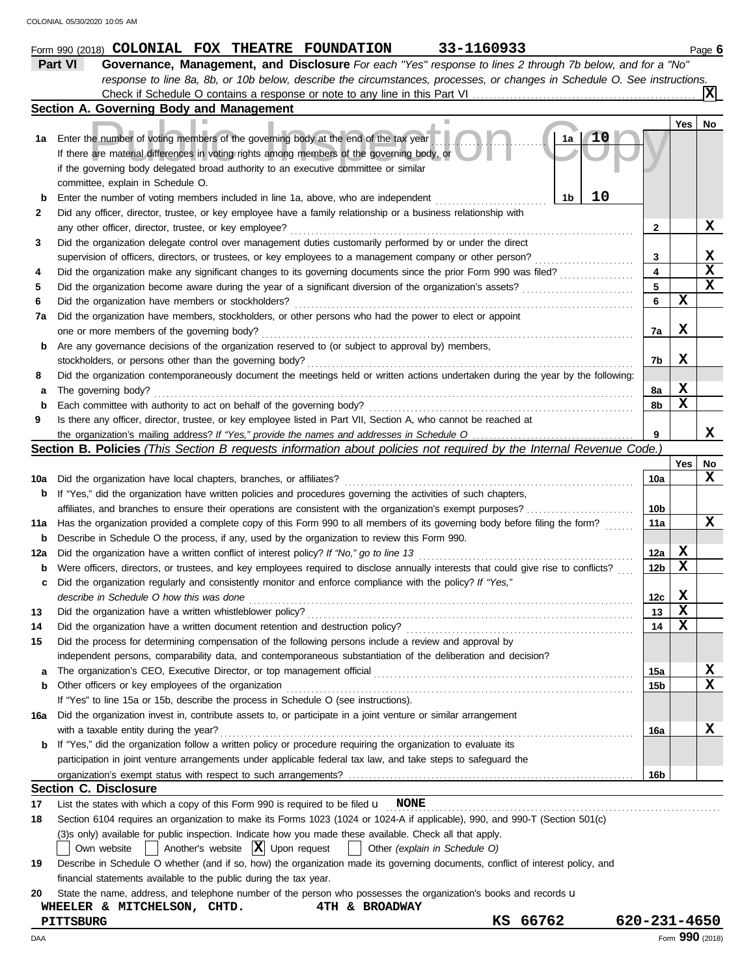|     | 33-1160933<br>Form 990 (2018) COLONIAL FOX THEATRE FOUNDATION                                                                       |                 |     | Page 6      |
|-----|-------------------------------------------------------------------------------------------------------------------------------------|-----------------|-----|-------------|
|     | Part VI<br>Governance, Management, and Disclosure For each "Yes" response to lines 2 through 7b below, and for a "No"               |                 |     |             |
|     | response to line 8a, 8b, or 10b below, describe the circumstances, processes, or changes in Schedule O. See instructions.           |                 |     |             |
|     |                                                                                                                                     |                 |     | x           |
|     | Section A. Governing Body and Management                                                                                            |                 |     |             |
|     |                                                                                                                                     |                 | Yes | No          |
| 1а  | Enter the number of voting members of the governing body at the end of the tax year<br>1a                                           |                 |     |             |
|     | If there are material differences in voting rights among members of the governing body, or                                          |                 |     |             |
|     | if the governing body delegated broad authority to an executive committee or similar                                                |                 |     |             |
|     | committee, explain in Schedule O.                                                                                                   |                 |     |             |
| b   | 10<br>1 <sub>b</sub><br>Enter the number of voting members included in line 1a, above, who are independent                          |                 |     |             |
| 2   | Did any officer, director, trustee, or key employee have a family relationship or a business relationship with                      |                 |     |             |
|     | any other officer, director, trustee, or key employee?                                                                              | 2               |     | X           |
| 3   | Did the organization delegate control over management duties customarily performed by or under the direct                           |                 |     |             |
|     | supervision of officers, directors, or trustees, or key employees to a management company or other person?                          | 3               |     | X           |
| 4   | Did the organization make any significant changes to its governing documents since the prior Form 990 was filed?                    | 4               |     | $\mathbf x$ |
| 5   | Did the organization become aware during the year of a significant diversion of the organization's assets?                          | 5               |     | $\mathbf x$ |
| 6   | Did the organization have members or stockholders?                                                                                  | 6               | X   |             |
| 7а  | Did the organization have members, stockholders, or other persons who had the power to elect or appoint                             |                 |     |             |
|     | one or more members of the governing body?                                                                                          | 7а              | X   |             |
| b   | Are any governance decisions of the organization reserved to (or subject to approval by) members,                                   |                 |     |             |
|     | stockholders, or persons other than the governing body?                                                                             | 7b              | X   |             |
| 8   | Did the organization contemporaneously document the meetings held or written actions undertaken during the year by the following:   |                 |     |             |
| а   | The governing body?                                                                                                                 | 8а              | X   |             |
| b   | Each committee with authority to act on behalf of the governing body?                                                               | 8b              | X   |             |
| 9   | Is there any officer, director, trustee, or key employee listed in Part VII, Section A, who cannot be reached at                    |                 |     |             |
|     |                                                                                                                                     | 9               |     | x           |
|     | <b>Section B. Policies</b> (This Section B requests information about policies not required by the Internal Revenue Code.)          |                 |     |             |
|     |                                                                                                                                     |                 | Yes | No          |
| 10a | Did the organization have local chapters, branches, or affiliates?                                                                  | 10a             |     | x           |
| b   | If "Yes," did the organization have written policies and procedures governing the activities of such chapters,                      |                 |     |             |
|     | affiliates, and branches to ensure their operations are consistent with the organization's exempt purposes?                         | 10b             |     |             |
| 11a | Has the organization provided a complete copy of this Form 990 to all members of its governing body before filing the form?         | 11a             |     | X           |
| b   | Describe in Schedule O the process, if any, used by the organization to review this Form 990.                                       |                 |     |             |
| 12a | Did the organization have a written conflict of interest policy? If "No," go to line 13                                             | 12a             | X   |             |
| b   | Were officers, directors, or trustees, and key employees required to disclose annually interests that could give rise to conflicts? | 12b             | X   |             |
| c   | Did the organization regularly and consistently monitor and enforce compliance with the policy? If "Yes,"                           |                 |     |             |
|     | describe in Schedule O how this was done                                                                                            | 12 <sub>c</sub> | X   |             |
| 13  | Did the organization have a written whistleblower policy?                                                                           | 13              | X   |             |
| 14  | Did the organization have a written document retention and destruction policy?                                                      | 14              | х   |             |
| 15  | Did the process for determining compensation of the following persons include a review and approval by                              |                 |     |             |
|     | independent persons, comparability data, and contemporaneous substantiation of the deliberation and decision?                       |                 |     |             |
| a   | The organization's CEO, Executive Director, or top management official                                                              | 15a             |     | X           |
| b   | Other officers or key employees of the organization                                                                                 | 15b             |     | X           |
|     | If "Yes" to line 15a or 15b, describe the process in Schedule O (see instructions).                                                 |                 |     |             |
| 16a | Did the organization invest in, contribute assets to, or participate in a joint venture or similar arrangement                      |                 |     |             |
|     | with a taxable entity during the year?                                                                                              | 16a             |     | х           |
| b   | If "Yes," did the organization follow a written policy or procedure requiring the organization to evaluate its                      |                 |     |             |
|     | participation in joint venture arrangements under applicable federal tax law, and take steps to safeguard the                       |                 |     |             |
|     |                                                                                                                                     | 16b             |     |             |
|     | <b>Section C. Disclosure</b>                                                                                                        |                 |     |             |
| 17  | List the states with which a copy of this Form 990 is required to be filed $\mathbf{u}$ NONE                                        |                 |     |             |
| 18  | Section 6104 requires an organization to make its Forms 1023 (1024 or 1024-A if applicable), 990, and 990-T (Section 501(c)         |                 |     |             |
|     | (3)s only) available for public inspection. Indicate how you made these available. Check all that apply.                            |                 |     |             |
|     | Another's website $ \mathbf{X} $ Upon request<br>Other (explain in Schedule O)<br>Own website                                       |                 |     |             |
| 19  | Describe in Schedule O whether (and if so, how) the organization made its governing documents, conflict of interest policy, and     |                 |     |             |
|     | financial statements available to the public during the tax year.                                                                   |                 |     |             |
| 20  | State the name, address, and telephone number of the person who possesses the organization's books and records u                    |                 |     |             |
|     | WHEELER & MITCHELSON, CHTD.<br>4TH & BROADWAY                                                                                       |                 |     |             |
|     | 66762<br>кs<br>PITTSBURG                                                                                                            | 620-231-4650    |     |             |
|     |                                                                                                                                     |                 |     |             |

DAA Form **990** (2018)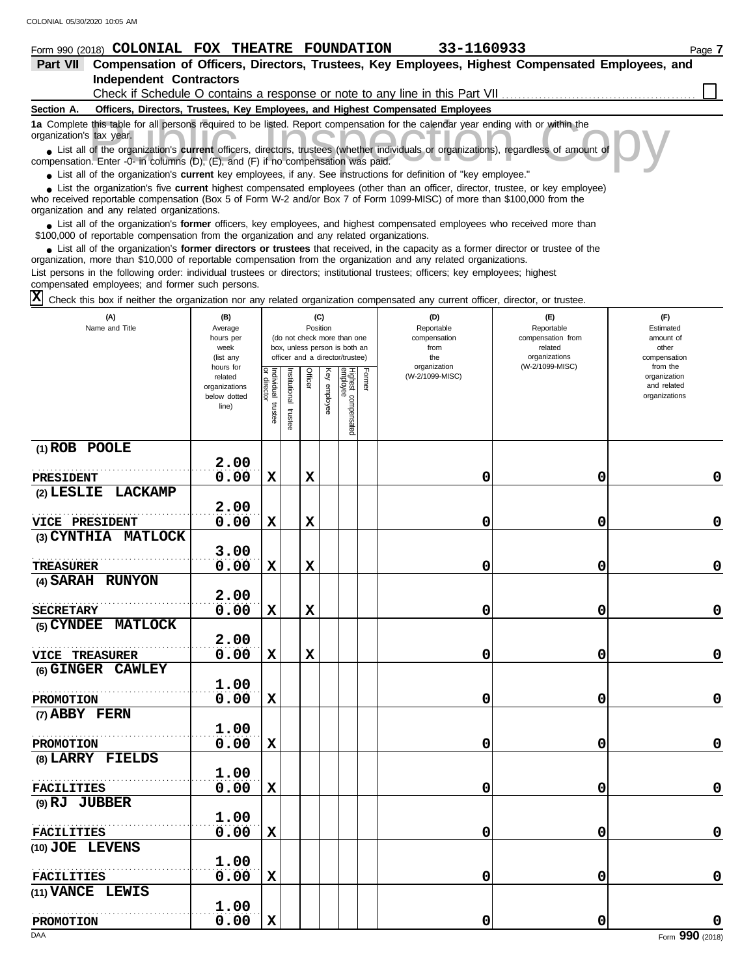## **Form 990 (2018) COLONIAL FOX THEATRE FOUNDATION** 33-1160933 Page 7

|  | 33-1160933 |  |  |
|--|------------|--|--|
|  |            |  |  |

| Part VII Compensation of Officers, Directors, Trustees, Key Employees, Highest Compensated Employees, and |  |
|-----------------------------------------------------------------------------------------------------------|--|
| Independent Contractors                                                                                   |  |
| Check if Schedule O contains a response or note to any line in this Part VII                              |  |

### **Section A. Officers, Directors, Trustees, Key Employees, and Highest Compensated Employees**

**1a** Complete this table for all persons required to be listed. Report compensation for the calendar year ending with or within the organization's tax year.

this table for all persons required to be listed. Report compensation for the calendar year ending with or within the tax year.<br>
of the organization's **current** officers, directors, trustees (whether individuals or organiz ■ List all of the organization's **current** officers, directors, trustees (whether individuals or organizations), regardless of amount of compensation. Enter -0- in columns (D), (E), and (F) if no compensation was paid.

● List all of the organization's **current** key employees, if any. See instructions for definition of "key employee."

who received reportable compensation (Box 5 of Form W-2 and/or Box 7 of Form 1099-MISC) of more than \$100,000 from the organization and any related organizations. ■ List the organization's five **current** highest compensated employees (other than an officer, director, trustee, or key employee)<br> **•** Preceived reportable compensation (Box 5 of Form W.2 and/or Box 7 of Form 1000 MISC)

■ List all of the organization's **former** officers, key employees, and highest compensated employees who received more than<br> **•** 00,000 of reportable compensation from the ergonization and any related ergonizations \$100,000 of reportable compensation from the organization and any related organizations.

■ List all of the organization's **former directors or trustees** that received, in the capacity as a former director or trustee of the<br>paization, more than \$10,000 of reportable compensation from the organization and any r organization, more than \$10,000 of reportable compensation from the organization and any related organizations. List persons in the following order: individual trustees or directors; institutional trustees; officers; key employees; highest

compensated employees; and former such persons.

 $\overline{X}$  Check this box if neither the organization nor any related organization compensated any current officer, director, or trustee.

| (A)<br>Name and Title | (B)<br>Average<br>hours per<br>week<br>(list any               |                                   |                          | (C)<br>Position | (do not check more than one<br>box, unless person is both an<br>officer and a director/trustee) |                                 | (D)<br>Reportable<br>compensation<br>from<br>the | (E)<br>Reportable<br>compensation from<br>related<br>organizations | (F)<br>Estimated<br>amount of<br>other<br>compensation |                                                          |
|-----------------------|----------------------------------------------------------------|-----------------------------------|--------------------------|-----------------|-------------------------------------------------------------------------------------------------|---------------------------------|--------------------------------------------------|--------------------------------------------------------------------|--------------------------------------------------------|----------------------------------------------------------|
|                       | hours for<br>related<br>organizations<br>below dotted<br>line) | Individual trustee<br>or director | Institutional<br>trustee | Officer         | Ķey<br>employee                                                                                 | Highest compensated<br>employee | Former                                           | organization<br>(W-2/1099-MISC)                                    | (W-2/1099-MISC)                                        | from the<br>organization<br>and related<br>organizations |
| $(1)$ ROB POOLE       | 2.00                                                           |                                   |                          |                 |                                                                                                 |                                 |                                                  |                                                                    |                                                        |                                                          |
| PRESIDENT             | 0.00                                                           | $\mathbf x$                       |                          | $\mathbf x$     |                                                                                                 |                                 |                                                  | 0                                                                  | 0                                                      | 0                                                        |
| (2) LESLIE LACKAMP    | 2.00                                                           |                                   |                          |                 |                                                                                                 |                                 |                                                  |                                                                    |                                                        |                                                          |
| <b>VICE PRESIDENT</b> | 0.00                                                           | $\mathbf x$                       |                          | $\mathbf x$     |                                                                                                 |                                 |                                                  | 0                                                                  | 0                                                      | $\mathbf 0$                                              |
| (3) CYNTHIA MATLOCK   | 3.00                                                           |                                   |                          |                 |                                                                                                 |                                 |                                                  |                                                                    |                                                        |                                                          |
| <b>TREASURER</b>      | 0.00                                                           | $\mathbf x$                       |                          | $\mathbf x$     |                                                                                                 |                                 |                                                  | 0                                                                  | 0                                                      | $\mathbf 0$                                              |
| (4) SARAH RUNYON      | 2.00                                                           |                                   |                          |                 |                                                                                                 |                                 |                                                  |                                                                    |                                                        |                                                          |
| <b>SECRETARY</b>      | 0.00                                                           | $\mathbf x$                       |                          | $\mathbf x$     |                                                                                                 |                                 |                                                  | 0                                                                  | 0                                                      | $\mathbf 0$                                              |
| (5) CYNDEE MATLOCK    | 2.00                                                           |                                   |                          |                 |                                                                                                 |                                 |                                                  |                                                                    |                                                        |                                                          |
| VICE TREASURER        | 0.00                                                           | $\mathbf x$                       |                          | $\mathbf x$     |                                                                                                 |                                 |                                                  | 0                                                                  | 0                                                      | $\mathbf 0$                                              |
| (6) GINGER CAWLEY     | 1.00                                                           |                                   |                          |                 |                                                                                                 |                                 |                                                  |                                                                    |                                                        |                                                          |
| <b>PROMOTION</b>      | 0.00                                                           | $\mathbf x$                       |                          |                 |                                                                                                 |                                 |                                                  | 0                                                                  | 0                                                      | $\mathbf 0$                                              |
| (7) ABBY FERN         | 1.00                                                           |                                   |                          |                 |                                                                                                 |                                 |                                                  |                                                                    |                                                        |                                                          |
| <b>PROMOTION</b>      | 0.00                                                           | $\mathbf x$                       |                          |                 |                                                                                                 |                                 |                                                  | 0                                                                  | 0                                                      | 0                                                        |
| (8) LARRY FIELDS      | 1.00                                                           |                                   |                          |                 |                                                                                                 |                                 |                                                  |                                                                    |                                                        |                                                          |
| <b>FACILITIES</b>     | 0.00                                                           | $\mathbf x$                       |                          |                 |                                                                                                 |                                 |                                                  | 0                                                                  | 0                                                      | $\mathbf 0$                                              |
| (9) RJ JUBBER         | 1.00                                                           |                                   |                          |                 |                                                                                                 |                                 |                                                  |                                                                    |                                                        |                                                          |
| <b>FACILITIES</b>     | 0.00                                                           | $\mathbf x$                       |                          |                 |                                                                                                 |                                 |                                                  | 0                                                                  | 0                                                      | $\pmb{0}$                                                |
| (10) JOE LEVENS       |                                                                |                                   |                          |                 |                                                                                                 |                                 |                                                  |                                                                    |                                                        |                                                          |
| <b>FACILITIES</b>     | 1.00<br>0.00                                                   | $\mathbf x$                       |                          |                 |                                                                                                 |                                 |                                                  | 0                                                                  | 0                                                      | $\mathbf 0$                                              |
| (11) VANCE LEWIS      |                                                                |                                   |                          |                 |                                                                                                 |                                 |                                                  |                                                                    |                                                        |                                                          |
|                       | 1.00                                                           |                                   |                          |                 |                                                                                                 |                                 |                                                  |                                                                    |                                                        |                                                          |
| <b>PROMOTION</b>      | 0.00                                                           | $\mathbf x$                       |                          |                 |                                                                                                 |                                 |                                                  | 0                                                                  | 0                                                      | 0                                                        |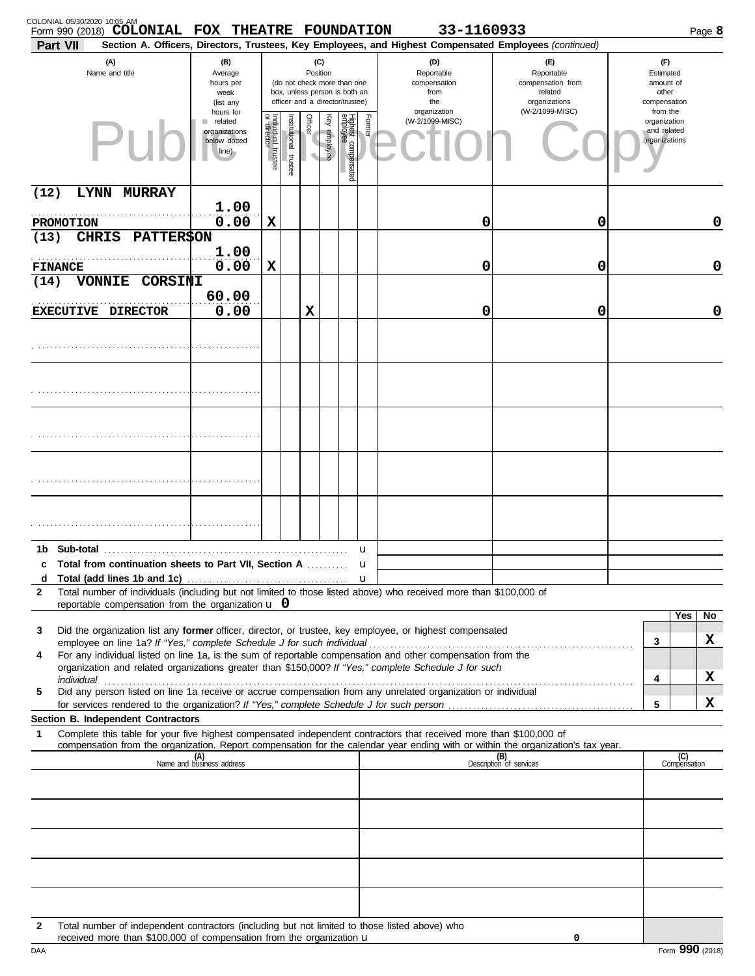| COLONIAL 05/30/2020 10:05 AM<br>Form 990 (2018) COLONIAL FOX THEATRE FOUNDATION<br>Part VII                                                                                                                                                                 |                                                                                                                                                                        |                                      |                       |         |                                                  |                                                                    |                                                        | 33-1160933<br>Section A. Officers, Directors, Trustees, Key Employees, and Highest Compensated Employees (continued) |                                |  |                                                          | Page 8              |
|-------------------------------------------------------------------------------------------------------------------------------------------------------------------------------------------------------------------------------------------------------------|------------------------------------------------------------------------------------------------------------------------------------------------------------------------|--------------------------------------|-----------------------|---------|--------------------------------------------------|--------------------------------------------------------------------|--------------------------------------------------------|----------------------------------------------------------------------------------------------------------------------|--------------------------------|--|----------------------------------------------------------|---------------------|
| (A)<br>Name and title                                                                                                                                                                                                                                       | (C)<br>(B)<br>Position<br>Average<br>(do not check more than one<br>hours per<br>box, unless person is both an<br>week<br>officer and a director/trustee)<br>(list any |                                      |                       |         | (D)<br>Reportable<br>compensation<br>from<br>the | (E)<br>Reportable<br>compensation from<br>related<br>organizations | (F)<br>Estimated<br>amount of<br>other<br>compensation |                                                                                                                      |                                |  |                                                          |                     |
|                                                                                                                                                                                                                                                             | hours for<br>related<br>٠<br>organizations<br>below dotted<br>line)                                                                                                    | Individual<br>or director<br>trustee | Institutional trustee | Officer | Key employee                                     | Highest compensated<br>employee                                    | Former                                                 | organization<br>(W-2/1099-MISC)                                                                                      | (W-2/1099-MISC)                |  | from the<br>organization<br>and related<br>organizations |                     |
| <b>LYNN MURRAY</b><br>(12)                                                                                                                                                                                                                                  |                                                                                                                                                                        |                                      |                       |         |                                                  |                                                                    |                                                        |                                                                                                                      |                                |  |                                                          |                     |
| PROMOTION                                                                                                                                                                                                                                                   | 1.00<br>0.00                                                                                                                                                           | X                                    |                       |         |                                                  |                                                                    |                                                        | 0                                                                                                                    | 0                              |  |                                                          | 0                   |
| <b>CHRIS</b><br><b>PATTER\$ON</b><br>(13)                                                                                                                                                                                                                   | 1.00<br>0.00                                                                                                                                                           | X                                    |                       |         |                                                  |                                                                    |                                                        | 0                                                                                                                    | 0                              |  |                                                          | 0                   |
| <b>FINANCE</b><br>VONNIE CORSINI<br>(14)                                                                                                                                                                                                                    |                                                                                                                                                                        |                                      |                       |         |                                                  |                                                                    |                                                        |                                                                                                                      |                                |  |                                                          |                     |
| <b>EXECUTIVE DIRECTOR</b>                                                                                                                                                                                                                                   | 60.00<br>0.00                                                                                                                                                          |                                      |                       | X       |                                                  |                                                                    |                                                        | 0                                                                                                                    | 0                              |  |                                                          | 0                   |
|                                                                                                                                                                                                                                                             |                                                                                                                                                                        |                                      |                       |         |                                                  |                                                                    |                                                        |                                                                                                                      |                                |  |                                                          |                     |
|                                                                                                                                                                                                                                                             |                                                                                                                                                                        |                                      |                       |         |                                                  |                                                                    |                                                        |                                                                                                                      |                                |  |                                                          |                     |
|                                                                                                                                                                                                                                                             |                                                                                                                                                                        |                                      |                       |         |                                                  |                                                                    |                                                        |                                                                                                                      |                                |  |                                                          |                     |
|                                                                                                                                                                                                                                                             |                                                                                                                                                                        |                                      |                       |         |                                                  |                                                                    |                                                        |                                                                                                                      |                                |  |                                                          |                     |
|                                                                                                                                                                                                                                                             |                                                                                                                                                                        |                                      |                       |         |                                                  |                                                                    |                                                        |                                                                                                                      |                                |  |                                                          |                     |
|                                                                                                                                                                                                                                                             |                                                                                                                                                                        |                                      |                       |         |                                                  |                                                                    |                                                        |                                                                                                                      |                                |  |                                                          |                     |
| 1b Sub-total<br>c Total from continuation sheets to Part VII, Section A                                                                                                                                                                                     |                                                                                                                                                                        |                                      |                       |         |                                                  |                                                                    | u<br>u                                                 |                                                                                                                      |                                |  |                                                          |                     |
| d<br>Total number of individuals (including but not limited to those listed above) who received more than \$100,000 of<br>2                                                                                                                                 |                                                                                                                                                                        |                                      |                       |         |                                                  |                                                                    | u                                                      |                                                                                                                      |                                |  |                                                          |                     |
| reportable compensation from the organization $\bf{u}$ 0                                                                                                                                                                                                    |                                                                                                                                                                        |                                      |                       |         |                                                  |                                                                    |                                                        |                                                                                                                      |                                |  |                                                          | Yes<br>No.          |
| Did the organization list any former officer, director, or trustee, key employee, or highest compensated<br>3                                                                                                                                               |                                                                                                                                                                        |                                      |                       |         |                                                  |                                                                    |                                                        |                                                                                                                      |                                |  | 3                                                        | X                   |
| For any individual listed on line 1a, is the sum of reportable compensation and other compensation from the<br>4<br>organization and related organizations greater than \$150,000? If "Yes," complete Schedule J for such                                   |                                                                                                                                                                        |                                      |                       |         |                                                  |                                                                    |                                                        |                                                                                                                      |                                |  |                                                          |                     |
| individual<br>Did any person listed on line 1a receive or accrue compensation from any unrelated organization or individual<br>5                                                                                                                            |                                                                                                                                                                        |                                      |                       |         |                                                  |                                                                    |                                                        |                                                                                                                      |                                |  | 4                                                        | X                   |
| Section B. Independent Contractors                                                                                                                                                                                                                          |                                                                                                                                                                        |                                      |                       |         |                                                  |                                                                    |                                                        |                                                                                                                      |                                |  | 5                                                        | x                   |
| Complete this table for your five highest compensated independent contractors that received more than \$100,000 of<br>1<br>compensation from the organization. Report compensation for the calendar year ending with or within the organization's tax year. |                                                                                                                                                                        |                                      |                       |         |                                                  |                                                                    |                                                        |                                                                                                                      |                                |  |                                                          |                     |
|                                                                                                                                                                                                                                                             | (A)<br>Name and business address                                                                                                                                       |                                      |                       |         |                                                  |                                                                    |                                                        |                                                                                                                      | (B)<br>Description of services |  |                                                          | (C)<br>Compensation |
|                                                                                                                                                                                                                                                             |                                                                                                                                                                        |                                      |                       |         |                                                  |                                                                    |                                                        |                                                                                                                      |                                |  |                                                          |                     |
|                                                                                                                                                                                                                                                             |                                                                                                                                                                        |                                      |                       |         |                                                  |                                                                    |                                                        |                                                                                                                      |                                |  |                                                          |                     |
|                                                                                                                                                                                                                                                             |                                                                                                                                                                        |                                      |                       |         |                                                  |                                                                    |                                                        |                                                                                                                      |                                |  |                                                          |                     |
|                                                                                                                                                                                                                                                             |                                                                                                                                                                        |                                      |                       |         |                                                  |                                                                    |                                                        |                                                                                                                      |                                |  |                                                          |                     |
|                                                                                                                                                                                                                                                             |                                                                                                                                                                        |                                      |                       |         |                                                  |                                                                    |                                                        |                                                                                                                      |                                |  |                                                          |                     |
| Total number of independent contractors (including but not limited to those listed above) who<br>$\mathbf{2}$<br>received more than \$100,000 of compensation from the organization u                                                                       |                                                                                                                                                                        |                                      |                       |         |                                                  |                                                                    |                                                        |                                                                                                                      | 0                              |  |                                                          |                     |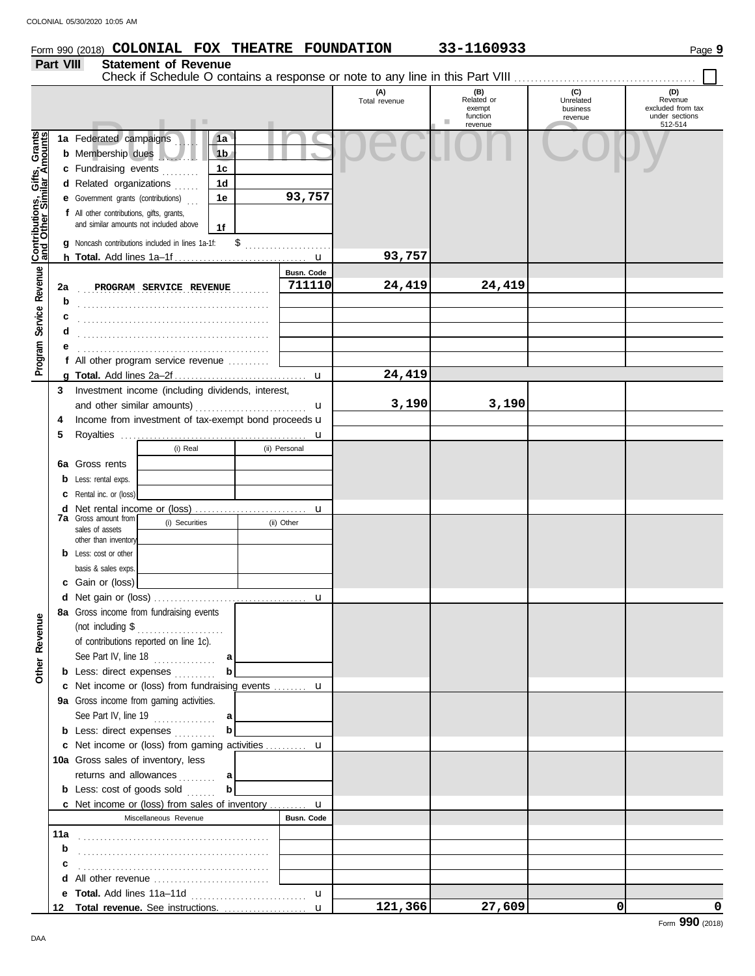|                  | Form 990 (2018) COLONIAL FOX ' | <b>THEATRE</b> | <b>FOUNDATION</b> | 33-1160933 | Page 9 |
|------------------|--------------------------------|----------------|-------------------|------------|--------|
| <b>Part VIII</b> | <b>Statement of Revenue</b>    |                |                   |            |        |

 $\Box$ 

|                                                           |         | a sa Bara                                                                                                                                                                                                                                                                                                          |                            | (A)<br>Total revenue | (B)<br>Related or<br>exempt<br>function<br>ш<br>revenue | (C)<br>Unrelated<br>business<br>revenue | (D)<br>Revenue<br>excluded from tax<br>under sections<br>512-514 |  |  |
|-----------------------------------------------------------|---------|--------------------------------------------------------------------------------------------------------------------------------------------------------------------------------------------------------------------------------------------------------------------------------------------------------------------|----------------------------|----------------------|---------------------------------------------------------|-----------------------------------------|------------------------------------------------------------------|--|--|
| Contributions, Gifts, Grants<br>and Other Similar Amounts |         | 1a Federated campaigns<br>1a<br><b>b</b> Membership dues<br>1 <sub>b</sub><br>1 <sub>c</sub><br>c Fundraising events<br>1 <sub>d</sub><br>d Related organizations<br>1e<br><b>e</b> Government grants (contributions)<br>f All other contributions, gifts, grants,<br>and similar amounts not included above<br>1f | 93,757                     |                      |                                                         |                                         |                                                                  |  |  |
|                                                           |         | \$<br><b>g</b> Noncash contributions included in lines 1a-1f:                                                                                                                                                                                                                                                      | .                          | 93,757               |                                                         |                                         |                                                                  |  |  |
|                                                           |         |                                                                                                                                                                                                                                                                                                                    | $\mathbf{u}$<br>Busn. Code |                      |                                                         |                                         |                                                                  |  |  |
| Service Revenue                                           | 2a<br>b | PROGRAM SERVICE REVENUE                                                                                                                                                                                                                                                                                            | 711110                     | 24,419               | 24,419                                                  |                                         |                                                                  |  |  |
|                                                           | с       |                                                                                                                                                                                                                                                                                                                    |                            |                      |                                                         |                                         |                                                                  |  |  |
|                                                           | d       |                                                                                                                                                                                                                                                                                                                    |                            |                      |                                                         |                                         |                                                                  |  |  |
|                                                           |         |                                                                                                                                                                                                                                                                                                                    |                            |                      |                                                         |                                         |                                                                  |  |  |
| Program :                                                 |         | f All other program service revenue $\ldots$                                                                                                                                                                                                                                                                       |                            | 24,419               |                                                         |                                         |                                                                  |  |  |
|                                                           |         |                                                                                                                                                                                                                                                                                                                    |                            |                      |                                                         |                                         |                                                                  |  |  |
|                                                           | 3       | Investment income (including dividends, interest,<br>Income from investment of tax-exempt bond proceeds u                                                                                                                                                                                                          | u                          | 3,190                | 3,190                                                   |                                         |                                                                  |  |  |
|                                                           | 5       |                                                                                                                                                                                                                                                                                                                    |                            |                      |                                                         |                                         |                                                                  |  |  |
|                                                           |         | (i) Real                                                                                                                                                                                                                                                                                                           | (ii) Personal              |                      |                                                         |                                         |                                                                  |  |  |
|                                                           |         | 6a Gross rents                                                                                                                                                                                                                                                                                                     |                            |                      |                                                         |                                         |                                                                  |  |  |
|                                                           | b       | Less: rental exps.                                                                                                                                                                                                                                                                                                 |                            |                      |                                                         |                                         |                                                                  |  |  |
|                                                           | c       | Rental inc. or (loss)                                                                                                                                                                                                                                                                                              |                            |                      |                                                         |                                         |                                                                  |  |  |
|                                                           | d       | <b>7a</b> Gross amount from                                                                                                                                                                                                                                                                                        |                            |                      |                                                         |                                         |                                                                  |  |  |
|                                                           |         | (i) Securities<br>sales of assets                                                                                                                                                                                                                                                                                  | (ii) Other                 |                      |                                                         |                                         |                                                                  |  |  |
|                                                           |         | other than inventory                                                                                                                                                                                                                                                                                               |                            |                      |                                                         |                                         |                                                                  |  |  |
|                                                           |         | <b>b</b> Less: cost or other                                                                                                                                                                                                                                                                                       |                            |                      |                                                         |                                         |                                                                  |  |  |
|                                                           |         | basis & sales exps                                                                                                                                                                                                                                                                                                 |                            |                      |                                                         |                                         |                                                                  |  |  |
|                                                           |         | c Gain or (loss)                                                                                                                                                                                                                                                                                                   |                            |                      |                                                         |                                         |                                                                  |  |  |
|                                                           |         |                                                                                                                                                                                                                                                                                                                    |                            |                      |                                                         |                                         |                                                                  |  |  |
| ٩                                                         |         | 8a Gross income from fundraising events                                                                                                                                                                                                                                                                            |                            |                      |                                                         |                                         |                                                                  |  |  |
| Other Reven                                               |         | (not including $\$\dots$                                                                                                                                                                                                                                                                                           |                            |                      |                                                         |                                         |                                                                  |  |  |
|                                                           |         | of contributions reported on line 1c).<br>al                                                                                                                                                                                                                                                                       |                            |                      |                                                         |                                         |                                                                  |  |  |
|                                                           |         | See Part IV, line $18$<br>b<br><b>b</b> Less: direct expenses                                                                                                                                                                                                                                                      |                            |                      |                                                         |                                         |                                                                  |  |  |
|                                                           |         | c Net income or (loss) from fundraising events  u                                                                                                                                                                                                                                                                  |                            |                      |                                                         |                                         |                                                                  |  |  |
|                                                           |         | 9a Gross income from gaming activities.                                                                                                                                                                                                                                                                            |                            |                      |                                                         |                                         |                                                                  |  |  |
|                                                           |         | See Part IV, line $19$<br>a l                                                                                                                                                                                                                                                                                      |                            |                      |                                                         |                                         |                                                                  |  |  |
|                                                           |         | b<br><b>b</b> Less: direct expenses                                                                                                                                                                                                                                                                                |                            |                      |                                                         |                                         |                                                                  |  |  |
|                                                           |         | c Net income or (loss) from gaming activities  u                                                                                                                                                                                                                                                                   |                            |                      |                                                         |                                         |                                                                  |  |  |
|                                                           |         | 10a Gross sales of inventory, less                                                                                                                                                                                                                                                                                 |                            |                      |                                                         |                                         |                                                                  |  |  |
|                                                           |         | returns and allowances  a                                                                                                                                                                                                                                                                                          |                            |                      |                                                         |                                         |                                                                  |  |  |
|                                                           |         | b<br><b>b</b> Less: $cost$ of goods $sol$                                                                                                                                                                                                                                                                          |                            |                      |                                                         |                                         |                                                                  |  |  |
|                                                           |         | <b>c</b> Net income or (loss) from sales of inventory $\mathbf{u}$                                                                                                                                                                                                                                                 |                            |                      |                                                         |                                         |                                                                  |  |  |
|                                                           |         | Miscellaneous Revenue                                                                                                                                                                                                                                                                                              | <b>Busn. Code</b>          |                      |                                                         |                                         |                                                                  |  |  |
|                                                           | 11a     |                                                                                                                                                                                                                                                                                                                    |                            |                      |                                                         |                                         |                                                                  |  |  |
|                                                           | b       |                                                                                                                                                                                                                                                                                                                    |                            |                      |                                                         |                                         |                                                                  |  |  |
|                                                           | c       |                                                                                                                                                                                                                                                                                                                    |                            |                      |                                                         |                                         |                                                                  |  |  |
|                                                           | d       |                                                                                                                                                                                                                                                                                                                    |                            |                      |                                                         |                                         |                                                                  |  |  |
|                                                           |         |                                                                                                                                                                                                                                                                                                                    | $\mathbf{u}$               |                      |                                                         |                                         |                                                                  |  |  |

 $\mathbf{u}$ 

**121,366 27,609 0 0**

**Total revenue.** See instructions. . . . . . . . . . . . . . . . . . . . . **12**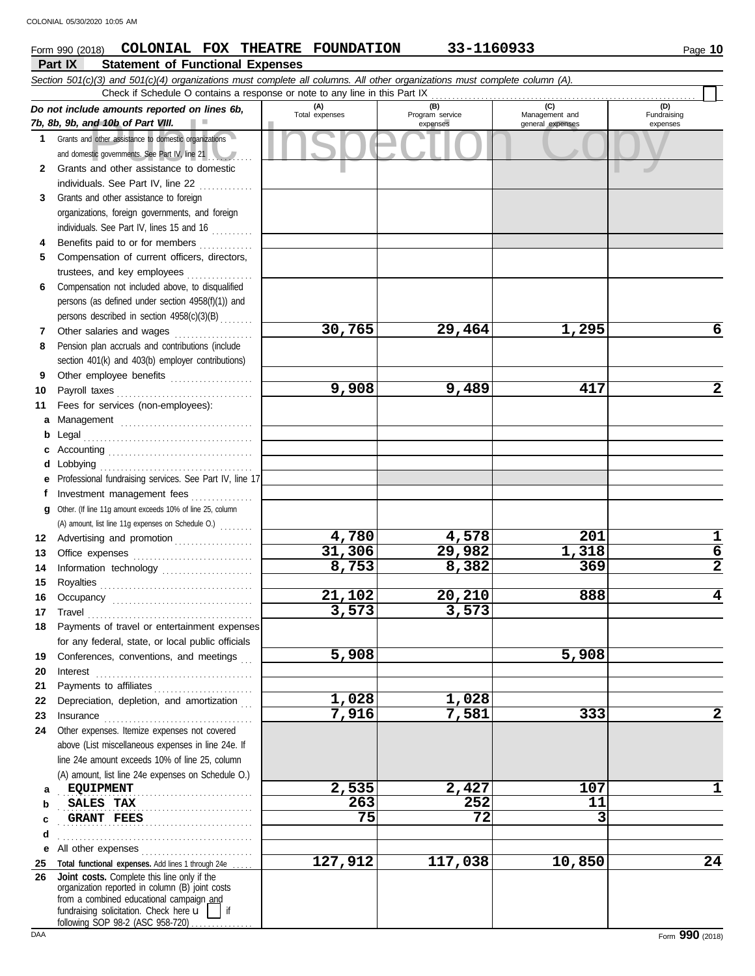# **Part IX Statement of Functional Expenses** Form 990 (2018) Page **10 COLONIAL FOX THEATRE FOUNDATION 33-1160933** *Section 501(c)(3) and 501(c)(4) organizations must complete all columns. All other organizations must complete column (A).*

|              | Check if Schedule O contains a response or note to any line in this Part IX                                                                |                       |                        |                       |                         |
|--------------|--------------------------------------------------------------------------------------------------------------------------------------------|-----------------------|------------------------|-----------------------|-------------------------|
|              | Do not include amounts reported on lines 6b,                                                                                               | (A)<br>Total expenses | (B)<br>Program service | (C)<br>Management and | (D)<br>Fundraising      |
|              | 7b, 8b, 9b, and 10b of Part VIII.                                                                                                          |                       | expenses               | general expenses      | expenses                |
| 1            | Grants and other assistance to domestic organizations                                                                                      |                       |                        |                       |                         |
|              | and domestic governments. See Part IV, line 21                                                                                             |                       |                        |                       |                         |
| $\mathbf{2}$ | Grants and other assistance to domestic                                                                                                    |                       |                        |                       |                         |
|              | individuals. See Part IV, line 22                                                                                                          |                       |                        |                       |                         |
| 3            | Grants and other assistance to foreign                                                                                                     |                       |                        |                       |                         |
|              | organizations, foreign governments, and foreign                                                                                            |                       |                        |                       |                         |
|              | individuals. See Part IV, lines 15 and 16                                                                                                  |                       |                        |                       |                         |
| 4            | Benefits paid to or for members                                                                                                            |                       |                        |                       |                         |
| 5            | Compensation of current officers, directors,                                                                                               |                       |                        |                       |                         |
|              | trustees, and key employees                                                                                                                |                       |                        |                       |                         |
| 6            | Compensation not included above, to disqualified                                                                                           |                       |                        |                       |                         |
|              | persons (as defined under section 4958(f)(1)) and                                                                                          |                       |                        |                       |                         |
|              | persons described in section 4958(c)(3)(B)                                                                                                 |                       |                        |                       |                         |
| 7            | Other salaries and wages                                                                                                                   | 30,765                | 29,464                 | 1,295                 | 6                       |
| 8            | Pension plan accruals and contributions (include                                                                                           |                       |                        |                       |                         |
|              | section 401(k) and 403(b) employer contributions)                                                                                          |                       |                        |                       |                         |
| 9            | Other employee benefits                                                                                                                    |                       |                        |                       |                         |
| 10           | Payroll taxes                                                                                                                              | 9,908                 | 9,489                  | 417                   | 2                       |
| 11           | Fees for services (non-employees):                                                                                                         |                       |                        |                       |                         |
| а            | Management                                                                                                                                 |                       |                        |                       |                         |
| b            | Legal                                                                                                                                      |                       |                        |                       |                         |
| c            |                                                                                                                                            |                       |                        |                       |                         |
| d            |                                                                                                                                            |                       |                        |                       |                         |
| е            | Professional fundraising services. See Part IV, line 17                                                                                    |                       |                        |                       |                         |
| f            | Investment management fees<br>.                                                                                                            |                       |                        |                       |                         |
| a            | Other. (If line 11g amount exceeds 10% of line 25, column                                                                                  |                       |                        |                       |                         |
|              | (A) amount, list line 11g expenses on Schedule O.)                                                                                         |                       |                        |                       |                         |
| 12           | Advertising and promotion                                                                                                                  | 4,780                 | 4,578                  | 201                   | 1                       |
| 13           |                                                                                                                                            | 31,306                | 29,982                 | 1,318                 | $\overline{6}$          |
| 14           | Information technology                                                                                                                     | 8,753                 | 8,382                  | 369                   | $\overline{2}$          |
| 15           |                                                                                                                                            |                       |                        |                       |                         |
| 16           |                                                                                                                                            | 21,102                | 20,210                 | 888                   | 4                       |
| 17           | Travel                                                                                                                                     | 3,573                 | 3,573                  |                       |                         |
| 18           | Payments of travel or entertainment expenses                                                                                               |                       |                        |                       |                         |
|              | for any federal, state, or local public officials                                                                                          |                       |                        |                       |                         |
| 19           | Conferences, conventions, and meetings                                                                                                     | 5,908                 |                        | 5,908                 |                         |
| 20           | Interest                                                                                                                                   |                       |                        |                       |                         |
| 21           | Payments to affiliates                                                                                                                     |                       |                        |                       |                         |
| 22           | Depreciation, depletion, and amortization                                                                                                  | 1,028                 | 1,028                  |                       |                         |
| 23           |                                                                                                                                            | 7,916                 | 7,581                  | 333                   | $\overline{\mathbf{2}}$ |
| 24           | Other expenses. Itemize expenses not covered                                                                                               |                       |                        |                       |                         |
|              | above (List miscellaneous expenses in line 24e. If                                                                                         |                       |                        |                       |                         |
|              | line 24e amount exceeds 10% of line 25, column                                                                                             |                       |                        |                       |                         |
|              | (A) amount, list line 24e expenses on Schedule O.)                                                                                         |                       |                        |                       |                         |
| a            | <b>EQUIPMENT</b>                                                                                                                           | 2,535                 | 2,427                  | 107                   | 1                       |
| b            | SALES TAX                                                                                                                                  | 263                   | 252                    | 11                    |                         |
| c            | <b>GRANT FEES</b>                                                                                                                          | 75                    | 72                     | 3                     |                         |
| d            |                                                                                                                                            |                       |                        |                       |                         |
| е            | All other expenses                                                                                                                         |                       |                        |                       |                         |
| 25           | Total functional expenses. Add lines 1 through 24e                                                                                         | 127,912               | 117,038                | 10,850                | 24                      |
| 26           | Joint costs. Complete this line only if the<br>organization reported in column (B) joint costs<br>from a combined educational campaign and |                       |                        |                       |                         |
|              | fundraising solicitation. Check here $\mathbf{u}$<br>if<br>following SOP 98-2 (ASC 958-720)                                                |                       |                        |                       |                         |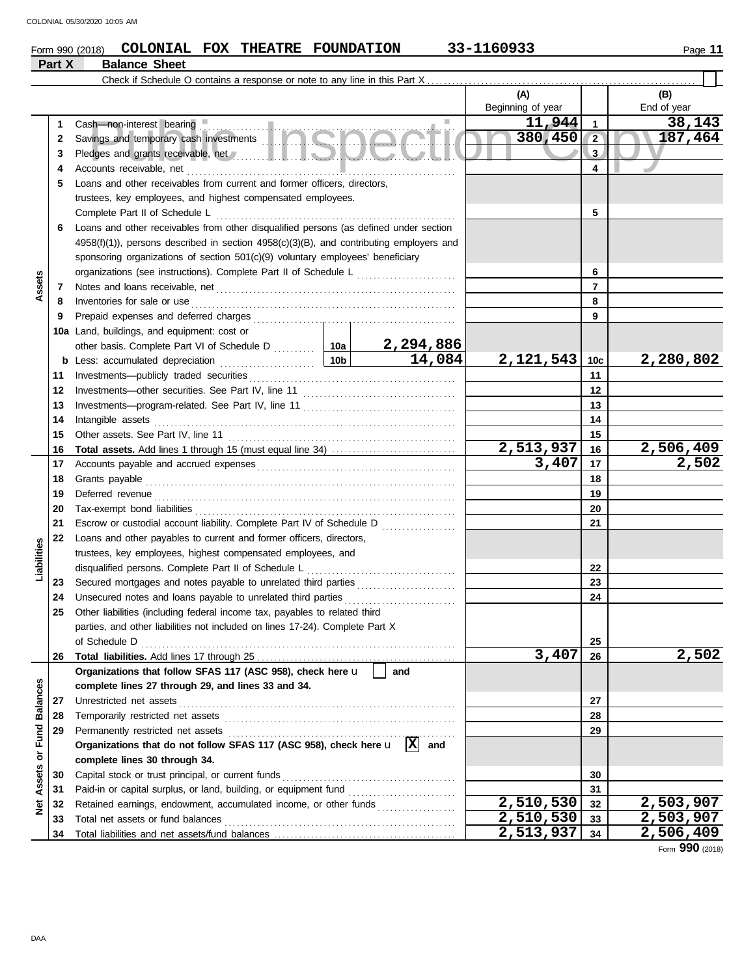### Form 990 (2018) Page **11 COLONIAL FOX THEATRE FOUNDATION 33-1160933**

## **Part X Balance Sheet**

|                   |          |                                                                                                                                            |         |            | (A)               |                 | (B)                       |  |  |
|-------------------|----------|--------------------------------------------------------------------------------------------------------------------------------------------|---------|------------|-------------------|-----------------|---------------------------|--|--|
|                   |          |                                                                                                                                            |         |            | Beginning of year |                 | End of year               |  |  |
|                   | 1.       | Cash-non-interest bearing                                                                                                                  |         |            | 11,944            | $\mathbf{1}$    | 38,143                    |  |  |
|                   | 2        | Cash—non-interest bearing<br>Savings and temporary cash investments                                                                        | 380,450 | $\sqrt{2}$ | 187,464           |                 |                           |  |  |
|                   | 3        |                                                                                                                                            |         |            |                   | 3 <sub>1</sub>  |                           |  |  |
|                   | 4        | Accounts receivable, net                                                                                                                   |         |            |                   | 4               |                           |  |  |
|                   | 5        | Loans and other receivables from current and former officers, directors,                                                                   |         |            |                   |                 |                           |  |  |
|                   |          | trustees, key employees, and highest compensated employees.                                                                                |         |            |                   |                 |                           |  |  |
|                   |          | Complete Part II of Schedule L                                                                                                             |         |            |                   | 5               |                           |  |  |
|                   | 6        | Loans and other receivables from other disqualified persons (as defined under section                                                      |         |            |                   |                 |                           |  |  |
|                   |          | $4958(f)(1)$ , persons described in section $4958(c)(3)(B)$ , and contributing employers and                                               |         |            |                   |                 |                           |  |  |
|                   |          | sponsoring organizations of section 501(c)(9) voluntary employees' beneficiary                                                             |         |            |                   |                 |                           |  |  |
|                   |          |                                                                                                                                            |         |            |                   | 6               |                           |  |  |
| Assets            | 7        |                                                                                                                                            |         |            |                   | 7               |                           |  |  |
|                   | 8        |                                                                                                                                            |         |            |                   | 8               |                           |  |  |
|                   | 9        |                                                                                                                                            |         |            |                   | 9               |                           |  |  |
|                   |          | 10a Land, buildings, and equipment: cost or                                                                                                |         |            |                   |                 |                           |  |  |
|                   |          |                                                                                                                                            |         |            |                   |                 |                           |  |  |
|                   |          | <b>b</b> Less: accumulated depreciation                                                                                                    |         |            | 2,121,543         | 10 <sub>c</sub> | 2,280,802                 |  |  |
|                   | 11       |                                                                                                                                            |         |            |                   | 11              |                           |  |  |
|                   | 12       |                                                                                                                                            |         | 12         |                   |                 |                           |  |  |
|                   | 13       |                                                                                                                                            |         | 13         |                   |                 |                           |  |  |
|                   | 14       | Intangible assets                                                                                                                          |         | 14         |                   |                 |                           |  |  |
|                   | 15       |                                                                                                                                            |         | 15         |                   |                 |                           |  |  |
|                   | 16       |                                                                                                                                            |         |            | <u>2,513,937</u>  | 16              | $\frac{2,506,409}{2,502}$ |  |  |
|                   | 17       |                                                                                                                                            |         |            | 3,407             | 17              |                           |  |  |
|                   | 18       | Grants payable                                                                                                                             |         | 18         |                   |                 |                           |  |  |
|                   | 19       |                                                                                                                                            |         |            |                   | 19              |                           |  |  |
|                   | 20       |                                                                                                                                            |         |            |                   | 20              |                           |  |  |
|                   | 21       | Escrow or custodial account liability. Complete Part IV of Schedule D                                                                      |         |            |                   | 21              |                           |  |  |
|                   | 22       | Loans and other payables to current and former officers, directors,                                                                        |         |            |                   |                 |                           |  |  |
| Liabilities       |          | trustees, key employees, highest compensated employees, and                                                                                |         |            |                   |                 |                           |  |  |
|                   |          |                                                                                                                                            |         |            |                   | 22              |                           |  |  |
|                   | 23       |                                                                                                                                            |         |            |                   | 23<br>24        |                           |  |  |
|                   | 24<br>25 | Unsecured notes and loans payable to unrelated third parties<br>Other liabilities (including federal income tax, payables to related third |         |            |                   |                 |                           |  |  |
|                   |          | parties, and other liabilities not included on lines 17-24). Complete Part X                                                               |         |            |                   |                 |                           |  |  |
|                   |          | of Schedule D                                                                                                                              |         |            |                   | 25              |                           |  |  |
|                   | 26       |                                                                                                                                            |         |            | 3,407             | 26              | 2,502                     |  |  |
|                   |          | Organizations that follow SFAS 117 (ASC 958), check here u                                                                                 |         | and        |                   |                 |                           |  |  |
|                   |          | complete lines 27 through 29, and lines 33 and 34.                                                                                         |         |            |                   |                 |                           |  |  |
|                   | 27       | Unrestricted net assets                                                                                                                    |         |            |                   | 27              |                           |  |  |
| or Fund Balances  | 28       | Temporarily restricted net assets                                                                                                          |         |            |                   | 28              |                           |  |  |
|                   | 29       | Permanently restricted net assets                                                                                                          |         |            |                   | 29              |                           |  |  |
|                   |          | SEAS 117 (ASC 958), check here $\overline{X}$ and<br>Organizations that do not follow SFAS 117 (ASC 958), check here u                     |         |            |                   |                 |                           |  |  |
|                   |          | complete lines 30 through 34.                                                                                                              |         |            |                   |                 |                           |  |  |
|                   | 30       | Capital stock or trust principal, or current funds                                                                                         |         |            |                   | 30              |                           |  |  |
|                   | 31       | Paid-in or capital surplus, or land, building, or equipment fund                                                                           |         |            |                   | 31              |                           |  |  |
| <b>Net Assets</b> | 32       | Retained earnings, endowment, accumulated income, or other funds                                                                           |         |            | 2,510,530         | 32              | <u>2,503,907</u>          |  |  |
|                   | 33       | Total net assets or fund balances                                                                                                          |         |            | 2,510,530         | 33              | 2,503,907                 |  |  |
|                   | 34       |                                                                                                                                            |         |            | 2,513,937         | 34              | 2,506,409                 |  |  |

DAA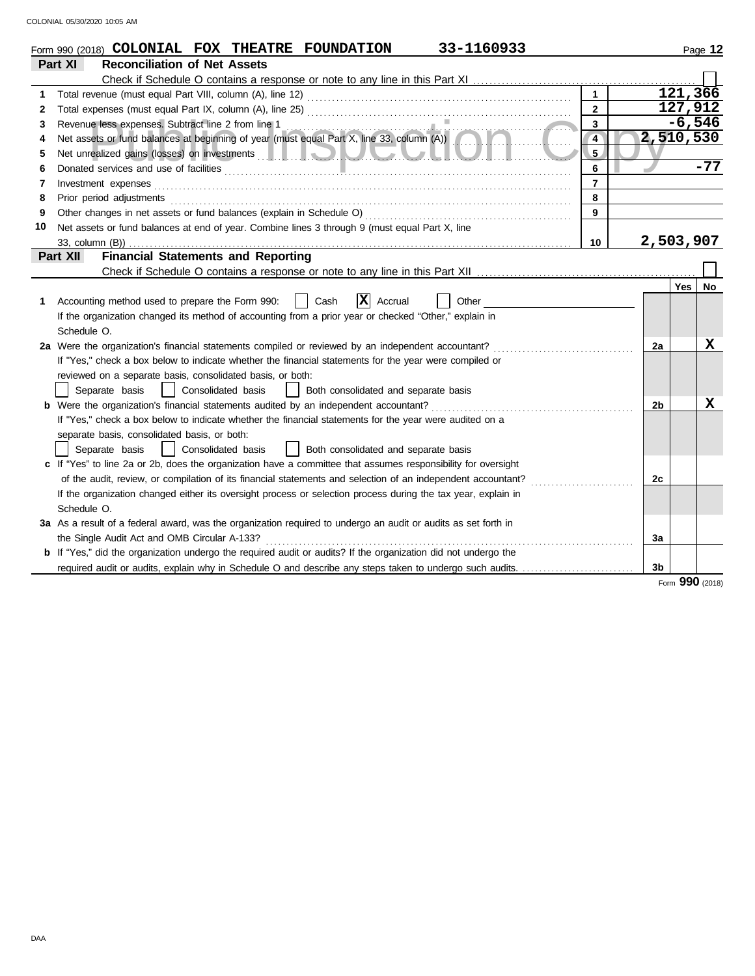|    | 33-1160933<br>Form 990 (2018) COLONIAL FOX THEATRE FOUNDATION                                                                                   |                |                |            | Page 12 |
|----|-------------------------------------------------------------------------------------------------------------------------------------------------|----------------|----------------|------------|---------|
|    | <b>Reconciliation of Net Assets</b><br>Part XI                                                                                                  |                |                |            |         |
|    |                                                                                                                                                 |                |                |            |         |
| 1  |                                                                                                                                                 |                |                | 121,366    |         |
| 2  |                                                                                                                                                 | $\mathbf{2}$   |                | 127,912    |         |
| 3  |                                                                                                                                                 | $\mathbf{3}$   |                | $-6,546$   |         |
| 4  | Revenue less expenses. Subtract line 2 from line 1<br>Net assets or fund balances at beginning of year (must equal Part X, line 33, column (A)) | $\overline{4}$ | 2,510,530      |            |         |
| 5  |                                                                                                                                                 | 5              |                |            |         |
| 6  |                                                                                                                                                 | 6              |                |            | $-77$   |
| 7  | Investment expenses                                                                                                                             | $\overline{7}$ |                |            |         |
| 8  | Prior period adjustments <b>construction and construction of the construction</b> and construction of the construction                          | 8              |                |            |         |
| 9  |                                                                                                                                                 | 9              |                |            |         |
| 10 | Net assets or fund balances at end of year. Combine lines 3 through 9 (must equal Part X, line                                                  |                |                |            |         |
|    | 33, column (B))                                                                                                                                 | 10             | 2,503,907      |            |         |
|    | <b>Financial Statements and Reporting</b><br>Part XII                                                                                           |                |                |            |         |
|    |                                                                                                                                                 |                |                |            |         |
|    |                                                                                                                                                 |                |                | <b>Yes</b> | No      |
| 1  | $\vert \mathbf{x} \vert$<br>Accounting method used to prepare the Form 990:<br>Cash<br>Accrual<br>Other                                         |                |                |            |         |
|    | If the organization changed its method of accounting from a prior year or checked "Other," explain in                                           |                |                |            |         |
|    | Schedule O.                                                                                                                                     |                |                |            |         |
|    | 2a Were the organization's financial statements compiled or reviewed by an independent accountant?                                              |                | 2a             |            | х       |
|    | If "Yes," check a box below to indicate whether the financial statements for the year were compiled or                                          |                |                |            |         |
|    | reviewed on a separate basis, consolidated basis, or both:                                                                                      |                |                |            |         |
|    | Both consolidated and separate basis<br>Separate basis<br>Consolidated basis                                                                    |                |                |            |         |
|    | <b>b</b> Were the organization's financial statements audited by an independent accountant?                                                     |                | 2b             |            | х       |
|    | If "Yes," check a box below to indicate whether the financial statements for the year were audited on a                                         |                |                |            |         |
|    | separate basis, consolidated basis, or both:                                                                                                    |                |                |            |         |
|    | Separate basis<br>Consolidated basis<br>  Both consolidated and separate basis                                                                  |                |                |            |         |
|    | c If "Yes" to line 2a or 2b, does the organization have a committee that assumes responsibility for oversight                                   |                |                |            |         |
|    | of the audit, review, or compilation of its financial statements and selection of an independent accountant?                                    |                | 2c             |            |         |
|    | If the organization changed either its oversight process or selection process during the tax year, explain in                                   |                |                |            |         |
|    | Schedule O.                                                                                                                                     |                |                |            |         |
|    | 3a As a result of a federal award, was the organization required to undergo an audit or audits as set forth in                                  |                |                |            |         |
|    | the Single Audit Act and OMB Circular A-133?                                                                                                    |                | За             |            |         |
|    | <b>b</b> If "Yes," did the organization undergo the required audit or audits? If the organization did not undergo the                           |                |                |            |         |
|    | required audit or audits, explain why in Schedule O and describe any steps taken to undergo such audits.                                        |                | 3 <sub>b</sub> |            |         |

Form **990** (2018)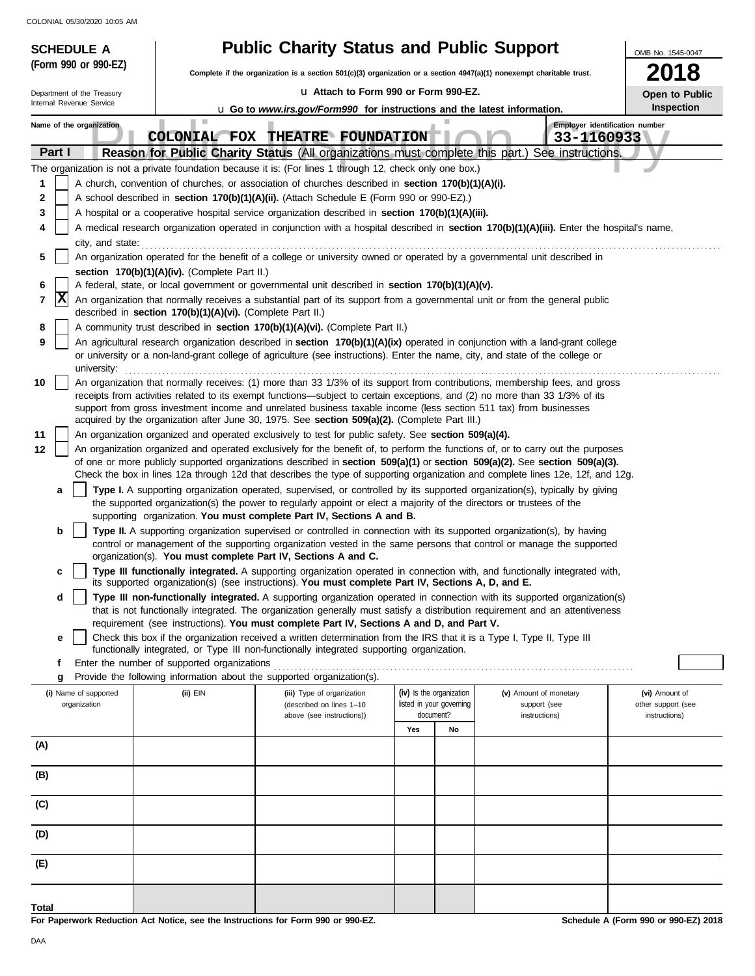| <b>SCHEDULE A</b>                                                                                                                                                   |                                                                                                                                                                                                                                                            | <b>Public Charity Status and Public Support</b>                                                                                                                                                                                                                 |                                       |                               | OMB No. 1545-0047                   |  |  |  |
|---------------------------------------------------------------------------------------------------------------------------------------------------------------------|------------------------------------------------------------------------------------------------------------------------------------------------------------------------------------------------------------------------------------------------------------|-----------------------------------------------------------------------------------------------------------------------------------------------------------------------------------------------------------------------------------------------------------------|---------------------------------------|-------------------------------|-------------------------------------|--|--|--|
| (Form 990 or 990-EZ)                                                                                                                                                |                                                                                                                                                                                                                                                            | Complete if the organization is a section 501(c)(3) organization or a section 4947(a)(1) nonexempt charitable trust.                                                                                                                                            |                                       |                               | 2018                                |  |  |  |
| Department of the Treasury                                                                                                                                          |                                                                                                                                                                                                                                                            | La Attach to Form 990 or Form 990-EZ.                                                                                                                                                                                                                           |                                       |                               | Open to Public                      |  |  |  |
| Internal Revenue Service                                                                                                                                            |                                                                                                                                                                                                                                                            | <b>u</b> Go to www.irs.gov/Form990 for instructions and the latest information.                                                                                                                                                                                 |                                       |                               | Inspection                          |  |  |  |
| Name of the organization                                                                                                                                            | <b>In</b>                                                                                                                                                                                                                                                  | COLONIAL FOX THEATRE FOUNDATION                                                                                                                                                                                                                                 |                                       | 33-1160933                    | Employer identification number      |  |  |  |
| Part I                                                                                                                                                              |                                                                                                                                                                                                                                                            | Reason for Public Charity Status (All organizations must complete this part.) See instructions.                                                                                                                                                                 |                                       |                               |                                     |  |  |  |
|                                                                                                                                                                     |                                                                                                                                                                                                                                                            | The organization is not a private foundation because it is: (For lines 1 through 12, check only one box.)                                                                                                                                                       |                                       |                               |                                     |  |  |  |
| 1                                                                                                                                                                   |                                                                                                                                                                                                                                                            | A church, convention of churches, or association of churches described in section 170(b)(1)(A)(i).                                                                                                                                                              |                                       |                               |                                     |  |  |  |
| 2                                                                                                                                                                   |                                                                                                                                                                                                                                                            | A school described in section 170(b)(1)(A)(ii). (Attach Schedule E (Form 990 or 990-EZ).)                                                                                                                                                                       |                                       |                               |                                     |  |  |  |
| 3                                                                                                                                                                   |                                                                                                                                                                                                                                                            | A hospital or a cooperative hospital service organization described in section 170(b)(1)(A)(iii).                                                                                                                                                               |                                       |                               |                                     |  |  |  |
| A medical research organization operated in conjunction with a hospital described in section 170(b)(1)(A)(iii). Enter the hospital's name,<br>4<br>city, and state: |                                                                                                                                                                                                                                                            |                                                                                                                                                                                                                                                                 |                                       |                               |                                     |  |  |  |
| 5                                                                                                                                                                   | An organization operated for the benefit of a college or university owned or operated by a governmental unit described in                                                                                                                                  |                                                                                                                                                                                                                                                                 |                                       |                               |                                     |  |  |  |
|                                                                                                                                                                     | section 170(b)(1)(A)(iv). (Complete Part II.)                                                                                                                                                                                                              |                                                                                                                                                                                                                                                                 |                                       |                               |                                     |  |  |  |
| 6                                                                                                                                                                   |                                                                                                                                                                                                                                                            | A federal, state, or local government or governmental unit described in section 170(b)(1)(A)(v).                                                                                                                                                                |                                       |                               |                                     |  |  |  |
| x <br>7                                                                                                                                                             | described in section 170(b)(1)(A)(vi). (Complete Part II.)                                                                                                                                                                                                 | An organization that normally receives a substantial part of its support from a governmental unit or from the general public                                                                                                                                    |                                       |                               |                                     |  |  |  |
| 8                                                                                                                                                                   |                                                                                                                                                                                                                                                            | A community trust described in section 170(b)(1)(A)(vi). (Complete Part II.)                                                                                                                                                                                    |                                       |                               |                                     |  |  |  |
| 9                                                                                                                                                                   |                                                                                                                                                                                                                                                            | An agricultural research organization described in section 170(b)(1)(A)(ix) operated in conjunction with a land-grant college<br>or university or a non-land-grant college of agriculture (see instructions). Enter the name, city, and state of the college or |                                       |                               |                                     |  |  |  |
| university:<br>10                                                                                                                                                   |                                                                                                                                                                                                                                                            |                                                                                                                                                                                                                                                                 |                                       |                               |                                     |  |  |  |
|                                                                                                                                                                     | An organization that normally receives: (1) more than 33 1/3% of its support from contributions, membership fees, and gross<br>receipts from activities related to its exempt functions—subject to certain exceptions, and (2) no more than 33 1/3% of its |                                                                                                                                                                                                                                                                 |                                       |                               |                                     |  |  |  |
|                                                                                                                                                                     | support from gross investment income and unrelated business taxable income (less section 511 tax) from businesses                                                                                                                                          |                                                                                                                                                                                                                                                                 |                                       |                               |                                     |  |  |  |
| 11                                                                                                                                                                  |                                                                                                                                                                                                                                                            | acquired by the organization after June 30, 1975. See section 509(a)(2). (Complete Part III.)<br>An organization organized and operated exclusively to test for public safety. See section 509(a)(4).                                                           |                                       |                               |                                     |  |  |  |
| 12                                                                                                                                                                  |                                                                                                                                                                                                                                                            | An organization organized and operated exclusively for the benefit of, to perform the functions of, or to carry out the purposes                                                                                                                                |                                       |                               |                                     |  |  |  |
|                                                                                                                                                                     |                                                                                                                                                                                                                                                            | of one or more publicly supported organizations described in section 509(a)(1) or section 509(a)(2). See section 509(a)(3).                                                                                                                                     |                                       |                               |                                     |  |  |  |
|                                                                                                                                                                     |                                                                                                                                                                                                                                                            | Check the box in lines 12a through 12d that describes the type of supporting organization and complete lines 12e, 12f, and 12g.                                                                                                                                 |                                       |                               |                                     |  |  |  |
| а                                                                                                                                                                   |                                                                                                                                                                                                                                                            | Type I. A supporting organization operated, supervised, or controlled by its supported organization(s), typically by giving<br>the supported organization(s) the power to regularly appoint or elect a majority of the directors or trustees of the             |                                       |                               |                                     |  |  |  |
|                                                                                                                                                                     |                                                                                                                                                                                                                                                            | supporting organization. You must complete Part IV, Sections A and B.                                                                                                                                                                                           |                                       |                               |                                     |  |  |  |
| b                                                                                                                                                                   |                                                                                                                                                                                                                                                            | Type II. A supporting organization supervised or controlled in connection with its supported organization(s), by having<br>control or management of the supporting organization vested in the same persons that control or manage the supported                 |                                       |                               |                                     |  |  |  |
|                                                                                                                                                                     |                                                                                                                                                                                                                                                            | organization(s). You must complete Part IV, Sections A and C.                                                                                                                                                                                                   |                                       |                               |                                     |  |  |  |
| c                                                                                                                                                                   |                                                                                                                                                                                                                                                            | Type III functionally integrated. A supporting organization operated in connection with, and functionally integrated with,                                                                                                                                      |                                       |                               |                                     |  |  |  |
|                                                                                                                                                                     |                                                                                                                                                                                                                                                            | its supported organization(s) (see instructions). You must complete Part IV, Sections A, D, and E.                                                                                                                                                              |                                       |                               |                                     |  |  |  |
| d                                                                                                                                                                   |                                                                                                                                                                                                                                                            | Type III non-functionally integrated. A supporting organization operated in connection with its supported organization(s)<br>that is not functionally integrated. The organization generally must satisfy a distribution requirement and an attentiveness       |                                       |                               |                                     |  |  |  |
|                                                                                                                                                                     |                                                                                                                                                                                                                                                            | requirement (see instructions). You must complete Part IV, Sections A and D, and Part V.                                                                                                                                                                        |                                       |                               |                                     |  |  |  |
| е                                                                                                                                                                   |                                                                                                                                                                                                                                                            | Check this box if the organization received a written determination from the IRS that it is a Type I, Type II, Type III                                                                                                                                         |                                       |                               |                                     |  |  |  |
| f                                                                                                                                                                   | Enter the number of supported organizations                                                                                                                                                                                                                | functionally integrated, or Type III non-functionally integrated supporting organization.                                                                                                                                                                       |                                       |                               |                                     |  |  |  |
| g                                                                                                                                                                   |                                                                                                                                                                                                                                                            | Provide the following information about the supported organization(s).                                                                                                                                                                                          |                                       |                               |                                     |  |  |  |
| (i) Name of supported                                                                                                                                               | (ii) EIN                                                                                                                                                                                                                                                   | (iii) Type of organization                                                                                                                                                                                                                                      | (iv) Is the organization              | (v) Amount of monetary        | (vi) Amount of                      |  |  |  |
| organization                                                                                                                                                        |                                                                                                                                                                                                                                                            | (described on lines 1-10<br>above (see instructions))                                                                                                                                                                                                           | listed in your governing<br>document? | support (see<br>instructions) | other support (see<br>instructions) |  |  |  |
|                                                                                                                                                                     |                                                                                                                                                                                                                                                            |                                                                                                                                                                                                                                                                 | Yes<br>No                             |                               |                                     |  |  |  |
| (A)                                                                                                                                                                 |                                                                                                                                                                                                                                                            |                                                                                                                                                                                                                                                                 |                                       |                               |                                     |  |  |  |
|                                                                                                                                                                     |                                                                                                                                                                                                                                                            |                                                                                                                                                                                                                                                                 |                                       |                               |                                     |  |  |  |
| (B)                                                                                                                                                                 |                                                                                                                                                                                                                                                            |                                                                                                                                                                                                                                                                 |                                       |                               |                                     |  |  |  |
| (C)                                                                                                                                                                 |                                                                                                                                                                                                                                                            |                                                                                                                                                                                                                                                                 |                                       |                               |                                     |  |  |  |
| (D)                                                                                                                                                                 |                                                                                                                                                                                                                                                            |                                                                                                                                                                                                                                                                 |                                       |                               |                                     |  |  |  |
| (E)                                                                                                                                                                 |                                                                                                                                                                                                                                                            |                                                                                                                                                                                                                                                                 |                                       |                               |                                     |  |  |  |
|                                                                                                                                                                     |                                                                                                                                                                                                                                                            |                                                                                                                                                                                                                                                                 |                                       |                               |                                     |  |  |  |
| Total                                                                                                                                                               |                                                                                                                                                                                                                                                            |                                                                                                                                                                                                                                                                 |                                       |                               |                                     |  |  |  |

**For Paperwork Reduction Act Notice, see the Instructions for Form 990 or 990-EZ.**

**Schedule A (Form 990 or 990-EZ) 2018**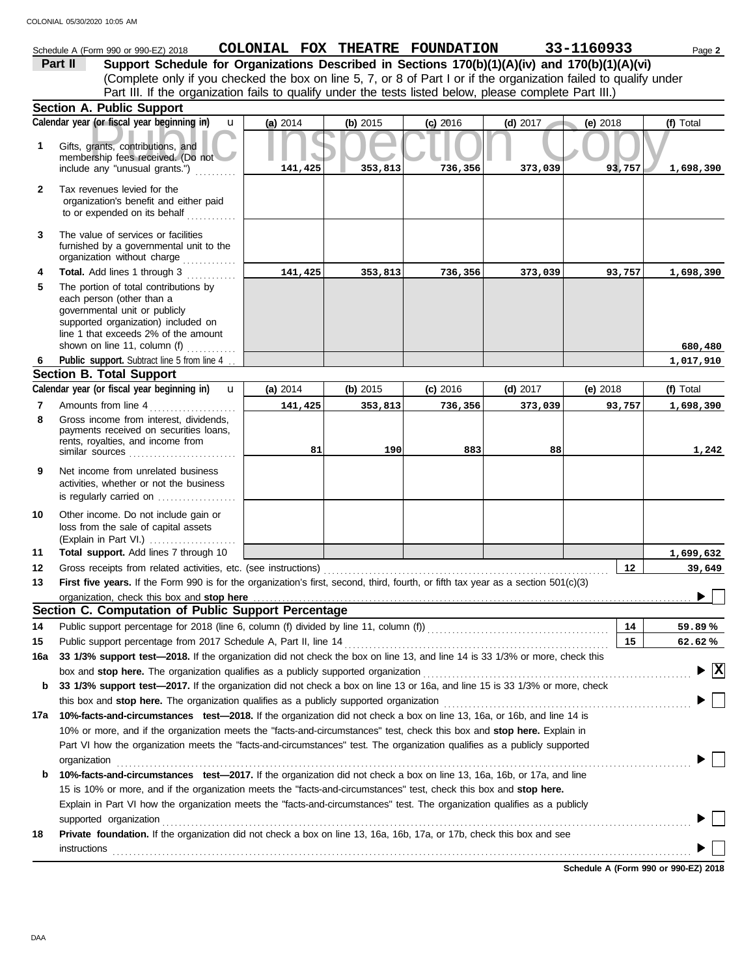|              | Schedule A (Form 990 or 990-EZ) 2018                                                                                               | COLONIAL FOX THEATRE FOUNDATION |          |            |            | 33-1160933      | Page 2                                 |
|--------------|------------------------------------------------------------------------------------------------------------------------------------|---------------------------------|----------|------------|------------|-----------------|----------------------------------------|
|              | Support Schedule for Organizations Described in Sections 170(b)(1)(A)(iv) and 170(b)(1)(A)(vi)<br>Part II                          |                                 |          |            |            |                 |                                        |
|              | (Complete only if you checked the box on line 5, 7, or 8 of Part I or if the organization failed to qualify under                  |                                 |          |            |            |                 |                                        |
|              | Part III. If the organization fails to qualify under the tests listed below, please complete Part III.)                            |                                 |          |            |            |                 |                                        |
|              | Section A. Public Support                                                                                                          |                                 |          |            |            |                 |                                        |
|              | Calendar year (or fiscal year beginning in)<br>$\mathbf{u}$                                                                        | (a) 2014                        | (b) 2015 | $(c)$ 2016 | (d) $2017$ | (e) $2018$      | (f) Total                              |
| 1            | Gifts, grants, contributions, and                                                                                                  |                                 |          |            |            |                 |                                        |
|              | membership fees received. (Do not                                                                                                  |                                 |          |            |            |                 |                                        |
|              | include any "unusual grants.")                                                                                                     | 141,425                         | 353,813  | 736,356    | 373,039    | 93,757          | 1,698,390                              |
| $\mathbf{2}$ | Tax revenues levied for the                                                                                                        |                                 |          |            |            |                 |                                        |
|              | organization's benefit and either paid                                                                                             |                                 |          |            |            |                 |                                        |
|              | to or expended on its behalf                                                                                                       |                                 |          |            |            |                 |                                        |
| 3            | The value of services or facilities                                                                                                |                                 |          |            |            |                 |                                        |
|              | furnished by a governmental unit to the<br>organization without charge                                                             |                                 |          |            |            |                 |                                        |
| 4            | Total. Add lines 1 through 3                                                                                                       | 141,425                         | 353,813  | 736,356    | 373,039    | 93,757          | 1,698,390                              |
| 5            | The portion of total contributions by                                                                                              |                                 |          |            |            |                 |                                        |
|              | each person (other than a                                                                                                          |                                 |          |            |            |                 |                                        |
|              | governmental unit or publicly                                                                                                      |                                 |          |            |            |                 |                                        |
|              | supported organization) included on<br>line 1 that exceeds 2% of the amount                                                        |                                 |          |            |            |                 |                                        |
|              | shown on line 11, column (f) $\ldots$                                                                                              |                                 |          |            |            |                 | 680,480                                |
| 6            | Public support. Subtract line 5 from line 4                                                                                        |                                 |          |            |            |                 | 1,017,910                              |
|              | <b>Section B. Total Support</b>                                                                                                    |                                 |          |            |            |                 |                                        |
|              | Calendar year (or fiscal year beginning in)<br>$\mathbf{u}$                                                                        | (a) 2014                        | (b) 2015 | $(c)$ 2016 | $(d)$ 2017 | $(e)$ 2018      | (f) Total                              |
| 7            | Amounts from line 4                                                                                                                | 141,425                         | 353,813  | 736,356    | 373,039    | 93,757          | 1,698,390                              |
| 8            | Gross income from interest, dividends,                                                                                             |                                 |          |            |            |                 |                                        |
|              | payments received on securities loans,                                                                                             |                                 |          |            |            |                 |                                        |
|              | rents, royalties, and income from<br>similar sources                                                                               | 81                              | 190      | 883        | 88         |                 | 1,242                                  |
| 9            | Net income from unrelated business                                                                                                 |                                 |          |            |            |                 |                                        |
|              | activities, whether or not the business                                                                                            |                                 |          |            |            |                 |                                        |
|              | is regularly carried on                                                                                                            |                                 |          |            |            |                 |                                        |
| 10           | Other income. Do not include gain or                                                                                               |                                 |          |            |            |                 |                                        |
|              | loss from the sale of capital assets                                                                                               |                                 |          |            |            |                 |                                        |
|              | (Explain in Part VI.)                                                                                                              |                                 |          |            |            |                 |                                        |
| 11           | Total support. Add lines 7 through 10                                                                                              |                                 |          |            |            |                 | 1,699,632                              |
| 12           | Gross receipts from related activities, etc. (see instructions)                                                                    |                                 |          |            |            | 12 <sup>2</sup> | 39,649                                 |
| 13           | First five years. If the Form 990 is for the organization's first, second, third, fourth, or fifth tax year as a section 501(c)(3) |                                 |          |            |            |                 |                                        |
|              | organization, check this box and stop here<br>Section C. Computation of Public Support Percentage                                  |                                 |          |            |            |                 |                                        |
| 14           | Public support percentage for 2018 (line 6, column (f) divided by line 11, column (f)) [[[[[[[[[[[[[[[[[[[[[[                      |                                 |          |            |            | 14              | 59.89%                                 |
| 15           | Public support percentage from 2017 Schedule A, Part II, line 14                                                                   |                                 |          |            |            | 15              | 62.62%                                 |
| 16a          | 33 1/3% support test-2018. If the organization did not check the box on line 13, and line 14 is 33 1/3% or more, check this        |                                 |          |            |            |                 |                                        |
|              | box and stop here. The organization qualifies as a publicly supported organization                                                 |                                 |          |            |            |                 | $\blacktriangleright \boxed{\text{X}}$ |
| b            | 33 1/3% support test-2017. If the organization did not check a box on line 13 or 16a, and line 15 is 33 1/3% or more, check        |                                 |          |            |            |                 |                                        |
|              | this box and stop here. The organization qualifies as a publicly supported organization                                            |                                 |          |            |            |                 |                                        |
| 17a          | 10%-facts-and-circumstances test-2018. If the organization did not check a box on line 13, 16a, or 16b, and line 14 is             |                                 |          |            |            |                 |                                        |
|              | 10% or more, and if the organization meets the "facts-and-circumstances" test, check this box and stop here. Explain in            |                                 |          |            |            |                 |                                        |
|              | Part VI how the organization meets the "facts-and-circumstances" test. The organization qualifies as a publicly supported          |                                 |          |            |            |                 |                                        |
|              | organization                                                                                                                       |                                 |          |            |            |                 |                                        |
| b            | 10%-facts-and-circumstances test-2017. If the organization did not check a box on line 13, 16a, 16b, or 17a, and line              |                                 |          |            |            |                 |                                        |
|              | 15 is 10% or more, and if the organization meets the "facts-and-circumstances" test, check this box and stop here.                 |                                 |          |            |            |                 |                                        |
|              | Explain in Part VI how the organization meets the "facts-and-circumstances" test. The organization qualifies as a publicly         |                                 |          |            |            |                 |                                        |
|              | supported organization                                                                                                             |                                 |          |            |            |                 |                                        |
| 18           | Private foundation. If the organization did not check a box on line 13, 16a, 16b, 17a, or 17b, check this box and see              |                                 |          |            |            |                 |                                        |
|              | <b>instructions</b>                                                                                                                |                                 |          |            |            |                 |                                        |

**Schedule A (Form 990 or 990-EZ) 2018**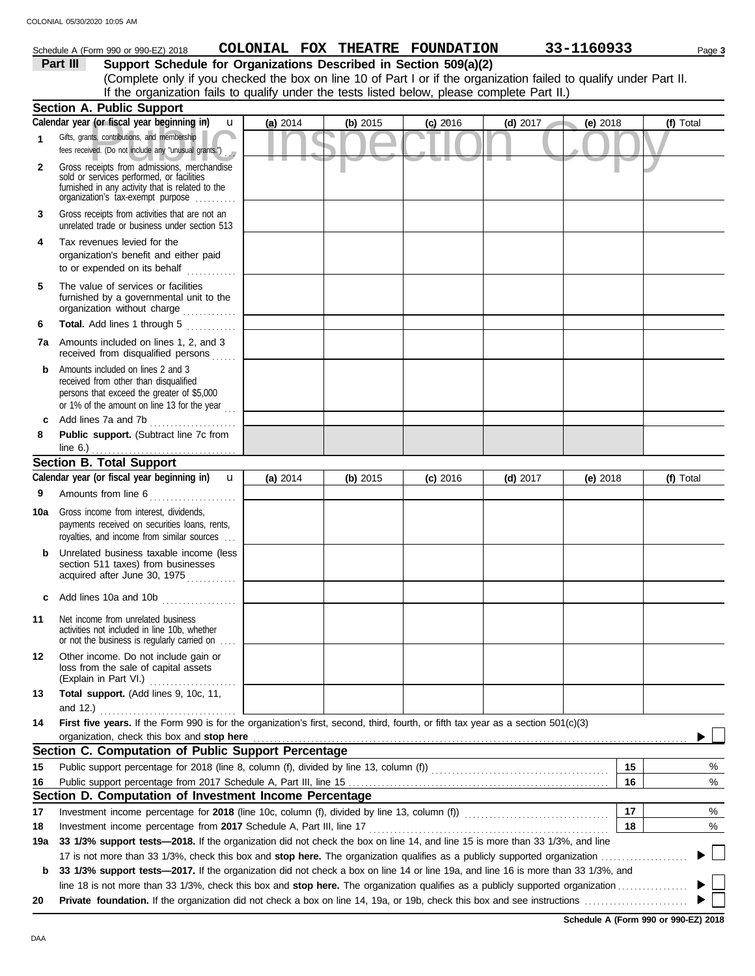|              | Schedule A (Form 990 or 990-EZ) 2018                                                                                                                                                                                                                                                                                                                          |            | COLONIAL FOX THEATRE FOUNDATION |            |            | 33-1160933 | Page 3    |
|--------------|---------------------------------------------------------------------------------------------------------------------------------------------------------------------------------------------------------------------------------------------------------------------------------------------------------------------------------------------------------------|------------|---------------------------------|------------|------------|------------|-----------|
|              | Support Schedule for Organizations Described in Section 509(a)(2)<br>Part III                                                                                                                                                                                                                                                                                 |            |                                 |            |            |            |           |
|              | (Complete only if you checked the box on line 10 of Part I or if the organization failed to qualify under Part II.                                                                                                                                                                                                                                            |            |                                 |            |            |            |           |
|              | If the organization fails to qualify under the tests listed below, please complete Part II.)                                                                                                                                                                                                                                                                  |            |                                 |            |            |            |           |
|              | <b>Section A. Public Support</b>                                                                                                                                                                                                                                                                                                                              |            |                                 |            |            |            |           |
|              | Calendar year (or fiscal year beginning in)<br>$\mathbf{u}$                                                                                                                                                                                                                                                                                                   | (a) 2014   | (b) $2015$                      | $(c)$ 2016 | $(d)$ 2017 | (e) 2018   | (f) Total |
| $\mathbf{1}$ | Gifts, grants, contributions, and membership<br>fees received. (Do not include any "unusual grants.")                                                                                                                                                                                                                                                         |            |                                 |            |            |            |           |
| $\mathbf{2}$ | Gross receipts from admissions, merchandise<br>sold or services performed, or facilities<br>furnished in any activity that is related to the<br>organization's tax-exempt purpose                                                                                                                                                                             |            |                                 |            |            |            |           |
| 3            | Gross receipts from activities that are not an<br>unrelated trade or business under section 513                                                                                                                                                                                                                                                               |            |                                 |            |            |            |           |
| 4            | Tax revenues levied for the                                                                                                                                                                                                                                                                                                                                   |            |                                 |            |            |            |           |
|              | organization's benefit and either paid<br>to or expended on its behalf<br>. <b>.</b> .                                                                                                                                                                                                                                                                        |            |                                 |            |            |            |           |
| 5            | The value of services or facilities<br>furnished by a governmental unit to the<br>organization without charge                                                                                                                                                                                                                                                 |            |                                 |            |            |            |           |
| 6            | Total. Add lines 1 through 5                                                                                                                                                                                                                                                                                                                                  |            |                                 |            |            |            |           |
| 7a           | Amounts included on lines 1, 2, and 3<br>received from disqualified persons                                                                                                                                                                                                                                                                                   |            |                                 |            |            |            |           |
| b            | Amounts included on lines 2 and 3<br>received from other than disqualified<br>persons that exceed the greater of \$5,000<br>or 1% of the amount on line 13 for the year                                                                                                                                                                                       |            |                                 |            |            |            |           |
| C            |                                                                                                                                                                                                                                                                                                                                                               |            |                                 |            |            |            |           |
| 8            | Public support. (Subtract line 7c from<br>line $6.$ )                                                                                                                                                                                                                                                                                                         |            |                                 |            |            |            |           |
|              | <b>Section B. Total Support</b>                                                                                                                                                                                                                                                                                                                               |            |                                 |            |            |            |           |
|              | Calendar year (or fiscal year beginning in)<br>$\mathbf{u}$                                                                                                                                                                                                                                                                                                   | (a) $2014$ | (b) 2015                        | $(c)$ 2016 | $(d)$ 2017 | $(e)$ 2018 | (f) Total |
| 9            | Amounts from line 6                                                                                                                                                                                                                                                                                                                                           |            |                                 |            |            |            |           |
| 10a          | Gross income from interest, dividends,<br>payments received on securities loans, rents,<br>royalties, and income from similar sources                                                                                                                                                                                                                         |            |                                 |            |            |            |           |
| b            |                                                                                                                                                                                                                                                                                                                                                               |            |                                 |            |            |            |           |
|              | Unrelated business taxable income (less<br>section 511 taxes) from businesses<br>acquired after June 30, 1975<br>.                                                                                                                                                                                                                                            |            |                                 |            |            |            |           |
| c            | Add lines 10a and 10b                                                                                                                                                                                                                                                                                                                                         |            |                                 |            |            |            |           |
| 11           | Net income from unrelated business<br>activities not included in line 10b, whether<br>or not the business is regularly carried on                                                                                                                                                                                                                             |            |                                 |            |            |            |           |
| 12           | Other income. Do not include gain or<br>loss from the sale of capital assets                                                                                                                                                                                                                                                                                  |            |                                 |            |            |            |           |
| 13           | Total support. (Add lines 9, 10c, 11,                                                                                                                                                                                                                                                                                                                         |            |                                 |            |            |            |           |
| 14           | and 12.) $\ldots$<br>First five years. If the Form 990 is for the organization's first, second, third, fourth, or fifth tax year as a section 501(c)(3)                                                                                                                                                                                                       |            |                                 |            |            |            |           |
|              | organization, check this box and stop here <b>contained and according to the contained and stop here</b> contained and stop here contained and stop here contained and stop here contained and stop here contained and stop here co                                                                                                                           |            |                                 |            |            |            |           |
|              | Section C. Computation of Public Support Percentage                                                                                                                                                                                                                                                                                                           |            |                                 |            |            |            |           |
| 15           | Public support percentage for 2018 (line 8, column (f), divided by line 13, column (f) [[[[[[[[[[[[[[[[[[[[[[                                                                                                                                                                                                                                                 |            |                                 |            |            | 15         | %         |
| 16           |                                                                                                                                                                                                                                                                                                                                                               |            |                                 |            |            | 16         | $\%$      |
|              | Section D. Computation of Investment Income Percentage                                                                                                                                                                                                                                                                                                        |            |                                 |            |            |            |           |
| 17           |                                                                                                                                                                                                                                                                                                                                                               |            |                                 |            |            | 17         | %         |
| 18           | Investment income percentage from 2017 Schedule A, Part III, line 17 [ <i>[[11] [11]</i> [ <i>[11]</i> [ <i>[1]</i> [ <i>[1]</i> [ <i>[1]</i> [ <i>[1]</i> [ <i>[1]</i> [ <i>[1]</i> [ <i>[1]</i> [ <i>[1]</i> [ <i>[1]</i> [ <i>[1]</i> [ <i>[1]</i> [ <i>[1]</i> [ <i>[1]</i> [ <i>[1]</i> [ <i>[1]</i> [ <i>[1]</i> [ <i>[1]</i> [ <i>[1]</i> [ <i>[1]</i> |            |                                 |            |            | 18         | %         |
| 19a          | 33 1/3% support tests-2018. If the organization did not check the box on line 14, and line 15 is more than 33 1/3%, and line                                                                                                                                                                                                                                  |            |                                 |            |            |            |           |
| b            | 33 1/3% support tests-2017. If the organization did not check a box on line 14 or line 19a, and line 16 is more than 33 1/3%, and                                                                                                                                                                                                                             |            |                                 |            |            |            |           |

**20 Private foundation.** If the organization did not check a box on line 14, 19a, or 19b, check this box and see instructions . . . . . . . . . . . . . . . . . . . . . . . . .

**Schedule A (Form 990 or 990-EZ) 2018**

 $\blacktriangleright$  $\blacktriangleright$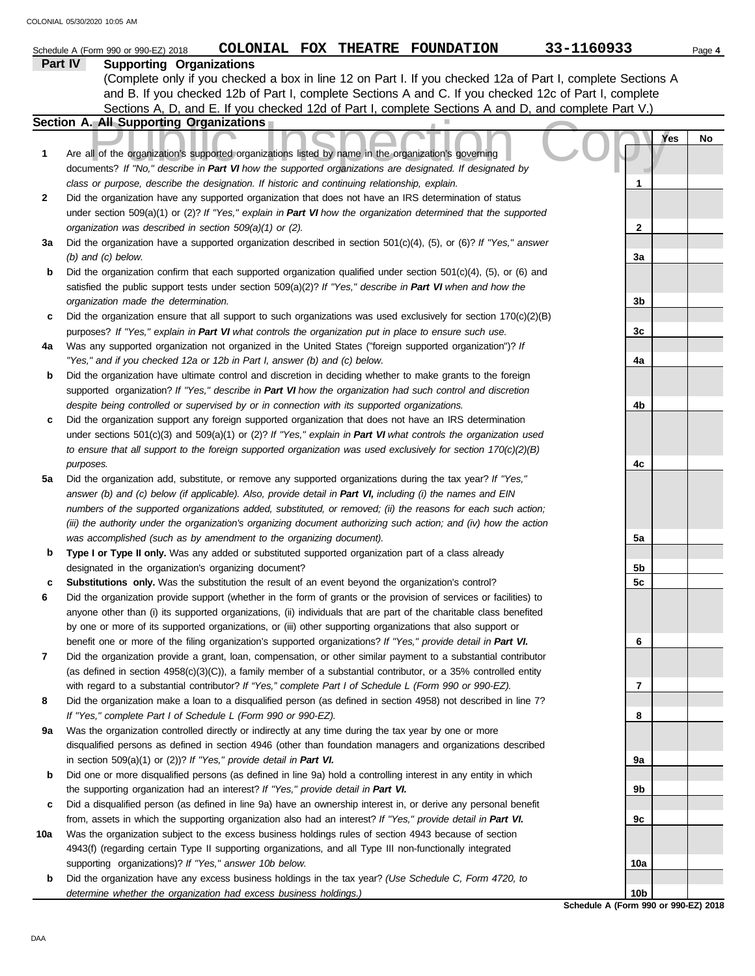|         | COLONIAL FOX THEATRE FOUNDATION<br>Schedule A (Form 990 or 990-EZ) 2018                                                  | 33-1160933                                  | Page 4 |
|---------|--------------------------------------------------------------------------------------------------------------------------|---------------------------------------------|--------|
| Part IV | <b>Supporting Organizations</b>                                                                                          |                                             |        |
|         | (Complete only if you checked a box in line 12 on Part I. If you checked 12a of Part I, complete Sections A              |                                             |        |
|         | and B. If you checked 12b of Part I, complete Sections A and C. If you checked 12c of Part I, complete                   |                                             |        |
|         | Sections A, D, and E. If you checked 12d of Part I, complete Sections A and D, and complete Part V.)                     |                                             |        |
|         | <b>Section A. All Supporting Organizations</b>                                                                           |                                             |        |
|         |                                                                                                                          | Yes                                         | No     |
| 1       | Are all of the organization's supported organizations listed by name in the organization's governing                     |                                             |        |
|         | documents? If "No," describe in Part VI how the supported organizations are designated. If designated by                 |                                             |        |
|         | class or purpose, describe the designation. If historic and continuing relationship, explain.                            | 1                                           |        |
| 2       | Did the organization have any supported organization that does not have an IRS determination of status                   |                                             |        |
|         | under section 509(a)(1) or (2)? If "Yes," explain in Part VI how the organization determined that the supported          |                                             |        |
|         | organization was described in section 509(a)(1) or (2).                                                                  | $\mathbf{2}$                                |        |
| За      | Did the organization have a supported organization described in section $501(c)(4)$ , $(5)$ , or $(6)?$ If "Yes," answer |                                             |        |
|         | $(b)$ and $(c)$ below.                                                                                                   | За                                          |        |
| b       | Did the organization confirm that each supported organization qualified under section $501(c)(4)$ , $(5)$ , or $(6)$ and |                                             |        |
|         | satisfied the public support tests under section 509(a)(2)? If "Yes," describe in Part VI when and how the               |                                             |        |
|         | organization made the determination.                                                                                     | 3b                                          |        |
| c       | Did the organization ensure that all support to such organizations was used exclusively for section $170(c)(2)(B)$       |                                             |        |
|         | purposes? If "Yes," explain in Part VI what controls the organization put in place to ensure such use.                   | 3c                                          |        |
| 4a      | Was any supported organization not organized in the United States ("foreign supported organization")? If                 |                                             |        |
|         | "Yes," and if you checked 12a or 12b in Part I, answer (b) and (c) below.                                                | 4a                                          |        |
| b       | Did the organization have ultimate control and discretion in deciding whether to make grants to the foreign              |                                             |        |
|         | supported organization? If "Yes," describe in Part VI how the organization had such control and discretion               |                                             |        |
|         | despite being controlled or supervised by or in connection with its supported organizations.                             | 4b                                          |        |
| c       | Did the organization support any foreign supported organization that does not have an IRS determination                  |                                             |        |
|         | under sections $501(c)(3)$ and $509(a)(1)$ or (2)? If "Yes," explain in Part VI what controls the organization used      |                                             |        |
|         | to ensure that all support to the foreign supported organization was used exclusively for section $170(c)(2)(B)$         |                                             |        |
|         | purposes.                                                                                                                | 4c                                          |        |
| 5a      | Did the organization add, substitute, or remove any supported organizations during the tax year? If "Yes,"               |                                             |        |
|         | answer (b) and (c) below (if applicable). Also, provide detail in Part VI, including (i) the names and EIN               |                                             |        |
|         | numbers of the supported organizations added, substituted, or removed; (ii) the reasons for each such action;            |                                             |        |
|         | (iii) the authority under the organization's organizing document authorizing such action; and (iv) how the action        |                                             |        |
|         | was accomplished (such as by amendment to the organizing document).                                                      | 5a                                          |        |
| b       | Type I or Type II only. Was any added or substituted supported organization part of a class already                      |                                             |        |
|         | designated in the organization's organizing document?                                                                    | 5b                                          |        |
|         | Substitutions only. Was the substitution the result of an event beyond the organization's control?                       | 5c                                          |        |
| 6       | Did the organization provide support (whether in the form of grants or the provision of services or facilities) to       |                                             |        |
|         | anyone other than (i) its supported organizations, (ii) individuals that are part of the charitable class benefited      |                                             |        |
|         | by one or more of its supported organizations, or (iii) other supporting organizations that also support or              |                                             |        |
|         | benefit one or more of the filing organization's supported organizations? If "Yes," provide detail in Part VI.           | 6                                           |        |
| 7       | Did the organization provide a grant, loan, compensation, or other similar payment to a substantial contributor          |                                             |        |
|         | (as defined in section $4958(c)(3)(C)$ ), a family member of a substantial contributor, or a 35% controlled entity       |                                             |        |
|         | with regard to a substantial contributor? If "Yes," complete Part I of Schedule L (Form 990 or 990-EZ).                  | 7                                           |        |
| 8       | Did the organization make a loan to a disqualified person (as defined in section 4958) not described in line 7?          |                                             |        |
|         | If "Yes," complete Part I of Schedule L (Form 990 or 990-EZ).                                                            | 8                                           |        |
| 9а      | Was the organization controlled directly or indirectly at any time during the tax year by one or more                    |                                             |        |
|         | disqualified persons as defined in section 4946 (other than foundation managers and organizations described              |                                             |        |
|         | in section $509(a)(1)$ or (2))? If "Yes," provide detail in Part VI.                                                     | <b>9a</b>                                   |        |
| b       | Did one or more disqualified persons (as defined in line 9a) hold a controlling interest in any entity in which          |                                             |        |
|         | the supporting organization had an interest? If "Yes," provide detail in Part VI.                                        | 9b                                          |        |
| c       | Did a disqualified person (as defined in line 9a) have an ownership interest in, or derive any personal benefit          |                                             |        |
|         | from, assets in which the supporting organization also had an interest? If "Yes," provide detail in Part VI.             | 9с                                          |        |
| 10a     | Was the organization subject to the excess business holdings rules of section 4943 because of section                    |                                             |        |
|         | 4943(f) (regarding certain Type II supporting organizations, and all Type III non-functionally integrated                |                                             |        |
|         | supporting organizations)? If "Yes," answer 10b below.                                                                   | 10a                                         |        |
| b       | Did the organization have any excess business holdings in the tax year? (Use Schedule C, Form 4720, to                   |                                             |        |
|         | determine whether the organization had excess business holdings.)                                                        | 10b<br>Schodule A (Form 990 or 990-F7) 2018 |        |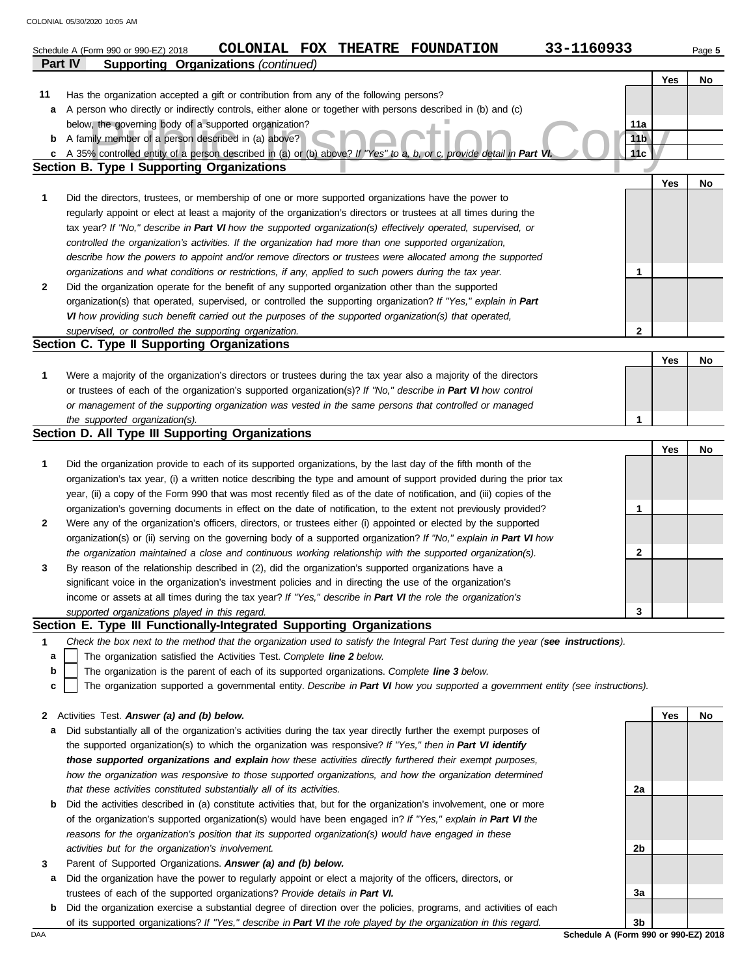|    | 33-1160933<br>COLONIAL FOX<br>THEATRE FOUNDATION<br>Schedule A (Form 990 or 990-EZ) 2018                                                                                                                            |                        |     | Page 5 |
|----|---------------------------------------------------------------------------------------------------------------------------------------------------------------------------------------------------------------------|------------------------|-----|--------|
|    | Part IV<br><b>Supporting Organizations (continued)</b>                                                                                                                                                              |                        |     |        |
|    |                                                                                                                                                                                                                     |                        | Yes | No     |
| 11 | Has the organization accepted a gift or contribution from any of the following persons?                                                                                                                             |                        |     |        |
| а  | A person who directly or indirectly controls, either alone or together with persons described in (b) and (c)                                                                                                        |                        |     |        |
|    | below, the governing body of a supported organization?                                                                                                                                                              | 11a                    |     |        |
| b  | A family member of a person described in (a) above?                                                                                                                                                                 | 11 <sub>b</sub><br>11c |     |        |
| c  | A 35% controlled entity of a person described in (a) or (b) above? If "Yes" to a, b, or c, provide detail in Part VI.<br><b>Section B. Type I Supporting Organizations</b>                                          |                        |     |        |
|    |                                                                                                                                                                                                                     |                        | Yes | No     |
| 1  | Did the directors, trustees, or membership of one or more supported organizations have the power to                                                                                                                 |                        |     |        |
|    | regularly appoint or elect at least a majority of the organization's directors or trustees at all times during the                                                                                                  |                        |     |        |
|    | tax year? If "No," describe in Part VI how the supported organization(s) effectively operated, supervised, or                                                                                                       |                        |     |        |
|    | controlled the organization's activities. If the organization had more than one supported organization,                                                                                                             |                        |     |        |
|    | describe how the powers to appoint and/or remove directors or trustees were allocated among the supported                                                                                                           |                        |     |        |
|    | organizations and what conditions or restrictions, if any, applied to such powers during the tax year.                                                                                                              | 1                      |     |        |
| 2  | Did the organization operate for the benefit of any supported organization other than the supported                                                                                                                 |                        |     |        |
|    | organization(s) that operated, supervised, or controlled the supporting organization? If "Yes," explain in Part                                                                                                     |                        |     |        |
|    | VI how providing such benefit carried out the purposes of the supported organization(s) that operated,                                                                                                              |                        |     |        |
|    | supervised, or controlled the supporting organization.                                                                                                                                                              | $\mathbf{2}$           |     |        |
|    | Section C. Type II Supporting Organizations                                                                                                                                                                         |                        |     |        |
|    |                                                                                                                                                                                                                     |                        | Yes | No     |
| 1  | Were a majority of the organization's directors or trustees during the tax year also a majority of the directors                                                                                                    |                        |     |        |
|    | or trustees of each of the organization's supported organization(s)? If "No," describe in Part VI how control                                                                                                       |                        |     |        |
|    | or management of the supporting organization was vested in the same persons that controlled or managed                                                                                                              |                        |     |        |
|    | the supported organization(s).                                                                                                                                                                                      | 1                      |     |        |
|    | Section D. All Type III Supporting Organizations                                                                                                                                                                    |                        |     |        |
|    |                                                                                                                                                                                                                     |                        | Yes | No     |
| 1  | Did the organization provide to each of its supported organizations, by the last day of the fifth month of the                                                                                                      |                        |     |        |
|    | organization's tax year, (i) a written notice describing the type and amount of support provided during the prior tax                                                                                               |                        |     |        |
|    | year, (ii) a copy of the Form 990 that was most recently filed as of the date of notification, and (iii) copies of the                                                                                              |                        |     |        |
|    | organization's governing documents in effect on the date of notification, to the extent not previously provided?                                                                                                    | 1                      |     |        |
| 2  | Were any of the organization's officers, directors, or trustees either (i) appointed or elected by the supported                                                                                                    |                        |     |        |
|    | organization(s) or (ii) serving on the governing body of a supported organization? If "No," explain in Part VI how                                                                                                  |                        |     |        |
|    | the organization maintained a close and continuous working relationship with the supported organization(s).                                                                                                         | 2                      |     |        |
| 3  | By reason of the relationship described in (2), did the organization's supported organizations have a<br>significant voice in the organization's investment policies and in directing the use of the organization's |                        |     |        |
|    | income or assets at all times during the tax year? If "Yes," describe in Part VI the role the organization's                                                                                                        |                        |     |        |
|    | supported organizations played in this regard.                                                                                                                                                                      | 3                      |     |        |
|    | Section E. Type III Functionally-Integrated Supporting Organizations                                                                                                                                                |                        |     |        |
| 1  | Check the box next to the method that the organization used to satisfy the Integral Part Test during the year (see instructions).                                                                                   |                        |     |        |
| a  | The organization satisfied the Activities Test. Complete line 2 below.                                                                                                                                              |                        |     |        |
| b  | The organization is the parent of each of its supported organizations. Complete line 3 below.                                                                                                                       |                        |     |        |
| c  | The organization supported a governmental entity. Describe in Part VI how you supported a government entity (see instructions).                                                                                     |                        |     |        |
|    |                                                                                                                                                                                                                     |                        |     |        |
| 2  | Activities Test. Answer (a) and (b) below.                                                                                                                                                                          |                        | Yes | No     |
| а  | Did substantially all of the organization's activities during the tax year directly further the exempt purposes of                                                                                                  |                        |     |        |
|    | the supported organization(s) to which the organization was responsive? If "Yes," then in Part VI identify                                                                                                          |                        |     |        |
|    | those supported organizations and explain how these activities directly furthered their exempt purposes,                                                                                                            |                        |     |        |
|    | how the organization was responsive to those supported organizations, and how the organization determined                                                                                                           |                        |     |        |
|    | that these activities constituted substantially all of its activities.                                                                                                                                              | 2a                     |     |        |
| b  | Did the activities described in (a) constitute activities that, but for the organization's involvement, one or more                                                                                                 |                        |     |        |
|    | of the organization's supported organization(s) would have been engaged in? If "Yes," explain in Part VI the                                                                                                        |                        |     |        |
|    | reasons for the organization's position that its supported organization(s) would have engaged in these                                                                                                              |                        |     |        |
|    | activities but for the organization's involvement.                                                                                                                                                                  | 2b                     |     |        |
| 3  | Parent of Supported Organizations. Answer (a) and (b) below.                                                                                                                                                        |                        |     |        |

- **a** Did the organization have the power to regularly appoint or elect a majority of the officers, directors, or trustees of each of the supported organizations? *Provide details in Part VI.*
- **b** Did the organization exercise a substantial degree of direction over the policies, programs, and activities of each of its supported organizations? *If "Yes," describe in Part VI the role played by the organization in this regard.*

DAA **Schedule A (Form 990 or 990-EZ) 2018 3b**

**3a**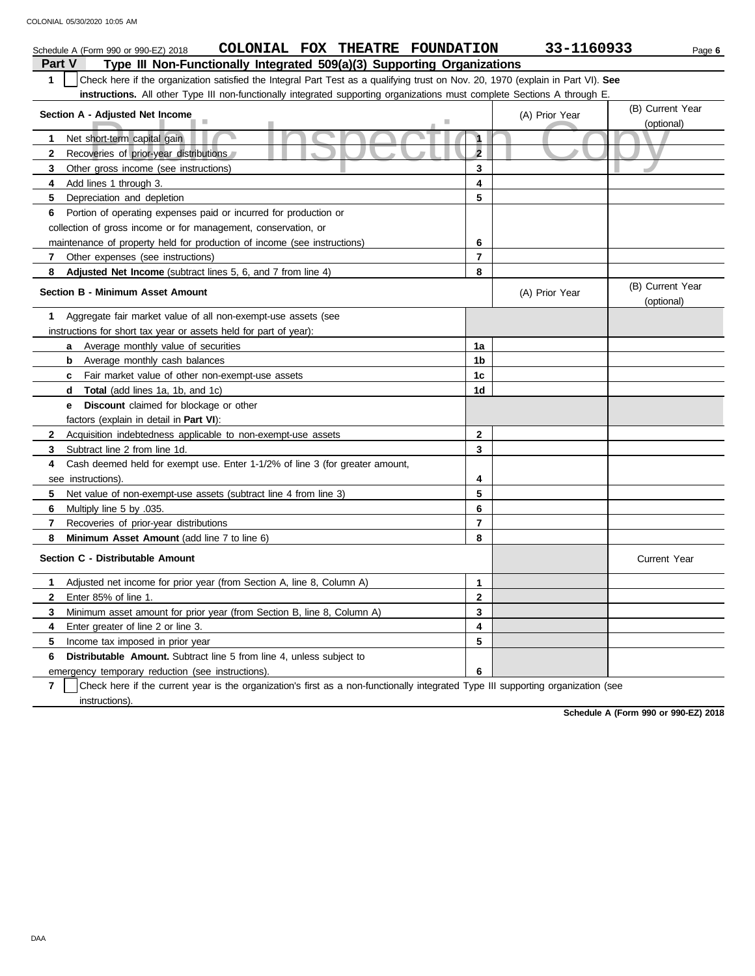| COLONIAL FOX THEATRE FOUNDATION<br>Schedule A (Form 990 or 990-EZ) 2018                                                                          |                | 33-1160933     | Page 6                         |
|--------------------------------------------------------------------------------------------------------------------------------------------------|----------------|----------------|--------------------------------|
| Part V<br>Type III Non-Functionally Integrated 509(a)(3) Supporting Organizations                                                                |                |                |                                |
| $\mathbf{1}$<br>Check here if the organization satisfied the Integral Part Test as a qualifying trust on Nov. 20, 1970 (explain in Part VI). See |                |                |                                |
| instructions. All other Type III non-functionally integrated supporting organizations must complete Sections A through E.                        |                |                |                                |
| Section A - Adjusted Net Income                                                                                                                  |                | (A) Prior Year | (B) Current Year               |
|                                                                                                                                                  |                |                | (optional)                     |
| Net short-term capital gain<br>1                                                                                                                 | $\mathbf{1}$   |                |                                |
| $\mathbf{2}$<br>Recoveries of prior-year distributions                                                                                           | $\overline{2}$ |                |                                |
| 3<br>Other gross income (see instructions)                                                                                                       | 3              |                |                                |
| Add lines 1 through 3.<br>4                                                                                                                      | 4              |                |                                |
| 5<br>Depreciation and depletion                                                                                                                  | 5              |                |                                |
| Portion of operating expenses paid or incurred for production or<br>6                                                                            |                |                |                                |
| collection of gross income or for management, conservation, or                                                                                   |                |                |                                |
| maintenance of property held for production of income (see instructions)                                                                         | 6              |                |                                |
| 7<br>Other expenses (see instructions)                                                                                                           | $\overline{7}$ |                |                                |
| 8<br>Adjusted Net Income (subtract lines 5, 6, and 7 from line 4)                                                                                | 8              |                |                                |
| <b>Section B - Minimum Asset Amount</b>                                                                                                          |                | (A) Prior Year | (B) Current Year<br>(optional) |
| Aggregate fair market value of all non-exempt-use assets (see<br>1                                                                               |                |                |                                |
| instructions for short tax year or assets held for part of year):                                                                                |                |                |                                |
| Average monthly value of securities<br>a                                                                                                         | 1a             |                |                                |
| <b>b</b> Average monthly cash balances                                                                                                           | 1 <sub>b</sub> |                |                                |
| Fair market value of other non-exempt-use assets<br>C                                                                                            | 1 <sub>c</sub> |                |                                |
| <b>Total</b> (add lines 1a, 1b, and 1c)<br>d                                                                                                     | 1d             |                |                                |
| <b>Discount</b> claimed for blockage or other<br>е                                                                                               |                |                |                                |
| factors (explain in detail in <b>Part VI</b> ):                                                                                                  |                |                |                                |
| $\mathbf{2}$<br>Acquisition indebtedness applicable to non-exempt-use assets                                                                     | $\mathbf{2}$   |                |                                |
| 3<br>Subtract line 2 from line 1d.                                                                                                               | 3              |                |                                |
| 4<br>Cash deemed held for exempt use. Enter 1-1/2% of line 3 (for greater amount,                                                                |                |                |                                |
| see instructions)                                                                                                                                | 4              |                |                                |
| 5<br>Net value of non-exempt-use assets (subtract line 4 from line 3)                                                                            | 5              |                |                                |
| 6<br>Multiply line 5 by .035.                                                                                                                    | 6              |                |                                |
| 7<br>Recoveries of prior-year distributions                                                                                                      | $\overline{7}$ |                |                                |
| 8<br>Minimum Asset Amount (add line 7 to line 6)                                                                                                 | 8              |                |                                |
| Section C - Distributable Amount                                                                                                                 |                |                | Current Year                   |
| 1<br>Adjusted net income for prior year (from Section A, line 8, Column A)                                                                       | 1              |                |                                |
| $\mathbf{2}$<br>Enter 85% of line 1.                                                                                                             | $\mathbf{2}$   |                |                                |
| 3<br>Minimum asset amount for prior year (from Section B, line 8, Column A)                                                                      | 3              |                |                                |
| 4<br>Enter greater of line 2 or line 3.                                                                                                          | 4              |                |                                |
| 5<br>Income tax imposed in prior year                                                                                                            | 5              |                |                                |
| Distributable Amount. Subtract line 5 from line 4, unless subject to<br>6                                                                        |                |                |                                |
| emergency temporary reduction (see instructions).                                                                                                | 6              |                |                                |

**7** | Check here if the current year is the organization's first as a non-functionally integrated Type III supporting organization (see instructions).

**Schedule A (Form 990 or 990-EZ) 2018**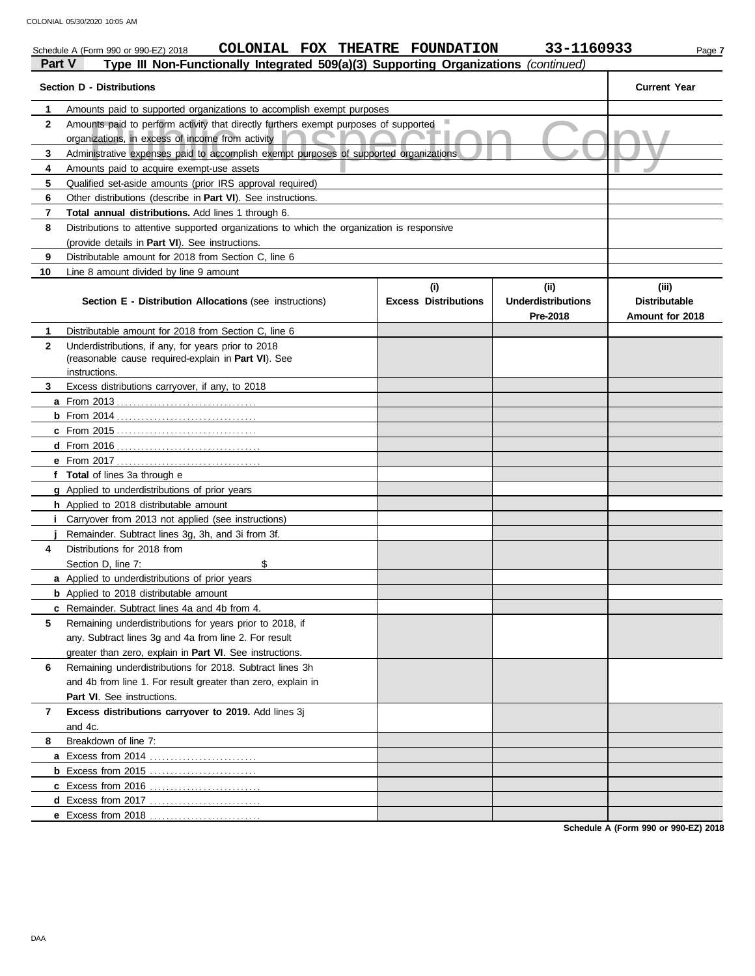|              | COLONIAL FOX THEATRE FOUNDATION<br>Schedule A (Form 990 or 990-EZ) 2018                                                                  |                             | 33-1160933                            | Page 7                                  |
|--------------|------------------------------------------------------------------------------------------------------------------------------------------|-----------------------------|---------------------------------------|-----------------------------------------|
| Part V       | Type III Non-Functionally Integrated 509(a)(3) Supporting Organizations (continued)                                                      |                             |                                       |                                         |
|              | <b>Section D - Distributions</b>                                                                                                         |                             |                                       | <b>Current Year</b>                     |
| 1            | Amounts paid to supported organizations to accomplish exempt purposes                                                                    |                             |                                       |                                         |
| $\mathbf{2}$ | Amounts paid to perform activity that directly furthers exempt purposes of supported<br>organizations, in excess of income from activity |                             |                                       |                                         |
| 3            | Administrative expenses paid to accomplish exempt purposes of supported organizations                                                    |                             |                                       |                                         |
| 4            | Amounts paid to acquire exempt-use assets                                                                                                |                             |                                       |                                         |
| 5            | Qualified set-aside amounts (prior IRS approval required)                                                                                |                             |                                       |                                         |
| 6            | Other distributions (describe in Part VI). See instructions.                                                                             |                             |                                       |                                         |
| 7            | Total annual distributions. Add lines 1 through 6.                                                                                       |                             |                                       |                                         |
| 8            | Distributions to attentive supported organizations to which the organization is responsive                                               |                             |                                       |                                         |
|              | (provide details in Part VI). See instructions.                                                                                          |                             |                                       |                                         |
| 9            | Distributable amount for 2018 from Section C, line 6                                                                                     |                             |                                       |                                         |
| 10           | Line 8 amount divided by line 9 amount                                                                                                   |                             |                                       |                                         |
|              |                                                                                                                                          | (i)                         | (ii)                                  | (iii)                                   |
|              | <b>Section E - Distribution Allocations</b> (see instructions)                                                                           | <b>Excess Distributions</b> | <b>Underdistributions</b><br>Pre-2018 | <b>Distributable</b><br>Amount for 2018 |
| 1            | Distributable amount for 2018 from Section C, line 6                                                                                     |                             |                                       |                                         |
| $\mathbf{2}$ | Underdistributions, if any, for years prior to 2018<br>(reasonable cause required-explain in Part VI). See                               |                             |                                       |                                         |
|              | instructions.                                                                                                                            |                             |                                       |                                         |
| 3            | Excess distributions carryover, if any, to 2018                                                                                          |                             |                                       |                                         |
|              |                                                                                                                                          |                             |                                       |                                         |
|              |                                                                                                                                          |                             |                                       |                                         |
|              |                                                                                                                                          |                             |                                       |                                         |
|              |                                                                                                                                          |                             |                                       |                                         |
|              |                                                                                                                                          |                             |                                       |                                         |
|              | f Total of lines 3a through e                                                                                                            |                             |                                       |                                         |
|              | g Applied to underdistributions of prior years                                                                                           |                             |                                       |                                         |
|              | h Applied to 2018 distributable amount                                                                                                   |                             |                                       |                                         |
|              | <i>i</i> Carryover from 2013 not applied (see instructions)                                                                              |                             |                                       |                                         |
|              | Remainder. Subtract lines 3g, 3h, and 3i from 3f.                                                                                        |                             |                                       |                                         |
| 4            | Distributions for 2018 from                                                                                                              |                             |                                       |                                         |
|              | Section D. line 7:<br>\$                                                                                                                 |                             |                                       |                                         |
|              | a Applied to underdistributions of prior years                                                                                           |                             |                                       |                                         |
|              | <b>b</b> Applied to 2018 distributable amount                                                                                            |                             |                                       |                                         |
|              | c Remainder. Subtract lines 4a and 4b from 4.                                                                                            |                             |                                       |                                         |
| 5            | Remaining underdistributions for years prior to 2018, if                                                                                 |                             |                                       |                                         |
|              | any. Subtract lines 3g and 4a from line 2. For result                                                                                    |                             |                                       |                                         |
|              | greater than zero, explain in Part VI. See instructions.                                                                                 |                             |                                       |                                         |
| 6            | Remaining underdistributions for 2018. Subtract lines 3h                                                                                 |                             |                                       |                                         |
|              | and 4b from line 1. For result greater than zero, explain in                                                                             |                             |                                       |                                         |
|              | Part VI. See instructions.                                                                                                               |                             |                                       |                                         |
| 7            | Excess distributions carryover to 2019. Add lines 3j                                                                                     |                             |                                       |                                         |
|              | and 4c.                                                                                                                                  |                             |                                       |                                         |
| 8            | Breakdown of line 7:                                                                                                                     |                             |                                       |                                         |
|              |                                                                                                                                          |                             |                                       |                                         |
|              |                                                                                                                                          |                             |                                       |                                         |
|              |                                                                                                                                          |                             |                                       |                                         |
|              |                                                                                                                                          |                             |                                       |                                         |
|              | e Excess from 2018                                                                                                                       |                             |                                       |                                         |

**Schedule A (Form 990 or 990-EZ) 2018**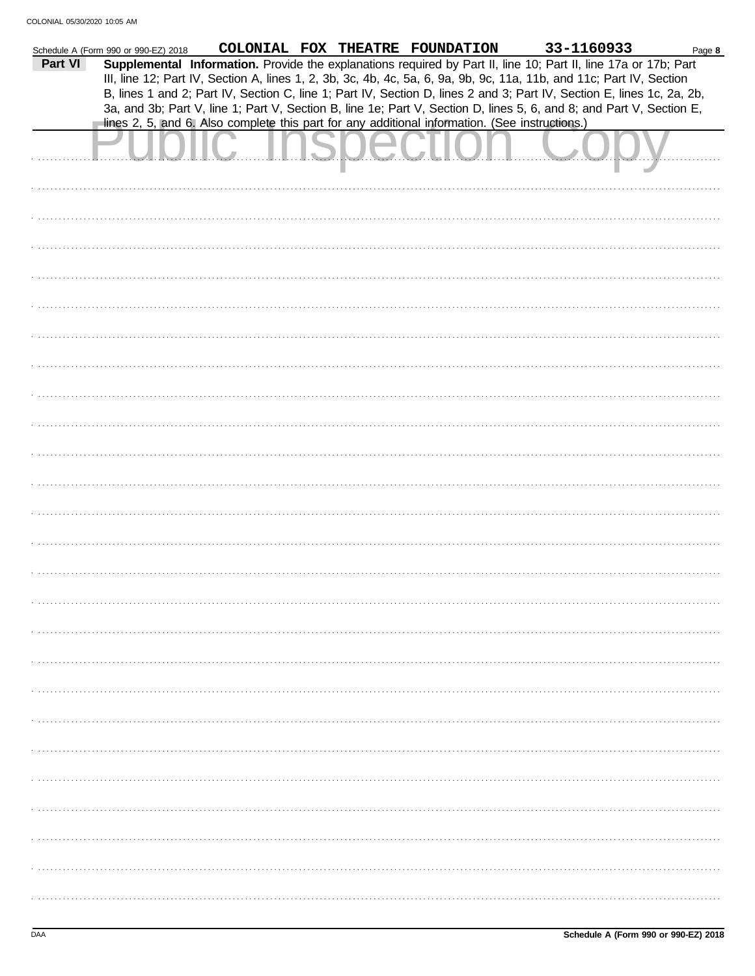| Part VI | Schedule A (Form 990 or 990-EZ) 2018 |  | COLONIAL FOX THEATRE FOUNDATION | 33-1160933<br>Supplemental Information. Provide the explanations required by Part II, line 10; Part II, line 17a or 17b; Part<br>III, line 12; Part IV, Section A, lines 1, 2, 3b, 3c, 4b, 4c, 5a, 6, 9a, 9b, 9c, 11a, 11b, and 11c; Part IV, Section<br>B, lines 1 and 2; Part IV, Section C, line 1; Part IV, Section D, lines 2 and 3; Part IV, Section E, lines 1c, 2a, 2b,<br>3a, and 3b; Part V, line 1; Part V, Section B, line 1e; Part V, Section D, lines 5, 6, and 8; and Part V, Section E,<br>lines 2, 5, and 6. Also complete this part for any additional information. (See instructions.) | Page 8 |
|---------|--------------------------------------|--|---------------------------------|-----------------------------------------------------------------------------------------------------------------------------------------------------------------------------------------------------------------------------------------------------------------------------------------------------------------------------------------------------------------------------------------------------------------------------------------------------------------------------------------------------------------------------------------------------------------------------------------------------------|--------|
|         |                                      |  |                                 |                                                                                                                                                                                                                                                                                                                                                                                                                                                                                                                                                                                                           |        |
|         |                                      |  |                                 |                                                                                                                                                                                                                                                                                                                                                                                                                                                                                                                                                                                                           |        |
|         |                                      |  |                                 |                                                                                                                                                                                                                                                                                                                                                                                                                                                                                                                                                                                                           |        |
|         |                                      |  |                                 |                                                                                                                                                                                                                                                                                                                                                                                                                                                                                                                                                                                                           |        |
|         |                                      |  |                                 |                                                                                                                                                                                                                                                                                                                                                                                                                                                                                                                                                                                                           |        |
|         |                                      |  |                                 |                                                                                                                                                                                                                                                                                                                                                                                                                                                                                                                                                                                                           |        |
|         |                                      |  |                                 |                                                                                                                                                                                                                                                                                                                                                                                                                                                                                                                                                                                                           |        |
|         |                                      |  |                                 |                                                                                                                                                                                                                                                                                                                                                                                                                                                                                                                                                                                                           |        |
|         |                                      |  |                                 |                                                                                                                                                                                                                                                                                                                                                                                                                                                                                                                                                                                                           |        |
|         |                                      |  |                                 |                                                                                                                                                                                                                                                                                                                                                                                                                                                                                                                                                                                                           |        |
|         |                                      |  |                                 |                                                                                                                                                                                                                                                                                                                                                                                                                                                                                                                                                                                                           |        |
|         |                                      |  |                                 |                                                                                                                                                                                                                                                                                                                                                                                                                                                                                                                                                                                                           |        |
|         |                                      |  |                                 |                                                                                                                                                                                                                                                                                                                                                                                                                                                                                                                                                                                                           |        |
|         |                                      |  |                                 |                                                                                                                                                                                                                                                                                                                                                                                                                                                                                                                                                                                                           |        |
|         |                                      |  |                                 |                                                                                                                                                                                                                                                                                                                                                                                                                                                                                                                                                                                                           |        |
|         |                                      |  |                                 |                                                                                                                                                                                                                                                                                                                                                                                                                                                                                                                                                                                                           |        |
|         |                                      |  |                                 |                                                                                                                                                                                                                                                                                                                                                                                                                                                                                                                                                                                                           |        |
|         |                                      |  |                                 |                                                                                                                                                                                                                                                                                                                                                                                                                                                                                                                                                                                                           |        |
|         |                                      |  |                                 |                                                                                                                                                                                                                                                                                                                                                                                                                                                                                                                                                                                                           |        |
|         |                                      |  |                                 |                                                                                                                                                                                                                                                                                                                                                                                                                                                                                                                                                                                                           |        |
|         |                                      |  |                                 |                                                                                                                                                                                                                                                                                                                                                                                                                                                                                                                                                                                                           |        |
|         |                                      |  |                                 |                                                                                                                                                                                                                                                                                                                                                                                                                                                                                                                                                                                                           |        |
|         |                                      |  |                                 |                                                                                                                                                                                                                                                                                                                                                                                                                                                                                                                                                                                                           |        |
|         |                                      |  |                                 |                                                                                                                                                                                                                                                                                                                                                                                                                                                                                                                                                                                                           |        |
|         |                                      |  |                                 |                                                                                                                                                                                                                                                                                                                                                                                                                                                                                                                                                                                                           |        |
|         |                                      |  |                                 |                                                                                                                                                                                                                                                                                                                                                                                                                                                                                                                                                                                                           |        |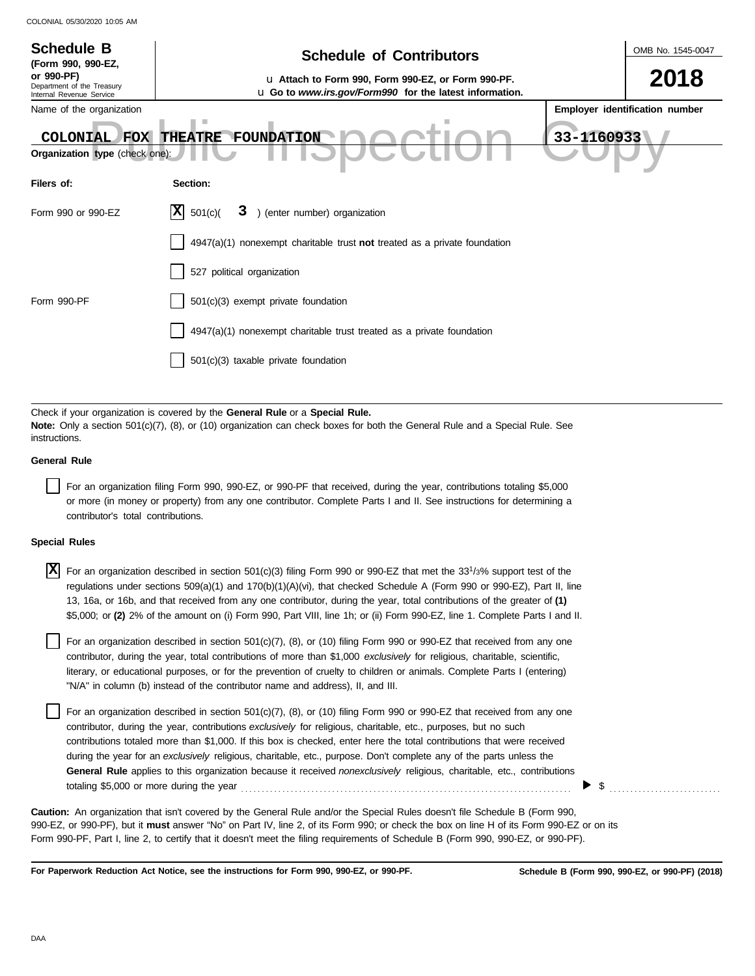| <b>Schedule B</b><br>(Form 990, 990-EZ,<br>or 990-PF)<br>Department of the Treasury<br>Internal Revenue Service<br>Name of the organization<br>COLONIAL FOX<br>Organization type (check one): | <b>Schedule of Contributors</b><br>u Attach to Form 990, Form 990-EZ, or Form 990-PF.<br>u Go to www.irs.gov/Form990 for the latest information.<br>П<br><b>FOUNDATION</b><br>33-1160933<br><b>THEATRE</b>                                    | OMB No. 1545-0047<br>2018<br>Employer identification number |
|-----------------------------------------------------------------------------------------------------------------------------------------------------------------------------------------------|-----------------------------------------------------------------------------------------------------------------------------------------------------------------------------------------------------------------------------------------------|-------------------------------------------------------------|
| Filers of:                                                                                                                                                                                    | Section:                                                                                                                                                                                                                                      |                                                             |
| Form 990 or 990-EZ                                                                                                                                                                            | ΙX<br>3 ) (enter number) organization<br>501(c)                                                                                                                                                                                               |                                                             |
|                                                                                                                                                                                               | $4947(a)(1)$ nonexempt charitable trust not treated as a private foundation                                                                                                                                                                   |                                                             |
|                                                                                                                                                                                               | 527 political organization                                                                                                                                                                                                                    |                                                             |
| Form 990-PF                                                                                                                                                                                   | 501(c)(3) exempt private foundation                                                                                                                                                                                                           |                                                             |
|                                                                                                                                                                                               | 4947(a)(1) nonexempt charitable trust treated as a private foundation                                                                                                                                                                         |                                                             |
|                                                                                                                                                                                               | 501(c)(3) taxable private foundation                                                                                                                                                                                                          |                                                             |
|                                                                                                                                                                                               |                                                                                                                                                                                                                                               |                                                             |
| instructions.                                                                                                                                                                                 | Check if your organization is covered by the General Rule or a Special Rule.<br>Note: Only a section 501(c)(7), (8), or (10) organization can check boxes for both the General Rule and a Special Rule. See                                   |                                                             |
| <b>General Rule</b>                                                                                                                                                                           |                                                                                                                                                                                                                                               |                                                             |
| contributor's total contributions.                                                                                                                                                            | For an organization filing Form 990, 990-EZ, or 990-PF that received, during the year, contributions totaling \$5,000<br>or more (in money or property) from any one contributor. Complete Parts I and II. See instructions for determining a |                                                             |
| <b>Special Rules</b>                                                                                                                                                                          |                                                                                                                                                                                                                                               |                                                             |

| <b>X</b> For an organization described in section 501(c)(3) filing Form 990 or 990-EZ that met the 33 <sup>1</sup> /3% support test of the |
|--------------------------------------------------------------------------------------------------------------------------------------------|
| regulations under sections 509(a)(1) and 170(b)(1)(A)(vi), that checked Schedule A (Form 990 or 990-EZ), Part II, line                     |
| 13, 16a, or 16b, and that received from any one contributor, during the year, total contributions of the greater of (1)                    |
| \$5,000; or (2) 2% of the amount on (i) Form 990, Part VIII, line 1h; or (ii) Form 990-EZ, line 1. Complete Parts I and II.                |

literary, or educational purposes, or for the prevention of cruelty to children or animals. Complete Parts I (entering) For an organization described in section 501(c)(7), (8), or (10) filing Form 990 or 990-EZ that received from any one contributor, during the year, total contributions of more than \$1,000 *exclusively* for religious, charitable, scientific, "N/A" in column (b) instead of the contributor name and address), II, and III.

For an organization described in section 501(c)(7), (8), or (10) filing Form 990 or 990-EZ that received from any one contributor, during the year, contributions *exclusively* for religious, charitable, etc., purposes, but no such contributions totaled more than \$1,000. If this box is checked, enter here the total contributions that were received during the year for an *exclusively* religious, charitable, etc., purpose. Don't complete any of the parts unless the **General Rule** applies to this organization because it received *nonexclusively* religious, charitable, etc., contributions totaling \$5,000 or more during the year . . . . . . . . . . . . . . . . . . . . . . . . . . . . . . . . . . . . . . . . . . . . . . . . . . . . . . . . . . . . . . . . . . . . . . . . . . . . . . . .

990-EZ, or 990-PF), but it **must** answer "No" on Part IV, line 2, of its Form 990; or check the box on line H of its Form 990-EZ or on its Form 990-PF, Part I, line 2, to certify that it doesn't meet the filing requirements of Schedule B (Form 990, 990-EZ, or 990-PF). **Caution:** An organization that isn't covered by the General Rule and/or the Special Rules doesn't file Schedule B (Form 990,

**For Paperwork Reduction Act Notice, see the instructions for Form 990, 990-EZ, or 990-PF.**

 $\triangleright$  \$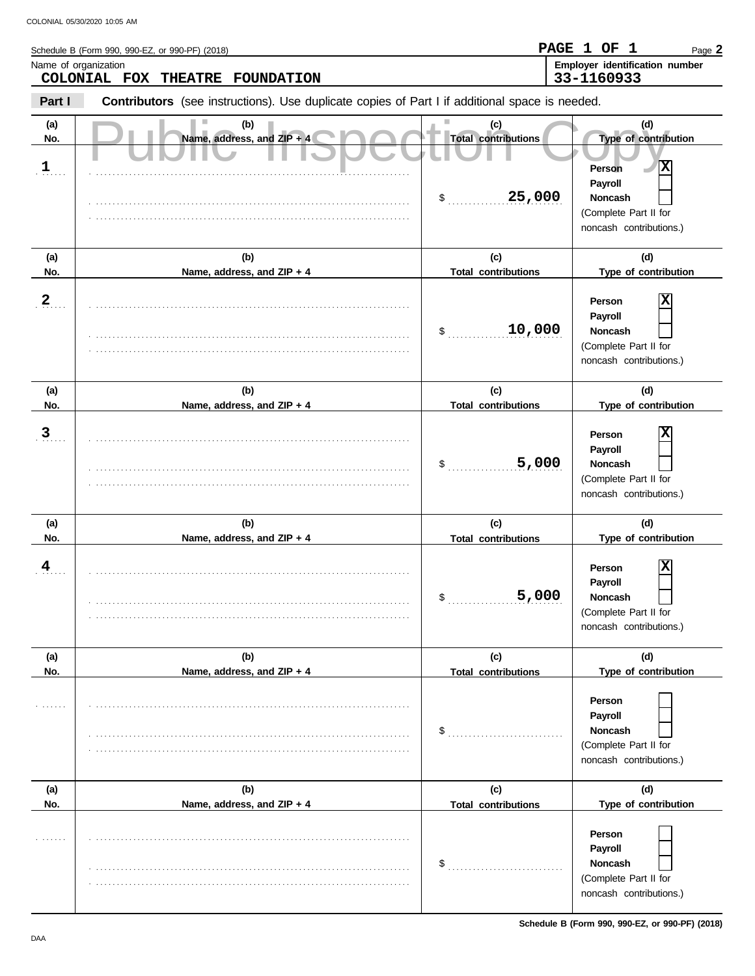|                            | Schedule B (Form 990, 990-EZ, or 990-PF) (2018)                                                       |                                                   | PAGE 1 OF 1<br>Page 2                                                                                                                      |
|----------------------------|-------------------------------------------------------------------------------------------------------|---------------------------------------------------|--------------------------------------------------------------------------------------------------------------------------------------------|
| Name of organization       | COLONIAL FOX<br><b>THEATRE</b><br>FOUNDATION                                                          |                                                   | Employer identification number<br>33-1160933                                                                                               |
| Part I                     | <b>Contributors</b> (see instructions). Use duplicate copies of Part I if additional space is needed. |                                                   |                                                                                                                                            |
| (a)<br>No.<br>$\mathbf{1}$ | (b)<br>Name, address, and ZIP + 4                                                                     | (c)<br><b>Total contributions</b><br>25,000<br>\$ | (d)<br>Type of contribution<br>$\overline{\mathbf{x}}$<br>Person<br>Payroll<br>Noncash<br>(Complete Part II for<br>noncash contributions.) |
| (a)<br>No.                 | (b)<br>Name, address, and ZIP + 4                                                                     | (c)<br><b>Total contributions</b>                 | (d)<br>Type of contribution                                                                                                                |
| $\overline{2}$             |                                                                                                       | 10,000<br>\$                                      | х<br>Person<br>Payroll<br>Noncash<br>(Complete Part II for<br>noncash contributions.)                                                      |
| (a)<br>No.                 | (b)<br>Name, address, and ZIP + 4                                                                     | (c)<br><b>Total contributions</b>                 | (d)<br>Type of contribution                                                                                                                |
| $\overline{3}$             |                                                                                                       | 5,000<br>\$                                       | х<br>Person<br>Payroll<br>Noncash<br>(Complete Part II for<br>noncash contributions.)                                                      |
| (a)<br>No.                 | (b)<br>Name, address, and ZIP + 4                                                                     | (c)<br><b>Total contributions</b>                 | (d)<br>Type of contribution                                                                                                                |
| $\overline{4}$             |                                                                                                       | 5,000<br>\$                                       | х<br>Person<br>Payroll<br>Noncash<br>(Complete Part II for<br>noncash contributions.)                                                      |
| (a)<br>No.                 | (b)<br>Name, address, and ZIP + 4                                                                     | (c)<br><b>Total contributions</b>                 | (d)<br>Type of contribution                                                                                                                |
|                            |                                                                                                       | \$                                                | Person<br>Payroll<br>Noncash<br>(Complete Part II for<br>noncash contributions.)                                                           |
| (a)                        | (b)                                                                                                   | (c)                                               | (d)                                                                                                                                        |
| No.                        | Name, address, and ZIP + 4                                                                            | <b>Total contributions</b><br>\$                  | Type of contribution<br>Person<br>Payroll<br>Noncash<br>(Complete Part II for<br>noncash contributions.)                                   |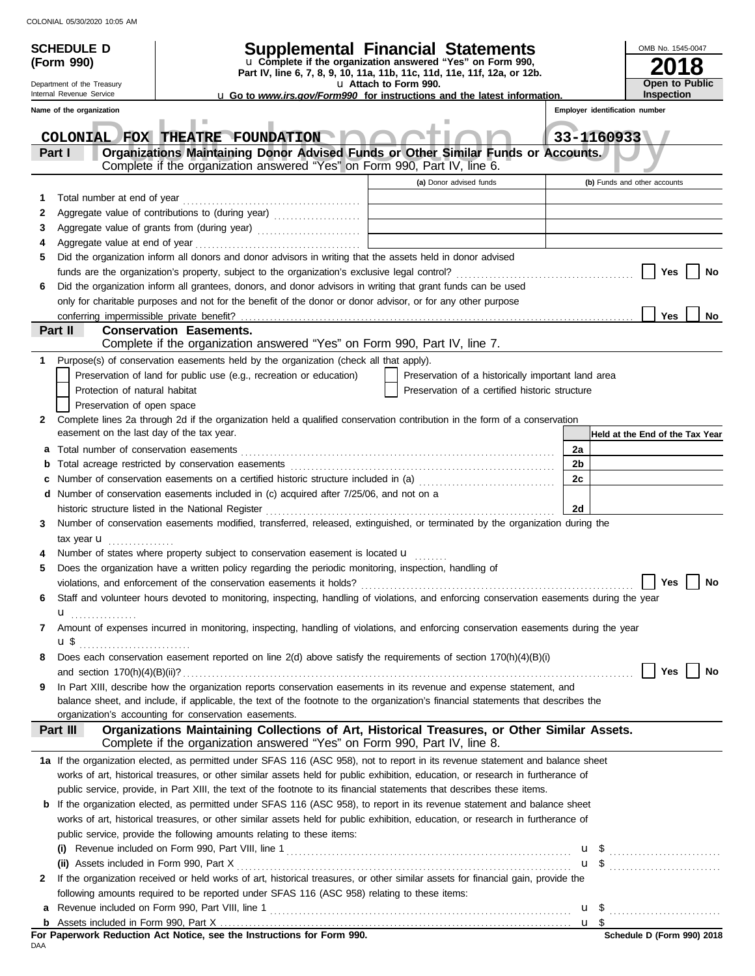|        | <b>SCHEDULE D</b>                                                                           | <b>Supplemental Financial Statements</b>                                                                                                                                                                                                                               |          |            | OMB No. 1545-0047                                   |    |
|--------|---------------------------------------------------------------------------------------------|------------------------------------------------------------------------------------------------------------------------------------------------------------------------------------------------------------------------------------------------------------------------|----------|------------|-----------------------------------------------------|----|
|        | (Form 990)                                                                                  | u Complete if the organization answered "Yes" on Form 990,<br>Part IV, line 6, 7, 8, 9, 10, 11a, 11b, 11c, 11d, 11e, 11f, 12a, or 12b.                                                                                                                                 |          |            |                                                     |    |
|        | Department of the Treasury                                                                  | u Attach to Form 990.                                                                                                                                                                                                                                                  |          |            | Open to Public                                      |    |
|        | Internal Revenue Service<br>Name of the organization                                        | <b>u</b> Go to www.irs.gov/Form990 for instructions and the latest information.                                                                                                                                                                                        |          |            | <b>Inspection</b><br>Employer identification number |    |
|        |                                                                                             |                                                                                                                                                                                                                                                                        |          |            |                                                     |    |
|        |                                                                                             | COLONIAL FOX THEATRE FOUNDATION                                                                                                                                                                                                                                        |          | 33-1160933 |                                                     |    |
|        | Part I                                                                                      | Organizations Maintaining Donor Advised Funds or Other Similar Funds or Accounts.                                                                                                                                                                                      |          |            |                                                     |    |
|        |                                                                                             | Complete if the organization answered "Yes" on Form 990, Part IV, line 6.                                                                                                                                                                                              |          |            |                                                     |    |
|        |                                                                                             | (a) Donor advised funds                                                                                                                                                                                                                                                |          |            | (b) Funds and other accounts                        |    |
| 1<br>2 | Total number at end of year                                                                 | Aggregate value of contributions to (during year)                                                                                                                                                                                                                      |          |            |                                                     |    |
| 3      |                                                                                             | the control of the control of the control of the<br>Aggregate value of grants from (during year)                                                                                                                                                                       |          |            |                                                     |    |
| 4      |                                                                                             |                                                                                                                                                                                                                                                                        |          |            |                                                     |    |
| 5      |                                                                                             | Did the organization inform all donors and donor advisors in writing that the assets held in donor advised                                                                                                                                                             |          |            |                                                     |    |
|        |                                                                                             |                                                                                                                                                                                                                                                                        |          |            | Yes                                                 | No |
| 6      |                                                                                             | Did the organization inform all grantees, donors, and donor advisors in writing that grant funds can be used                                                                                                                                                           |          |            |                                                     |    |
|        |                                                                                             | only for charitable purposes and not for the benefit of the donor or donor advisor, or for any other purpose                                                                                                                                                           |          |            |                                                     |    |
|        |                                                                                             | <b>Conservation Easements.</b>                                                                                                                                                                                                                                         |          |            | Yes                                                 | No |
|        | Part II                                                                                     | Complete if the organization answered "Yes" on Form 990, Part IV, line 7.                                                                                                                                                                                              |          |            |                                                     |    |
| 1.     |                                                                                             | Purpose(s) of conservation easements held by the organization (check all that apply).                                                                                                                                                                                  |          |            |                                                     |    |
|        |                                                                                             | Preservation of land for public use (e.g., recreation or education)<br>Preservation of a historically important land area                                                                                                                                              |          |            |                                                     |    |
|        | Protection of natural habitat                                                               | Preservation of a certified historic structure                                                                                                                                                                                                                         |          |            |                                                     |    |
|        | Preservation of open space                                                                  |                                                                                                                                                                                                                                                                        |          |            |                                                     |    |
| 2      |                                                                                             | Complete lines 2a through 2d if the organization held a qualified conservation contribution in the form of a conservation                                                                                                                                              |          |            |                                                     |    |
|        | easement on the last day of the tax year.                                                   |                                                                                                                                                                                                                                                                        |          |            | Held at the End of the Tax Year                     |    |
| а      |                                                                                             |                                                                                                                                                                                                                                                                        | 2a       |            |                                                     |    |
| b      |                                                                                             |                                                                                                                                                                                                                                                                        | 2b<br>2c |            |                                                     |    |
| c      |                                                                                             | Number of conservation easements on a certified historic structure included in (a) [[11] Number of conservation easements on a certified historic structure included in (a)<br>d Number of conservation easements included in (c) acquired after 7/25/06, and not on a |          |            |                                                     |    |
|        |                                                                                             | historic structure listed in the National Register                                                                                                                                                                                                                     | 2d       |            |                                                     |    |
| 3      |                                                                                             | Number of conservation easements modified, transferred, released, extinguished, or terminated by the organization during the                                                                                                                                           |          |            |                                                     |    |
|        | tax year $\mathbf u$                                                                        |                                                                                                                                                                                                                                                                        |          |            |                                                     |    |
|        |                                                                                             | Number of states where property subject to conservation easement is located <b>u</b>                                                                                                                                                                                   |          |            |                                                     |    |
| 5      |                                                                                             | Does the organization have a written policy regarding the periodic monitoring, inspection, handling of                                                                                                                                                                 |          |            |                                                     |    |
|        |                                                                                             | violations, and enforcement of the conservation easements it holds?                                                                                                                                                                                                    |          |            | Yes                                                 | No |
| 6      |                                                                                             | Staff and volunteer hours devoted to monitoring, inspecting, handling of violations, and enforcing conservation easements during the year                                                                                                                              |          |            |                                                     |    |
|        | $\mathbf u$ and $\mathbf u$ and $\mathbf u$ and $\mathbf u$ and $\mathbf u$ and $\mathbf u$ |                                                                                                                                                                                                                                                                        |          |            |                                                     |    |
| 7      | <b>u</b> \$                                                                                 | Amount of expenses incurred in monitoring, inspecting, handling of violations, and enforcing conservation easements during the year                                                                                                                                    |          |            |                                                     |    |
| 8      |                                                                                             | Does each conservation easement reported on line 2(d) above satisfy the requirements of section 170(h)(4)(B)(i)                                                                                                                                                        |          |            |                                                     |    |
|        |                                                                                             |                                                                                                                                                                                                                                                                        |          |            | Yes                                                 | No |
| 9      |                                                                                             | In Part XIII, describe how the organization reports conservation easements in its revenue and expense statement, and                                                                                                                                                   |          |            |                                                     |    |
|        |                                                                                             | balance sheet, and include, if applicable, the text of the footnote to the organization's financial statements that describes the                                                                                                                                      |          |            |                                                     |    |
|        |                                                                                             | organization's accounting for conservation easements.                                                                                                                                                                                                                  |          |            |                                                     |    |
|        | Part III                                                                                    | Organizations Maintaining Collections of Art, Historical Treasures, or Other Similar Assets.<br>Complete if the organization answered "Yes" on Form 990, Part IV, line 8.                                                                                              |          |            |                                                     |    |
|        |                                                                                             |                                                                                                                                                                                                                                                                        |          |            |                                                     |    |
|        |                                                                                             | 1a If the organization elected, as permitted under SFAS 116 (ASC 958), not to report in its revenue statement and balance sheet<br>works of art, historical treasures, or other similar assets held for public exhibition, education, or research in furtherance of    |          |            |                                                     |    |
|        |                                                                                             | public service, provide, in Part XIII, the text of the footnote to its financial statements that describes these items.                                                                                                                                                |          |            |                                                     |    |
|        |                                                                                             | <b>b</b> If the organization elected, as permitted under SFAS 116 (ASC 958), to report in its revenue statement and balance sheet                                                                                                                                      |          |            |                                                     |    |
|        |                                                                                             | works of art, historical treasures, or other similar assets held for public exhibition, education, or research in furtherance of                                                                                                                                       |          |            |                                                     |    |
|        |                                                                                             | public service, provide the following amounts relating to these items:                                                                                                                                                                                                 |          |            |                                                     |    |
|        |                                                                                             |                                                                                                                                                                                                                                                                        |          |            | $\mathbf{u}$ \$                                     |    |
|        |                                                                                             |                                                                                                                                                                                                                                                                        |          |            | $\mathbf{u}$ \$                                     |    |
| 2      |                                                                                             | If the organization received or held works of art, historical treasures, or other similar assets for financial gain, provide the                                                                                                                                       |          |            |                                                     |    |
|        |                                                                                             | following amounts required to be reported under SFAS 116 (ASC 958) relating to these items:                                                                                                                                                                            |          |            |                                                     |    |
|        |                                                                                             |                                                                                                                                                                                                                                                                        | u \$     |            |                                                     |    |
|        |                                                                                             | For Paperwork Reduction Act Notice, see the Instructions for Form 990.                                                                                                                                                                                                 |          |            | Schedule D (Form 990) 2018                          |    |
| DAA    |                                                                                             |                                                                                                                                                                                                                                                                        |          |            |                                                     |    |

|     |  |  |  | For Paperwork Reduction Act Notice, see the Instructions for Form 990. |  |  |
|-----|--|--|--|------------------------------------------------------------------------|--|--|
| DAA |  |  |  |                                                                        |  |  |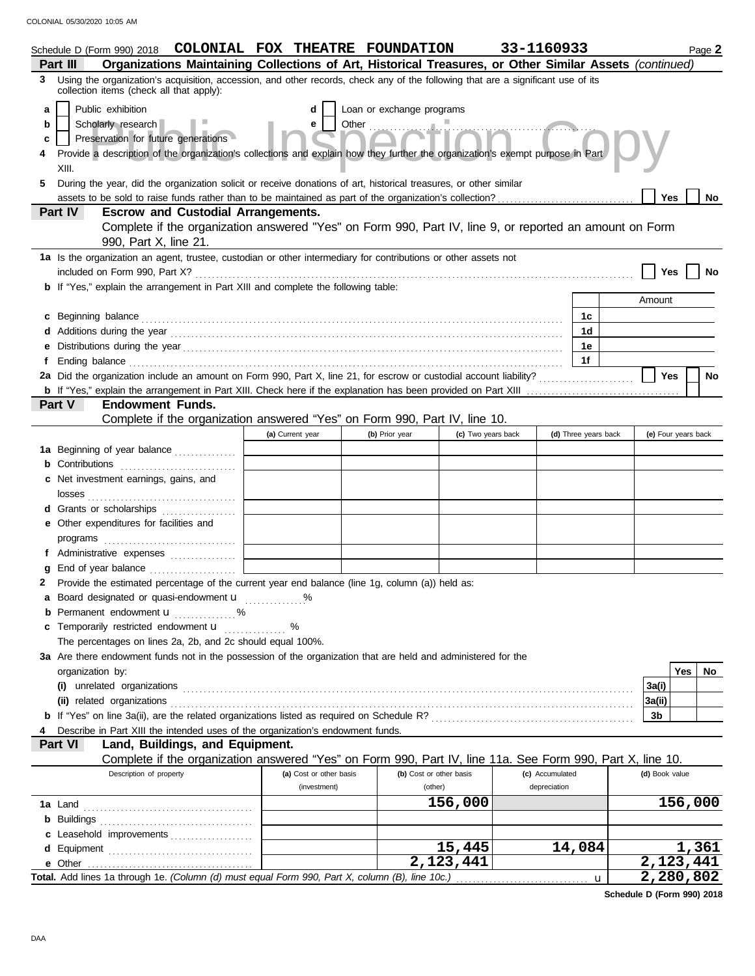| Schedule D (Form 990) 2018 COLONIAL FOX THEATRE FOUNDATION<br>Part III                                                             | Organizations Maintaining Collections of Art, Historical Treasures, or Other Similar Assets (continued)                                                                                                                              |                                         |                                                                                                                                                                                                                                                                                                    |                                    | 33-1160933                      |                      |                | Page 2              |
|------------------------------------------------------------------------------------------------------------------------------------|--------------------------------------------------------------------------------------------------------------------------------------------------------------------------------------------------------------------------------------|-----------------------------------------|----------------------------------------------------------------------------------------------------------------------------------------------------------------------------------------------------------------------------------------------------------------------------------------------------|------------------------------------|---------------------------------|----------------------|----------------|---------------------|
| 3 Using the organization's acquisition, accession, and other records, check any of the following that are a significant use of its |                                                                                                                                                                                                                                      |                                         |                                                                                                                                                                                                                                                                                                    |                                    |                                 |                      |                |                     |
| collection items (check all that apply):                                                                                           |                                                                                                                                                                                                                                      |                                         |                                                                                                                                                                                                                                                                                                    |                                    |                                 |                      |                |                     |
| Public exhibition<br>a                                                                                                             |                                                                                                                                                                                                                                      | d                                       | Loan or exchange programs                                                                                                                                                                                                                                                                          |                                    |                                 |                      |                |                     |
| Scholarly research<br>b                                                                                                            |                                                                                                                                                                                                                                      | e                                       | Other $\frac{1}{2}$ of $\frac{1}{2}$ of $\frac{1}{2}$ of $\frac{1}{2}$ of $\frac{1}{2}$ of $\frac{1}{2}$ of $\frac{1}{2}$ of $\frac{1}{2}$ of $\frac{1}{2}$ of $\frac{1}{2}$ of $\frac{1}{2}$ of $\frac{1}{2}$ or $\frac{1}{2}$ or $\frac{1}{2}$ or $\frac{1}{2}$ or $\frac{1}{2}$ or $\frac{1}{2$ |                                    |                                 |                      |                |                     |
| c                                                                                                                                  | Preservation for future generations<br>Provide a description of the organization's collections and explain how they further the organization's exempt purpose in Part                                                                |                                         |                                                                                                                                                                                                                                                                                                    |                                    |                                 |                      |                |                     |
| XIII.                                                                                                                              |                                                                                                                                                                                                                                      |                                         |                                                                                                                                                                                                                                                                                                    |                                    |                                 |                      |                |                     |
| 5                                                                                                                                  | During the year, did the organization solicit or receive donations of art, historical treasures, or other similar                                                                                                                    |                                         |                                                                                                                                                                                                                                                                                                    |                                    |                                 |                      |                |                     |
|                                                                                                                                    | assets to be sold to raise funds rather than to be maintained as part of the organization's collection?                                                                                                                              |                                         |                                                                                                                                                                                                                                                                                                    |                                    |                                 |                      | <b>Yes</b>     | No                  |
| Part IV                                                                                                                            | <b>Escrow and Custodial Arrangements.</b>                                                                                                                                                                                            |                                         |                                                                                                                                                                                                                                                                                                    |                                    |                                 |                      |                |                     |
|                                                                                                                                    | Complete if the organization answered "Yes" on Form 990, Part IV, line 9, or reported an amount on Form<br>990, Part X, line 21.                                                                                                     |                                         |                                                                                                                                                                                                                                                                                                    |                                    |                                 |                      |                |                     |
| 1a Is the organization an agent, trustee, custodian or other intermediary for contributions or other assets not                    |                                                                                                                                                                                                                                      |                                         |                                                                                                                                                                                                                                                                                                    |                                    |                                 |                      |                |                     |
|                                                                                                                                    |                                                                                                                                                                                                                                      |                                         |                                                                                                                                                                                                                                                                                                    |                                    |                                 |                      | Yes            |                     |
|                                                                                                                                    | b If "Yes," explain the arrangement in Part XIII and complete the following table:                                                                                                                                                   |                                         |                                                                                                                                                                                                                                                                                                    |                                    |                                 |                      |                |                     |
|                                                                                                                                    |                                                                                                                                                                                                                                      |                                         |                                                                                                                                                                                                                                                                                                    |                                    |                                 |                      | Amount         |                     |
|                                                                                                                                    | c Beginning balance <b>contract to the contract of the set of the contract of the contract of the contract of the contract of the contract of the contract of the contract of the contract of the contract of the contract of th</b> |                                         |                                                                                                                                                                                                                                                                                                    |                                    |                                 | 1c                   |                |                     |
| d                                                                                                                                  | Additions during the year with the contract of the set of the set of the set of the set of the set of the set of the set of the set of the set of the set of the set of the set of the set of the set of the set of the set of       |                                         |                                                                                                                                                                                                                                                                                                    |                                    |                                 | 1d<br>1e             |                |                     |
| е<br>f                                                                                                                             |                                                                                                                                                                                                                                      |                                         |                                                                                                                                                                                                                                                                                                    |                                    |                                 | 1f                   |                |                     |
| 2a Did the organization include an amount on Form 990, Part X, line 21, for escrow or custodial account liability?                 | Ending balance contains and a series of the contact of the contact of the contact of the contact of the contact of the contact of the contact of the contact of the contact of the contact of the contact of the contact of th       |                                         |                                                                                                                                                                                                                                                                                                    |                                    |                                 |                      | Yes            | No                  |
|                                                                                                                                    |                                                                                                                                                                                                                                      |                                         |                                                                                                                                                                                                                                                                                                    |                                    |                                 |                      |                |                     |
| Part V                                                                                                                             | <b>Endowment Funds.</b>                                                                                                                                                                                                              |                                         |                                                                                                                                                                                                                                                                                                    |                                    |                                 |                      |                |                     |
|                                                                                                                                    | Complete if the organization answered "Yes" on Form 990, Part IV, line 10.                                                                                                                                                           |                                         |                                                                                                                                                                                                                                                                                                    |                                    |                                 |                      |                |                     |
|                                                                                                                                    |                                                                                                                                                                                                                                      | (a) Current year                        | (b) Prior year                                                                                                                                                                                                                                                                                     | (c) Two years back                 |                                 | (d) Three years back |                | (e) Four years back |
| 1a Beginning of year balance                                                                                                       |                                                                                                                                                                                                                                      |                                         |                                                                                                                                                                                                                                                                                                    |                                    |                                 |                      |                |                     |
| <b>b</b> Contributions <b>contributions</b>                                                                                        |                                                                                                                                                                                                                                      |                                         |                                                                                                                                                                                                                                                                                                    |                                    |                                 |                      |                |                     |
| c Net investment earnings, gains, and                                                                                              |                                                                                                                                                                                                                                      |                                         |                                                                                                                                                                                                                                                                                                    |                                    |                                 |                      |                |                     |
|                                                                                                                                    |                                                                                                                                                                                                                                      |                                         |                                                                                                                                                                                                                                                                                                    |                                    |                                 |                      |                |                     |
| d Grants or scholarships<br>e Other expenditures for facilities and                                                                |                                                                                                                                                                                                                                      |                                         |                                                                                                                                                                                                                                                                                                    |                                    |                                 |                      |                |                     |
|                                                                                                                                    |                                                                                                                                                                                                                                      |                                         |                                                                                                                                                                                                                                                                                                    |                                    |                                 |                      |                |                     |
| f Administrative expenses                                                                                                          |                                                                                                                                                                                                                                      |                                         |                                                                                                                                                                                                                                                                                                    |                                    |                                 |                      |                |                     |
| a                                                                                                                                  |                                                                                                                                                                                                                                      |                                         |                                                                                                                                                                                                                                                                                                    |                                    |                                 |                      |                |                     |
| 2                                                                                                                                  | Provide the estimated percentage of the current year end balance (line 1g, column (a)) held as:                                                                                                                                      |                                         |                                                                                                                                                                                                                                                                                                    |                                    |                                 |                      |                |                     |
|                                                                                                                                    | a Board designated or quasi-endowment u %                                                                                                                                                                                            |                                         |                                                                                                                                                                                                                                                                                                    |                                    |                                 |                      |                |                     |
|                                                                                                                                    | <b>b</b> Permanent endowment <b>u</b> %                                                                                                                                                                                              |                                         |                                                                                                                                                                                                                                                                                                    |                                    |                                 |                      |                |                     |
|                                                                                                                                    | c Temporarily restricted endowment <b>u</b>                                                                                                                                                                                          | %                                       |                                                                                                                                                                                                                                                                                                    |                                    |                                 |                      |                |                     |
|                                                                                                                                    | The percentages on lines 2a, 2b, and 2c should equal 100%.                                                                                                                                                                           |                                         |                                                                                                                                                                                                                                                                                                    |                                    |                                 |                      |                |                     |
| 3a Are there endowment funds not in the possession of the organization that are held and administered for the<br>organization by:  |                                                                                                                                                                                                                                      |                                         |                                                                                                                                                                                                                                                                                                    |                                    |                                 |                      |                | Yes<br><b>No</b>    |
|                                                                                                                                    |                                                                                                                                                                                                                                      |                                         |                                                                                                                                                                                                                                                                                                    |                                    |                                 |                      | 3a(i)          |                     |
|                                                                                                                                    |                                                                                                                                                                                                                                      |                                         |                                                                                                                                                                                                                                                                                                    |                                    |                                 |                      | 3a(ii)         |                     |
|                                                                                                                                    |                                                                                                                                                                                                                                      |                                         |                                                                                                                                                                                                                                                                                                    |                                    |                                 |                      | 3b             |                     |
|                                                                                                                                    | Describe in Part XIII the intended uses of the organization's endowment funds.                                                                                                                                                       |                                         |                                                                                                                                                                                                                                                                                                    |                                    |                                 |                      |                |                     |
| Part VI                                                                                                                            | Land, Buildings, and Equipment.                                                                                                                                                                                                      |                                         |                                                                                                                                                                                                                                                                                                    |                                    |                                 |                      |                |                     |
|                                                                                                                                    | Complete if the organization answered "Yes" on Form 990, Part IV, line 11a. See Form 990, Part X, line 10.                                                                                                                           |                                         |                                                                                                                                                                                                                                                                                                    |                                    |                                 |                      |                |                     |
|                                                                                                                                    | Description of property                                                                                                                                                                                                              | (a) Cost or other basis<br>(investment) |                                                                                                                                                                                                                                                                                                    | (b) Cost or other basis<br>(other) | (c) Accumulated<br>depreciation |                      | (d) Book value |                     |
|                                                                                                                                    |                                                                                                                                                                                                                                      |                                         |                                                                                                                                                                                                                                                                                                    | 156,000                            |                                 |                      |                | 156,000             |
|                                                                                                                                    |                                                                                                                                                                                                                                      |                                         |                                                                                                                                                                                                                                                                                                    |                                    |                                 |                      |                |                     |
|                                                                                                                                    | c Leasehold improvements                                                                                                                                                                                                             |                                         |                                                                                                                                                                                                                                                                                                    |                                    |                                 |                      |                |                     |
| d                                                                                                                                  |                                                                                                                                                                                                                                      |                                         |                                                                                                                                                                                                                                                                                                    | 15,445                             |                                 | 14,084               |                | 1,361               |
|                                                                                                                                    |                                                                                                                                                                                                                                      |                                         |                                                                                                                                                                                                                                                                                                    | 2,123,441                          |                                 |                      |                | 2,123,441           |
| Total. Add lines 1a through 1e. (Column (d) must equal Form 990, Part X, column (B), line 10c.)                                    |                                                                                                                                                                                                                                      |                                         |                                                                                                                                                                                                                                                                                                    |                                    |                                 | u                    |                | 2,280,802           |

**Schedule D (Form 990) 2018**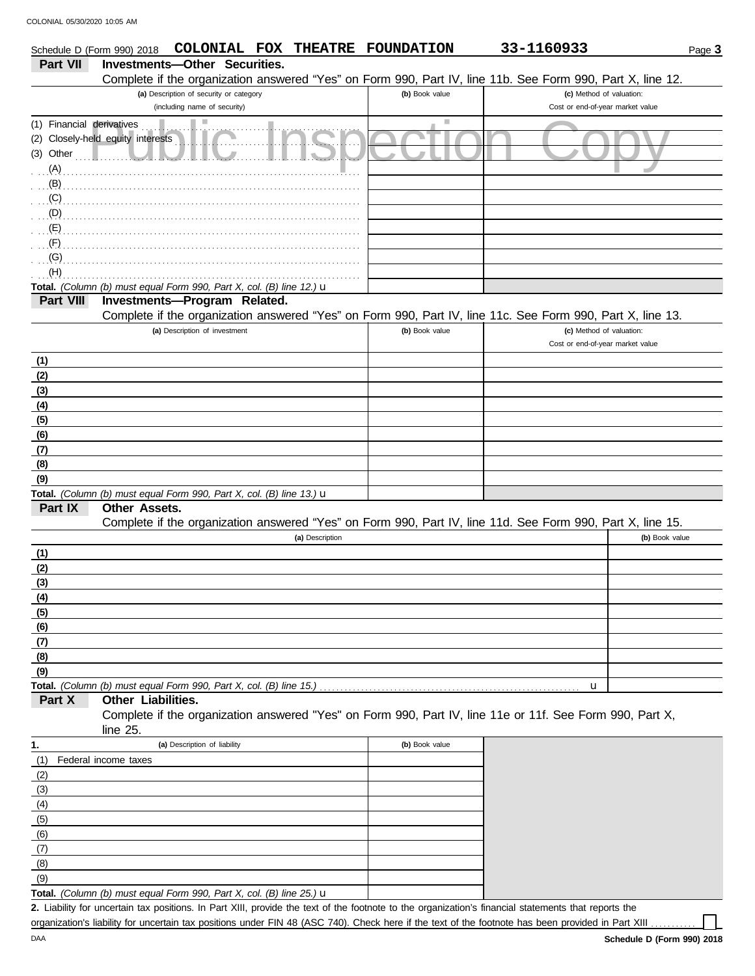|                           | Schedule D (Form 990) 2018                                           |                                         |                 | COLONIAL FOX THEATRE FOUNDATION | 33-1160933                                                                                                 | Page 3         |
|---------------------------|----------------------------------------------------------------------|-----------------------------------------|-----------------|---------------------------------|------------------------------------------------------------------------------------------------------------|----------------|
| <b>Part VII</b>           | Investments-Other Securities.                                        |                                         |                 |                                 |                                                                                                            |                |
|                           |                                                                      |                                         |                 |                                 | Complete if the organization answered "Yes" on Form 990, Part IV, line 11b. See Form 990, Part X, line 12. |                |
|                           |                                                                      | (a) Description of security or category |                 | (b) Book value                  | (c) Method of valuation:                                                                                   |                |
|                           |                                                                      | (including name of security)            |                 |                                 | Cost or end-of-year market value                                                                           |                |
| (1) Financial derivatives |                                                                      |                                         |                 | ш                               |                                                                                                            |                |
|                           | (2) Closely-held equity interests                                    |                                         |                 |                                 |                                                                                                            |                |
| $(3)$ Other               |                                                                      |                                         |                 |                                 |                                                                                                            |                |
| (A)                       |                                                                      |                                         |                 |                                 |                                                                                                            |                |
| $\overline{A}$ (B)        |                                                                      |                                         |                 |                                 |                                                                                                            |                |
| (C)                       |                                                                      |                                         |                 |                                 |                                                                                                            |                |
| (D)                       |                                                                      |                                         |                 |                                 |                                                                                                            |                |
| (E)                       |                                                                      |                                         |                 |                                 |                                                                                                            |                |
| (F)                       |                                                                      |                                         |                 |                                 |                                                                                                            |                |
| (G)                       |                                                                      |                                         |                 |                                 |                                                                                                            |                |
| (H)                       |                                                                      |                                         |                 |                                 |                                                                                                            |                |
|                           | Total. (Column (b) must equal Form 990, Part X, col. (B) line 12.) u |                                         |                 |                                 |                                                                                                            |                |
| Part VIII                 | Investments-Program Related.                                         |                                         |                 |                                 |                                                                                                            |                |
|                           |                                                                      |                                         |                 |                                 | Complete if the organization answered "Yes" on Form 990, Part IV, line 11c. See Form 990, Part X, line 13. |                |
|                           |                                                                      | (a) Description of investment           |                 | (b) Book value                  | (c) Method of valuation:                                                                                   |                |
|                           |                                                                      |                                         |                 |                                 | Cost or end-of-year market value                                                                           |                |
| (1)                       |                                                                      |                                         |                 |                                 |                                                                                                            |                |
| (2)                       |                                                                      |                                         |                 |                                 |                                                                                                            |                |
| (3)                       |                                                                      |                                         |                 |                                 |                                                                                                            |                |
| (4)                       |                                                                      |                                         |                 |                                 |                                                                                                            |                |
| (5)                       |                                                                      |                                         |                 |                                 |                                                                                                            |                |
| (6)                       |                                                                      |                                         |                 |                                 |                                                                                                            |                |
| (7)                       |                                                                      |                                         |                 |                                 |                                                                                                            |                |
| (8)                       |                                                                      |                                         |                 |                                 |                                                                                                            |                |
| (9)                       |                                                                      |                                         |                 |                                 |                                                                                                            |                |
|                           | Total. (Column (b) must equal Form 990, Part X, col. (B) line 13.) u |                                         |                 |                                 |                                                                                                            |                |
| Part IX                   | Other Assets.                                                        |                                         |                 |                                 |                                                                                                            |                |
|                           |                                                                      |                                         | (a) Description |                                 | Complete if the organization answered "Yes" on Form 990, Part IV, line 11d. See Form 990, Part X, line 15. |                |
|                           |                                                                      |                                         |                 |                                 |                                                                                                            | (b) Book value |
| (1)                       |                                                                      |                                         |                 |                                 |                                                                                                            |                |
| (2)                       |                                                                      |                                         |                 |                                 |                                                                                                            |                |
| (3)                       |                                                                      |                                         |                 |                                 |                                                                                                            |                |
| <u>(4)</u><br>(5)         |                                                                      |                                         |                 |                                 |                                                                                                            |                |
| (6)                       |                                                                      |                                         |                 |                                 |                                                                                                            |                |
| (7)                       |                                                                      |                                         |                 |                                 |                                                                                                            |                |
| (8)                       |                                                                      |                                         |                 |                                 |                                                                                                            |                |
| (9)                       |                                                                      |                                         |                 |                                 |                                                                                                            |                |
|                           | Total. (Column (b) must equal Form 990, Part X, col. (B) line 15.).  |                                         |                 |                                 | u                                                                                                          |                |
| Part X                    | Other Liabilities.                                                   |                                         |                 |                                 |                                                                                                            |                |
|                           |                                                                      |                                         |                 |                                 | Complete if the organization answered "Yes" on Form 990, Part IV, line 11e or 11f. See Form 990, Part X,   |                |
|                           | line 25.                                                             |                                         |                 |                                 |                                                                                                            |                |
| 1.                        |                                                                      | (a) Description of liability            |                 | (b) Book value                  |                                                                                                            |                |
| (1)                       | Federal income taxes                                                 |                                         |                 |                                 |                                                                                                            |                |
| (2)                       |                                                                      |                                         |                 |                                 |                                                                                                            |                |
| (3)                       |                                                                      |                                         |                 |                                 |                                                                                                            |                |
| (4)                       |                                                                      |                                         |                 |                                 |                                                                                                            |                |
| (5)                       |                                                                      |                                         |                 |                                 |                                                                                                            |                |
| (6)                       |                                                                      |                                         |                 |                                 |                                                                                                            |                |
| (7)                       |                                                                      |                                         |                 |                                 |                                                                                                            |                |
| (8)                       |                                                                      |                                         |                 |                                 |                                                                                                            |                |

Liability for uncertain tax positions. In Part XIII, provide the text of the footnote to the organization's financial statements that reports the **2.** organization's liability for uncertain tax positions under FIN 48 (ASC 740). Check here if the text of the footnote has been provided in Part XIII **Total.** *(Column (b) must equal Form 990, Part X, col. (B) line 25.)* u

 $(9)$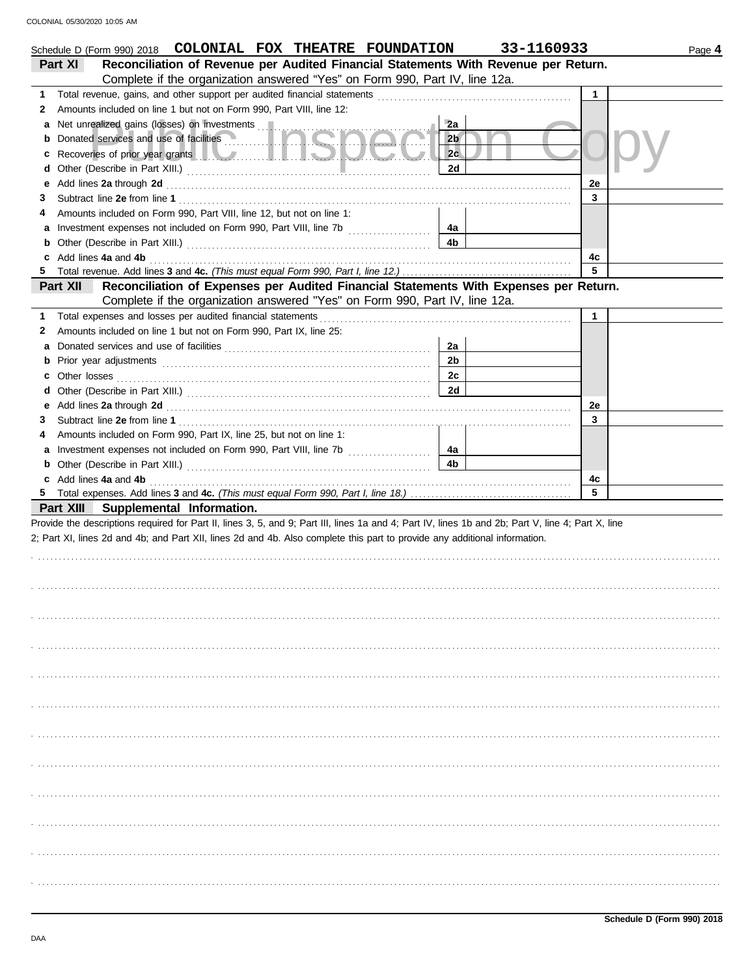|         | Schedule D (Form 990) 2018 COLONIAL FOX THEATRE FOUNDATION                                                                                                                                                                                                                                                                                                                                                   |                | 33-1160933 |              | Page 4 |
|---------|--------------------------------------------------------------------------------------------------------------------------------------------------------------------------------------------------------------------------------------------------------------------------------------------------------------------------------------------------------------------------------------------------------------|----------------|------------|--------------|--------|
| Part XI | Reconciliation of Revenue per Audited Financial Statements With Revenue per Return.                                                                                                                                                                                                                                                                                                                          |                |            |              |        |
|         | Complete if the organization answered "Yes" on Form 990, Part IV, line 12a.                                                                                                                                                                                                                                                                                                                                  |                |            |              |        |
| 1       |                                                                                                                                                                                                                                                                                                                                                                                                              |                |            | $\mathbf{1}$ |        |
| 2       | Amounts included on line 1 but not on Form 990, Part VIII, line 12:                                                                                                                                                                                                                                                                                                                                          |                |            |              |        |
| а       |                                                                                                                                                                                                                                                                                                                                                                                                              | 2a             |            |              |        |
|         | Donated services and use of facilities <b>Community</b> and <b>Community</b> and <b>Community</b> and <b>Community</b> and <b>Community</b> and <b>Community</b> and <b>Community</b> and <b>Community</b> and <b>Community</b> and <b>Community</b> and <b>Community</b> and <b>Commun</b>                                                                                                                  | 2 <sub>b</sub> |            |              |        |
| c       | Recoveries of prior year grants <b>the contract of the contract of prior</b>                                                                                                                                                                                                                                                                                                                                 | 2c             |            |              |        |
| d       |                                                                                                                                                                                                                                                                                                                                                                                                              | 2d             |            |              |        |
| е       |                                                                                                                                                                                                                                                                                                                                                                                                              |                |            | 2e           |        |
| 3       |                                                                                                                                                                                                                                                                                                                                                                                                              |                |            | 3            |        |
|         | Amounts included on Form 990, Part VIII, line 12, but not on line 1:                                                                                                                                                                                                                                                                                                                                         |                |            |              |        |
| а       | Investment expenses not included on Form 990, Part VIII, line 7b [                                                                                                                                                                                                                                                                                                                                           | 4a             |            |              |        |
|         |                                                                                                                                                                                                                                                                                                                                                                                                              | 4 <sub>b</sub> |            |              |        |
|         | Add lines 4a and 4b [ <i>[1]</i> [ <i>[1]</i> [ <i>[1]</i> [ <i>[1]</i> [ <i>[1]</i> [ <i>[1]</i> [ <i>[1]</i> [ <i>[1]</i> [ <i>[1]</i> [ <i>[1]</i> [ <i>[1]</i> [ <i>[1]</i> [ <i>[1]</i> [ <i>[1]</i> [ <i>[1]</i> [ <i>[1]</i> [ <i>[1]</i> [ <i>[1]</i> [ <i>[1]</i> [ <i>[1]</i> [ <i>[1]</i> [ <i>[1]</i> [ <i>[1]</i> [ <i>[1]</i> [ <i>[1]</i> [ <i>[1]</i> [ <i>[1]</i> [ <i>[1]</i> [ <i>[1]</i> |                |            | 4c           |        |
| 5       |                                                                                                                                                                                                                                                                                                                                                                                                              |                |            | 5            |        |
|         | Reconciliation of Expenses per Audited Financial Statements With Expenses per Return.<br>Part XII                                                                                                                                                                                                                                                                                                            |                |            |              |        |
|         | Complete if the organization answered "Yes" on Form 990, Part IV, line 12a.                                                                                                                                                                                                                                                                                                                                  |                |            |              |        |
| 1       | Total expenses and losses per audited financial statements [11] contain the statements and statements and statements and statements and statements and statements and statements and statements are statements and statements                                                                                                                                                                                |                |            | $\mathbf{1}$ |        |
| 2       | Amounts included on line 1 but not on Form 990, Part IX, line 25:                                                                                                                                                                                                                                                                                                                                            |                |            |              |        |
| а       |                                                                                                                                                                                                                                                                                                                                                                                                              | 2a             |            |              |        |
| b       |                                                                                                                                                                                                                                                                                                                                                                                                              | 2 <sub>b</sub> |            |              |        |
| с       |                                                                                                                                                                                                                                                                                                                                                                                                              | 2c             |            |              |        |
| d       |                                                                                                                                                                                                                                                                                                                                                                                                              | 2d             |            |              |        |
| е       | Add lines 2a through 2d [11] Additional Contract of Additional Contract of Additional Contract of Additional Contract of Additional Contract of Additional Contract of Additional Contract of Additional Contract of Additiona                                                                                                                                                                               |                |            | 2e           |        |
| 3       |                                                                                                                                                                                                                                                                                                                                                                                                              |                |            | 3            |        |
|         | Amounts included on Form 990, Part IX, line 25, but not on line 1:                                                                                                                                                                                                                                                                                                                                           |                |            |              |        |
|         |                                                                                                                                                                                                                                                                                                                                                                                                              | 4a             |            |              |        |
|         |                                                                                                                                                                                                                                                                                                                                                                                                              | 4 <sub>b</sub> |            |              |        |
|         |                                                                                                                                                                                                                                                                                                                                                                                                              |                |            | 4c           |        |
|         | c Add lines 4a and 4b (a) and $\frac{4}{3}$ and $\frac{4}{3}$ and $\frac{4}{3}$ and $\frac{4}{3}$ and $\frac{4}{3}$ and $\frac{4}{3}$ and $\frac{4}{3}$ and $\frac{4}{3}$ and $\frac{4}{3}$ and $\frac{4}{3}$ and $\frac{4}{3}$ and $\frac{4}{3}$ and $\frac{4}{3}$ and $\frac{4}{3}$                                                                                                                        |                |            | 5            |        |
|         | Part XIII Supplemental Information.                                                                                                                                                                                                                                                                                                                                                                          |                |            |              |        |
|         | Provide the descriptions required for Part II, lines 3, 5, and 9; Part III, lines 1a and 4; Part IV, lines 1b and 2b; Part V, line 4; Part X, line                                                                                                                                                                                                                                                           |                |            |              |        |
|         | 2; Part XI, lines 2d and 4b; and Part XII, lines 2d and 4b. Also complete this part to provide any additional information.                                                                                                                                                                                                                                                                                   |                |            |              |        |
|         |                                                                                                                                                                                                                                                                                                                                                                                                              |                |            |              |        |
|         |                                                                                                                                                                                                                                                                                                                                                                                                              |                |            |              |        |
|         |                                                                                                                                                                                                                                                                                                                                                                                                              |                |            |              |        |
|         |                                                                                                                                                                                                                                                                                                                                                                                                              |                |            |              |        |
|         |                                                                                                                                                                                                                                                                                                                                                                                                              |                |            |              |        |
|         |                                                                                                                                                                                                                                                                                                                                                                                                              |                |            |              |        |
|         |                                                                                                                                                                                                                                                                                                                                                                                                              |                |            |              |        |
|         |                                                                                                                                                                                                                                                                                                                                                                                                              |                |            |              |        |
|         |                                                                                                                                                                                                                                                                                                                                                                                                              |                |            |              |        |
|         |                                                                                                                                                                                                                                                                                                                                                                                                              |                |            |              |        |
|         |                                                                                                                                                                                                                                                                                                                                                                                                              |                |            |              |        |
|         |                                                                                                                                                                                                                                                                                                                                                                                                              |                |            |              |        |
|         |                                                                                                                                                                                                                                                                                                                                                                                                              |                |            |              |        |
|         |                                                                                                                                                                                                                                                                                                                                                                                                              |                |            |              |        |
|         |                                                                                                                                                                                                                                                                                                                                                                                                              |                |            |              |        |
|         |                                                                                                                                                                                                                                                                                                                                                                                                              |                |            |              |        |
|         |                                                                                                                                                                                                                                                                                                                                                                                                              |                |            |              |        |
|         |                                                                                                                                                                                                                                                                                                                                                                                                              |                |            |              |        |
|         |                                                                                                                                                                                                                                                                                                                                                                                                              |                |            |              |        |
|         |                                                                                                                                                                                                                                                                                                                                                                                                              |                |            |              |        |
|         |                                                                                                                                                                                                                                                                                                                                                                                                              |                |            |              |        |
|         |                                                                                                                                                                                                                                                                                                                                                                                                              |                |            |              |        |
|         |                                                                                                                                                                                                                                                                                                                                                                                                              |                |            |              |        |
|         |                                                                                                                                                                                                                                                                                                                                                                                                              |                |            |              |        |
|         |                                                                                                                                                                                                                                                                                                                                                                                                              |                |            |              |        |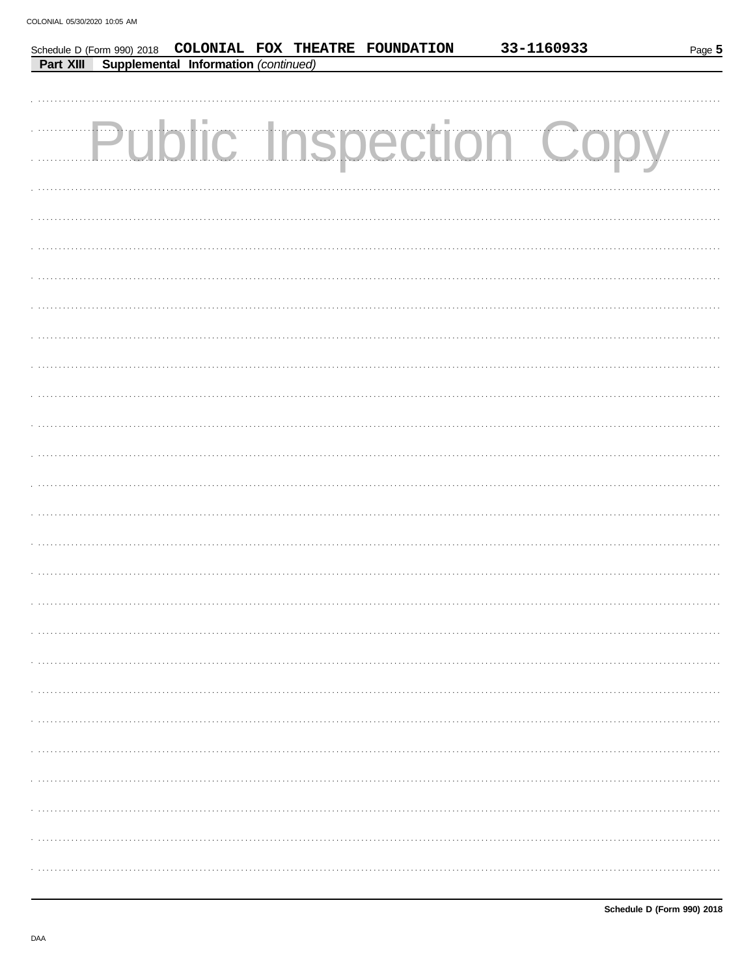|           |                                      |  | Schedule D (Form 990) 2018 COLONIAL FOX THEATRE FOUNDATION | 33-1160933                    | Page 5 |
|-----------|--------------------------------------|--|------------------------------------------------------------|-------------------------------|--------|
| Part XIII | Supplemental Information (continued) |  |                                                            |                               |        |
|           |                                      |  |                                                            |                               |        |
|           |                                      |  |                                                            |                               |        |
|           |                                      |  |                                                            | <b>Public Inspection Copy</b> |        |
|           |                                      |  |                                                            |                               |        |
|           |                                      |  |                                                            |                               |        |
|           |                                      |  |                                                            |                               |        |
|           |                                      |  |                                                            |                               |        |
|           |                                      |  |                                                            |                               |        |
|           |                                      |  |                                                            |                               |        |
|           |                                      |  |                                                            |                               |        |
|           |                                      |  |                                                            |                               |        |
|           |                                      |  |                                                            |                               |        |
|           |                                      |  |                                                            |                               |        |
|           |                                      |  |                                                            |                               |        |
|           |                                      |  |                                                            |                               |        |
|           |                                      |  |                                                            |                               |        |
|           |                                      |  |                                                            |                               |        |
|           |                                      |  |                                                            |                               |        |
|           |                                      |  |                                                            |                               |        |
|           |                                      |  |                                                            |                               |        |
|           |                                      |  |                                                            |                               |        |
|           |                                      |  |                                                            |                               |        |
|           |                                      |  |                                                            |                               |        |
|           |                                      |  |                                                            |                               |        |
|           |                                      |  |                                                            |                               |        |
|           |                                      |  |                                                            |                               |        |
|           |                                      |  |                                                            |                               |        |
|           |                                      |  |                                                            |                               |        |
|           |                                      |  |                                                            |                               |        |
|           |                                      |  |                                                            |                               |        |
|           |                                      |  |                                                            |                               |        |
|           |                                      |  |                                                            |                               |        |
|           |                                      |  |                                                            |                               |        |
|           |                                      |  |                                                            |                               |        |
|           |                                      |  |                                                            |                               |        |
|           |                                      |  |                                                            |                               |        |
|           |                                      |  |                                                            |                               |        |
|           |                                      |  |                                                            |                               |        |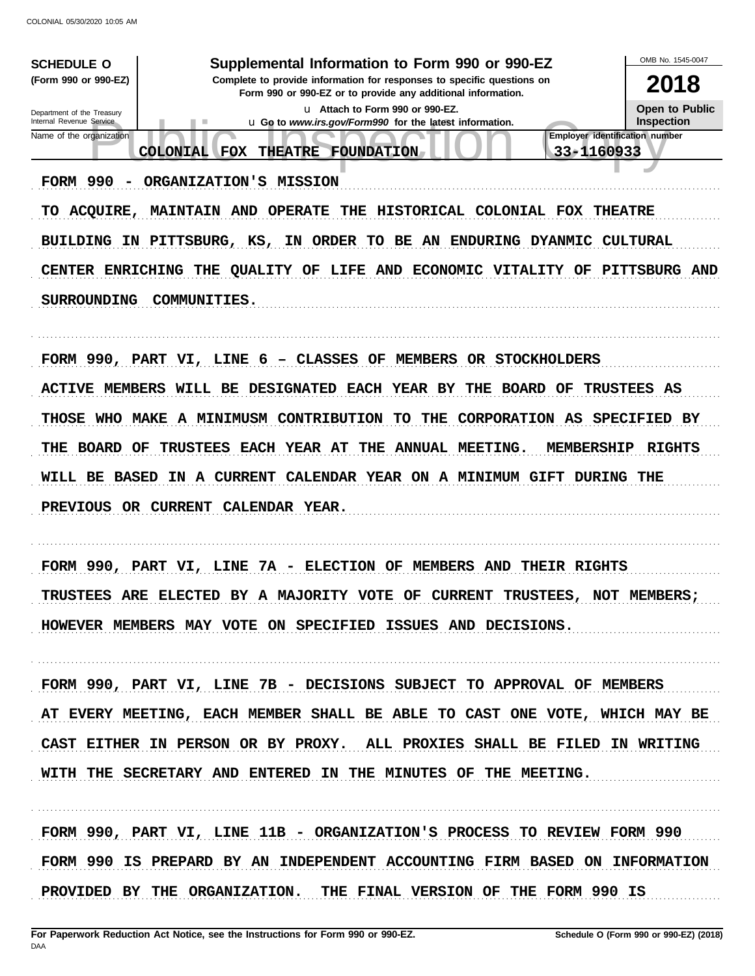| <b>SCHEDULE O</b>                                    | Supplemental Information to Form 990 or 990-EZ                                                  |                                       | OMB No. 1545-0047      |
|------------------------------------------------------|-------------------------------------------------------------------------------------------------|---------------------------------------|------------------------|
| (Form 990 or 990-EZ)                                 | Complete to provide information for responses to specific questions on                          |                                       | 2018                   |
| Department of the Treasury                           | Form 990 or 990-EZ or to provide any additional information.<br>u Attach to Form 990 or 990-EZ. |                                       | <b>Open to Public</b>  |
| Internal Revenue Service<br>Name of the organization | u Go to www.irs.gov/Form990 for the latest information.                                         | <b>Employer identification number</b> | <b>Inspection</b>      |
|                                                      | <b>COLONIAL FOX</b><br>THEATRE FOUNDATION                                                       | 33-1160933                            |                        |
| FORM 990                                             | ORGANIZATION'S MISSION                                                                          |                                       |                        |
| TO<br>ACOUIRE,                                       | <b>OPERATE</b><br><b>THE</b><br>HISTORICAL COLONIAL FOX<br><b>MAINTAIN AND</b>                  |                                       | <b>THEATRE</b>         |
| <b>BUILDING</b>                                      | IN PITTSBURG, KS,<br>IN ORDER TO BE AN ENDURING DYANMIC                                         |                                       | <b>CULTURAL</b>        |
| <b>ENRICHING</b><br><b>CENTER</b>                    | THE QUALITY OF LIFE AND                                                                         | ECONOMIC VITALITY OF                  | PITTSBURG AND          |
| <b>SURROUNDING</b>                                   | COMMUNITIES.                                                                                    |                                       |                        |
|                                                      |                                                                                                 |                                       |                        |
|                                                      |                                                                                                 |                                       |                        |
|                                                      | FORM 990, PART VI, LINE $6$ - CLASSES OF<br>MEMBERS                                             | OR STOCKHOLDERS                       |                        |
| <b>ACTIVE MEMBERS</b>                                | WILL BE DESIGNATED EACH<br>YEAR BY<br>THE                                                       | <b>BOARD</b><br>OF                    | TRUSTEES AS            |
| THOSE WHO MAKE                                       | A MINIMUSM CONTRIBUTION<br>TO<br>THE                                                            | <b>CORPORATION AS</b>                 | <b>SPECIFIED</b><br>BY |
| <b>BOARD OF</b><br>THE                               | <b>TRUSTEES</b><br><b>EACH YEAR AT</b><br>THE<br>ANNUAL MEETING.                                | <b>MEMBERSHIP</b>                     | <b>RIGHTS</b>          |
| <b>BASED</b><br>WILL BE                              | IN A CURRENT<br>CALENDAR YEAR ON A MINIMUM GIFT                                                 | <b>DURING THE</b>                     |                        |
|                                                      |                                                                                                 |                                       |                        |
| PREVIOUS                                             | OR CURRENT<br>CALENDAR YEAR.                                                                    |                                       |                        |
|                                                      |                                                                                                 |                                       |                        |
|                                                      | FORM 990, PART VI, LINE 7A - ELECTION OF<br><b>MEMBERS AND</b>                                  | THEIR RIGHTS                          |                        |
|                                                      | <b>TRUSTEES ARE ELECTED BY A MAJORITY VOTE</b><br>OF<br><b>CURRENT</b>                          | TRUSTEES,                             | NOT MEMBERS;           |
|                                                      | HOWEVER MEMBERS MAY VOTE ON SPECIFIED ISSUES AND DECISIONS.                                     |                                       |                        |
|                                                      |                                                                                                 |                                       |                        |
|                                                      |                                                                                                 |                                       |                        |
|                                                      | FORM 990, PART VI, LINE 7B - DECISIONS SUBJECT TO APPROVAL OF MEMBERS                           |                                       |                        |
|                                                      | AT EVERY MEETING, EACH MEMBER SHALL BE ABLE TO CAST ONE VOTE, WHICH MAY BE                      |                                       |                        |
|                                                      | CAST EITHER IN PERSON OR BY PROXY. ALL PROXIES SHALL BE FILED IN WRITING                        |                                       |                        |
|                                                      | WITH THE SECRETARY AND ENTERED IN THE MINUTES OF THE MEETING.                                   |                                       |                        |
|                                                      |                                                                                                 |                                       |                        |
|                                                      | FORM 990, PART VI, LINE 11B - ORGANIZATION'S PROCESS TO REVIEW FORM 990                         |                                       |                        |
|                                                      |                                                                                                 |                                       |                        |
|                                                      | FORM 990 IS PREPARD BY AN INDEPENDENT ACCOUNTING FIRM BASED ON INFORMATION                      |                                       |                        |
|                                                      | PROVIDED BY THE ORGANIZATION. THE FINAL VERSION OF THE FORM 990 IS                              |                                       |                        |
|                                                      |                                                                                                 |                                       |                        |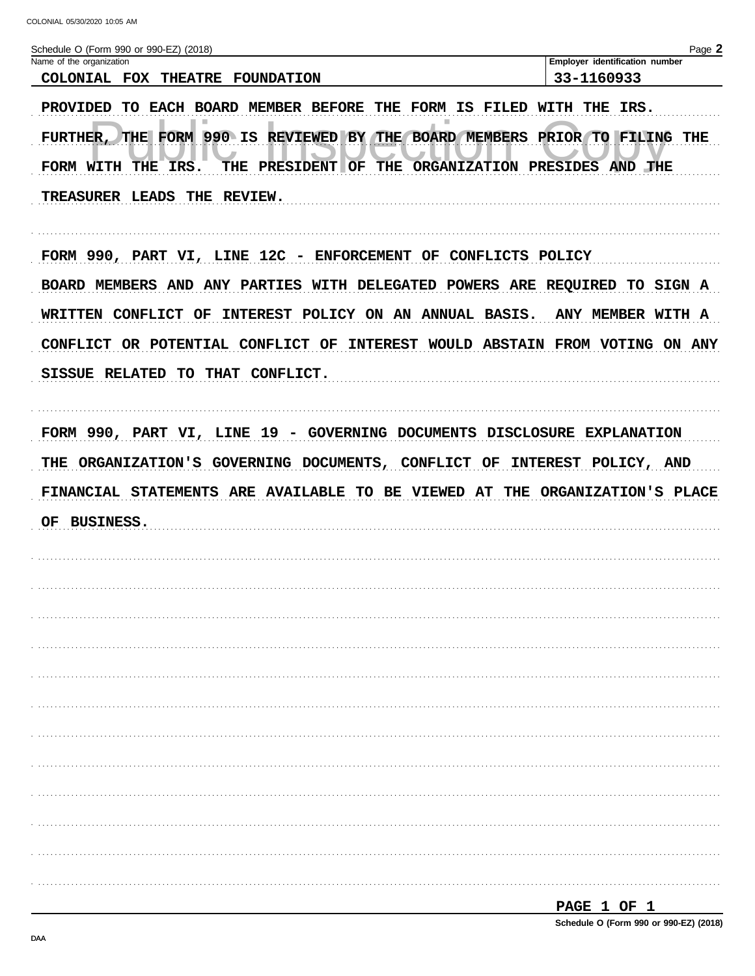| COLONIAL 05/30/2020 10:05 AM                                                          |                                              |
|---------------------------------------------------------------------------------------|----------------------------------------------|
| Schedule O (Form 990 or 990-EZ) (2018)                                                | Page 2                                       |
| Name of the organization<br>COLONIAL FOX<br>THEATRE FOUNDATION                        | Employer identification number<br>33-1160933 |
| TO EACH BOARD MEMBER BEFORE<br><b>FORM</b><br><b>PROVIDED</b><br>THE<br>IS FILED WITH | THE<br>IRS.                                  |
| FURTHER, THE FORM 990 IS<br>REVIEWED BY THE BOARD MEMBERS                             | PRIOR TO FILING THE                          |
| THE IRS.<br>PRESIDENT OF<br>THE<br>FORM WITH<br>THE                                   | ORGANIZATION PRESIDES AND THE                |
| <b>TREASURER LEADS</b><br>THE<br>REVIEW.                                              |                                              |
| FORM 990, PART VI, LINE 12C - ENFORCEMENT OF CONFLICTS POLICY                         |                                              |
| BOARD MEMBERS AND ANY PARTIES WITH DELEGATED POWERS ARE                               | <b>REQUIRED</b><br>TO SIGN A                 |
| WRITTEN CONFLICT<br>OF<br><b>INTEREST</b><br><b>POLICY ON AN</b><br>ANNUAL BASIS.     | ANY MEMBER WITH A                            |
| OR POTENTIAL CONFLICT OF<br><b>CONFLICT</b>                                           | INTEREST WOULD ABSTAIN FROM VOTING ON ANY    |
| <b>SISSUE RELATED</b><br>TO THAT<br><b>CONFLICT.</b>                                  |                                              |
|                                                                                       |                                              |
| FORM 990, PART VI, LINE 19 - GOVERNING DOCUMENTS                                      | <b>DISCLOSURE</b><br><b>EXPLANATION</b>      |
| THE.<br><b>ORGANIZATION'S</b><br>GOVERNING DOCUMENTS,<br><b>CONFLICT</b><br>OF        | <b>INTEREST</b><br>POLICY, AND               |
| FINANCIAL STATEMENTS ARE AVAILABLE<br><b>TO BE VIEWED AT</b>                          | THE ORGANIZATION'S PLACE                     |
| OF BUSINESS.                                                                          |                                              |
|                                                                                       |                                              |
|                                                                                       |                                              |
|                                                                                       |                                              |
|                                                                                       |                                              |
|                                                                                       |                                              |
|                                                                                       |                                              |
|                                                                                       |                                              |
|                                                                                       |                                              |
|                                                                                       |                                              |
|                                                                                       |                                              |
|                                                                                       |                                              |
|                                                                                       |                                              |
|                                                                                       |                                              |

| ----- |  |  |  |
|-------|--|--|--|
|       |  |  |  |